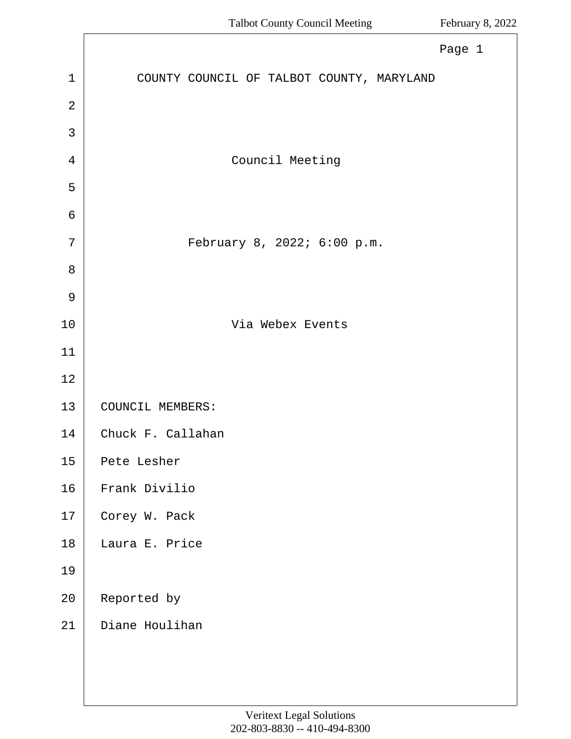<span id="page-0-0"></span>

|                | Page 1                                    |
|----------------|-------------------------------------------|
| $\mathbf{1}$   | COUNTY COUNCIL OF TALBOT COUNTY, MARYLAND |
| $\overline{2}$ |                                           |
| 3              |                                           |
| 4              | Council Meeting                           |
| 5              |                                           |
| 6              |                                           |
| 7              | February 8, 2022; 6:00 p.m.               |
| 8              |                                           |
| $\mathsf 9$    |                                           |
| $10$           | Via Webex Events                          |
| 11             |                                           |
| 12             |                                           |
| 13             | COUNCIL MEMBERS:                          |
| 14             | Chuck F. Callahan                         |
| 15             | Pete Lesher                               |
| 16             | Frank Divilio                             |
| 17             | Corey W. Pack                             |
| 18             | Laura E. Price                            |
| 19             |                                           |
| $20\,$         | Reported by                               |
| 21             | Diane Houlihan                            |
|                |                                           |
|                |                                           |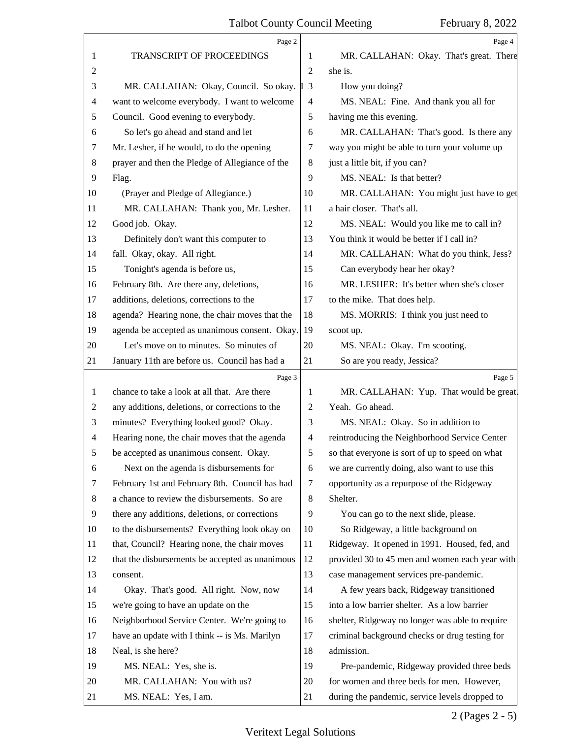<span id="page-1-0"></span>

|                | Page 2                                          |                          | Page 4                                          |
|----------------|-------------------------------------------------|--------------------------|-------------------------------------------------|
| 1              | TRANSCRIPT OF PROCEEDINGS                       | 1                        | MR. CALLAHAN: Okay. That's great. There         |
| $\overline{c}$ |                                                 | $\overline{2}$           | she is.                                         |
| 3              | MR. CALLAHAN: Okay, Council. So okay. [13]      |                          | How you doing?                                  |
| 4              | want to welcome everybody. I want to welcome    | $\overline{\mathcal{A}}$ | MS. NEAL: Fine. And thank you all for           |
| 5              | Council. Good evening to everybody.             | 5                        | having me this evening.                         |
| 6              | So let's go ahead and stand and let             | 6                        | MR. CALLAHAN: That's good. Is there any         |
| 7              | Mr. Lesher, if he would, to do the opening      | 7                        | way you might be able to turn your volume up    |
| 8              | prayer and then the Pledge of Allegiance of the | 8                        | just a little bit, if you can?                  |
| 9              | Flag.                                           | 9                        | MS. NEAL: Is that better?                       |
| 10             | (Prayer and Pledge of Allegiance.)              | 10                       | MR. CALLAHAN: You might just have to get        |
| 11             | MR. CALLAHAN: Thank you, Mr. Lesher.            | 11                       | a hair closer. That's all.                      |
| 12             | Good job. Okay.                                 | 12                       | MS. NEAL: Would you like me to call in?         |
| 13             | Definitely don't want this computer to          | 13                       | You think it would be better if I call in?      |
| 14             | fall. Okay, okay. All right.                    | 14                       | MR. CALLAHAN: What do you think, Jess?          |
| 15             | Tonight's agenda is before us,                  | 15                       | Can everybody hear her okay?                    |
| 16             | February 8th. Are there any, deletions,         | 16                       | MR. LESHER: It's better when she's closer       |
| 17             | additions, deletions, corrections to the        | 17                       | to the mike. That does help.                    |
| 18             | agenda? Hearing none, the chair moves that the  | 18                       | MS. MORRIS: I think you just need to            |
| 19             | agenda be accepted as unanimous consent. Okay.  | 19                       | scoot up.                                       |
| 20             | Let's move on to minutes. So minutes of         | 20                       | MS. NEAL: Okay. I'm scooting.                   |
| 21             | January 11th are before us. Council has had a   | 21                       | So are you ready, Jessica?                      |
|                | Page 3                                          |                          | Page 5                                          |
| 1              | chance to take a look at all that. Are there    | 1                        | MR. CALLAHAN: Yup. That would be great          |
| 2              | any additions, deletions, or corrections to the | $\overline{c}$           | Yeah. Go ahead.                                 |
| 3              | minutes? Everything looked good? Okay.          | 3                        | MS. NEAL: Okay. So in addition to               |
| 4              | Hearing none, the chair moves that the agenda   | $\overline{4}$           | reintroducing the Neighborhood Service Center   |
| 5              | be accepted as unanimous consent. Okay.         | 5                        | so that everyone is sort of up to speed on what |
| 6              | Next on the agenda is disbursements for         | 6                        | we are currently doing, also want to use this   |
| 7              | February 1st and February 8th. Council has had  | 7                        | opportunity as a repurpose of the Ridgeway      |
| 8              | a chance to review the disbursements. So are    | 8                        | Shelter.                                        |
| 9              | there any additions, deletions, or corrections  | 9                        | You can go to the next slide, please.           |
| 10             | to the disbursements? Everything look okay on   | 10                       | So Ridgeway, a little background on             |
| 11             | that, Council? Hearing none, the chair moves    | 11                       | Ridgeway. It opened in 1991. Housed, fed, and   |
| 12             | that the disbursements be accepted as unanimous | 12                       | provided 30 to 45 men and women each year with  |
| 13             | consent.                                        | 13                       | case management services pre-pandemic.          |
| 14             | Okay. That's good. All right. Now, now          | 14                       | A few years back, Ridgeway transitioned         |
| 15             | we're going to have an update on the            | 15                       | into a low barrier shelter. As a low barrier    |
| 16             | Neighborhood Service Center. We're going to     | 16                       | shelter, Ridgeway no longer was able to require |
| 17             | have an update with I think -- is Ms. Marilyn   | 17                       | criminal background checks or drug testing for  |
| 18             | Neal, is she here?                              | 18                       | admission.                                      |
|                |                                                 |                          |                                                 |
| 19             | MS. NEAL: Yes, she is.                          | 19                       | Pre-pandemic, Ridgeway provided three beds      |
| 20             | MR. CALLAHAN: You with us?                      | 20                       | for women and three beds for men. However,      |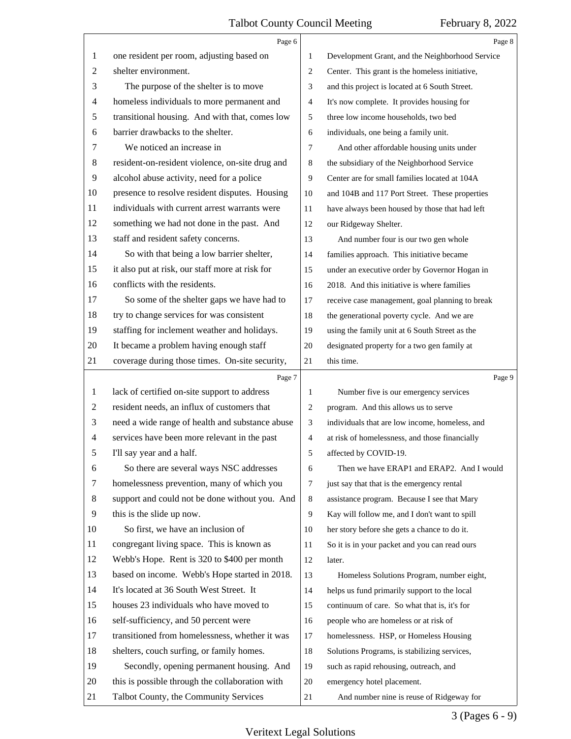<span id="page-2-0"></span>

|                          | Page 6                                          |    | Page 8                                          |
|--------------------------|-------------------------------------------------|----|-------------------------------------------------|
| 1                        | one resident per room, adjusting based on       | 1  | Development Grant, and the Neighborhood Service |
| $\overline{c}$           | shelter environment.                            | 2  | Center. This grant is the homeless initiative,  |
| 3                        | The purpose of the shelter is to move           | 3  | and this project is located at 6 South Street.  |
| $\overline{\mathcal{A}}$ | homeless individuals to more permanent and      | 4  | It's now complete. It provides housing for      |
| 5                        | transitional housing. And with that, comes low  | 5  | three low income households, two bed            |
| 6                        | barrier drawbacks to the shelter.               | 6  | individuals, one being a family unit.           |
| 7                        | We noticed an increase in                       | 7  | And other affordable housing units under        |
| 8                        | resident-on-resident violence, on-site drug and | 8  | the subsidiary of the Neighborhood Service      |
| 9                        | alcohol abuse activity, need for a police       | 9  | Center are for small families located at 104A   |
| 10                       | presence to resolve resident disputes. Housing  | 10 | and 104B and 117 Port Street. These properties  |
| 11                       | individuals with current arrest warrants were   | 11 | have always been housed by those that had left  |
| 12                       | something we had not done in the past. And      | 12 | our Ridgeway Shelter.                           |
| 13                       | staff and resident safety concerns.             | 13 | And number four is our two gen whole            |
| 14                       | So with that being a low barrier shelter,       | 14 | families approach. This initiative became       |
| 15                       | it also put at risk, our staff more at risk for | 15 | under an executive order by Governor Hogan in   |
| 16                       | conflicts with the residents.                   | 16 | 2018. And this initiative is where families     |
| 17                       | So some of the shelter gaps we have had to      | 17 | receive case management, goal planning to break |
| 18                       | try to change services for was consistent       | 18 | the generational poverty cycle. And we are      |
| 19                       | staffing for inclement weather and holidays.    | 19 | using the family unit at 6 South Street as the  |
| 20                       | It became a problem having enough staff         | 20 | designated property for a two gen family at     |
| 21                       | coverage during those times. On-site security,  | 21 | this time.                                      |
|                          |                                                 |    |                                                 |
|                          | Page 7                                          |    | Page 9                                          |
| 1                        | lack of certified on-site support to address    | 1  | Number five is our emergency services           |
| $\overline{c}$           | resident needs, an influx of customers that     | 2  | program. And this allows us to serve            |
| 3                        | need a wide range of health and substance abuse | 3  | individuals that are low income, homeless, and  |
| 4                        | services have been more relevant in the past    | 4  | at risk of homelessness, and those financially  |
| 5                        | I'll say year and a half.                       | 5  | affected by COVID-19.                           |
| 6                        | So there are several ways NSC addresses         | 6  | Then we have ERAP1 and ERAP2. And I would       |
| 7                        | homelessness prevention, many of which you      | 7  | just say that that is the emergency rental      |
| 8                        | support and could not be done without you. And  | 8  | assistance program. Because I see that Mary     |
| $\overline{9}$           | this is the slide up now.                       | 9  | Kay will follow me, and I don't want to spill   |
| 10                       | So first, we have an inclusion of               | 10 | her story before she gets a chance to do it.    |
| 11                       | congregant living space. This is known as       | 11 | So it is in your packet and you can read ours   |
| 12                       | Webb's Hope. Rent is 320 to \$400 per month     | 12 | later.                                          |
| 13                       | based on income. Webb's Hope started in 2018.   | 13 | Homeless Solutions Program, number eight,       |
| 14                       | It's located at 36 South West Street. It        | 14 | helps us fund primarily support to the local    |
| 15                       | houses 23 individuals who have moved to         | 15 | continuum of care. So what that is, it's for    |
| 16                       | self-sufficiency, and 50 percent were           | 16 | people who are homeless or at risk of           |
| 17                       | transitioned from homelessness, whether it was  | 17 | homelessness. HSP, or Homeless Housing          |
| 18                       | shelters, couch surfing, or family homes.       | 18 | Solutions Programs, is stabilizing services,    |
| 19                       | Secondly, opening permanent housing. And        | 19 | such as rapid rehousing, outreach, and          |
| 20                       | this is possible through the collaboration with | 20 | emergency hotel placement.                      |

# 3 (Pages 6 - 9)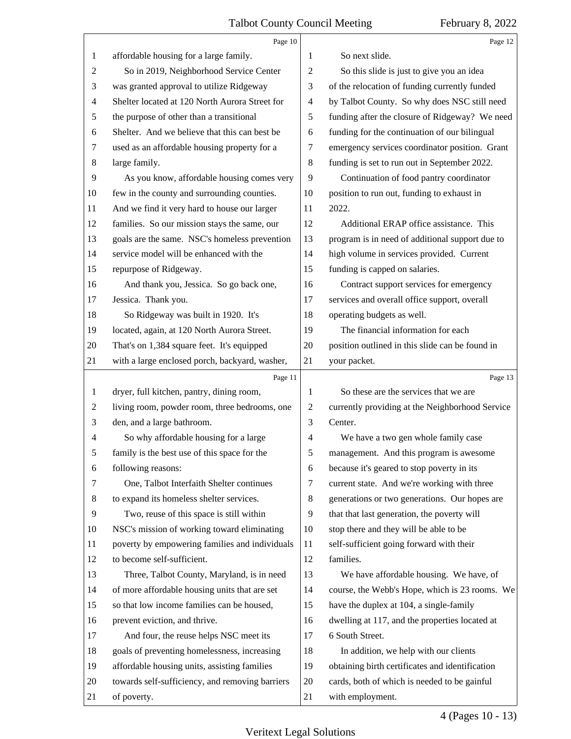<span id="page-3-0"></span>

|                | Page 10                                         |                | Page 12                                         |
|----------------|-------------------------------------------------|----------------|-------------------------------------------------|
| $\mathbf{1}$   | affordable housing for a large family.          | 1              | So next slide.                                  |
| 2              | So in 2019, Neighborhood Service Center         | $\overline{2}$ | So this slide is just to give you an idea       |
| 3              | was granted approval to utilize Ridgeway        | 3              | of the relocation of funding currently funded   |
| 4              | Shelter located at 120 North Aurora Street for  | $\overline{4}$ | by Talbot County. So why does NSC still need    |
| 5              | the purpose of other than a transitional        | 5              | funding after the closure of Ridgeway? We need  |
| 6              | Shelter. And we believe that this can best be   | 6              | funding for the continuation of our bilingual   |
| 7              | used as an affordable housing property for a    | 7              | emergency services coordinator position. Grant  |
| $8\,$          | large family.                                   | 8              | funding is set to run out in September 2022.    |
| $\overline{9}$ | As you know, affordable housing comes very      | 9              | Continuation of food pantry coordinator         |
| 10             | few in the county and surrounding counties.     | 10             | position to run out, funding to exhaust in      |
| 11             | And we find it very hard to house our larger    | 11             | 2022.                                           |
| 12             | families. So our mission stays the same, our    | 12             | Additional ERAP office assistance. This         |
| 13             | goals are the same. NSC's homeless prevention   | 13             | program is in need of additional support due to |
| 14             | service model will be enhanced with the         | 14             | high volume in services provided. Current       |
| 15             | repurpose of Ridgeway.                          | 15             | funding is capped on salaries.                  |
| 16             | And thank you, Jessica. So go back one,         | 16             | Contract support services for emergency         |
| 17             | Jessica. Thank you.                             | 17             | services and overall office support, overall    |
| 18             | So Ridgeway was built in 1920. It's             | 18             | operating budgets as well.                      |
| 19             | located, again, at 120 North Aurora Street.     | 19             | The financial information for each              |
| 20             | That's on 1,384 square feet. It's equipped      | 20             | position outlined in this slide can be found in |
| 21             | with a large enclosed porch, backyard, washer,  | 21             | your packet.                                    |
|                | Page 11                                         |                | Page 13                                         |
| $\mathbf{1}$   | dryer, full kitchen, pantry, dining room,       | 1              | So these are the services that we are           |
| 2              | living room, powder room, three bedrooms, one   | $\overline{2}$ | currently providing at the Neighborhood Service |
| 3              | den, and a large bathroom.                      | 3              | Center.                                         |
| 4              | So why affordable housing for a large           | 4              | We have a two gen whole family case             |
| 5              | family is the best use of this space for the    | 5              | management. And this program is awesome         |
| 6              | following reasons:                              | 6              | because it's geared to stop poverty in its      |
| 7              | One, Talbot Interfaith Shelter continues        | 7              | current state. And we're working with three     |
| 8              | to expand its homeless shelter services.        | 8              | generations or two generations. Our hopes are   |
| 9              | Two, reuse of this space is still within        | 9              | that that last generation, the poverty will     |
| 10             | NSC's mission of working toward eliminating     | 10             | stop there and they will be able to be          |
| 11             | poverty by empowering families and individuals  | 11             | self-sufficient going forward with their        |
| 12             | to become self-sufficient.                      | 12             | families.                                       |
| 13             | Three, Talbot County, Maryland, is in need      | 13             | We have affordable housing. We have, of         |
| 14             | of more affordable housing units that are set   | 14             | course, the Webb's Hope, which is 23 rooms. We  |
| 15             | so that low income families can be housed,      | 15             | have the duplex at 104, a single-family         |
| 16             | prevent eviction, and thrive.                   | 16             | dwelling at 117, and the properties located at  |
| 17             | And four, the reuse helps NSC meet its          | 17             | 6 South Street.                                 |
| 18             |                                                 |                |                                                 |
|                | goals of preventing homelessness, increasing    | 18             | In addition, we help with our clients           |
| 19             | affordable housing units, assisting families    | 19             | obtaining birth certificates and identification |
| 20             | towards self-sufficiency, and removing barriers | 20             | cards, both of which is needed to be gainful    |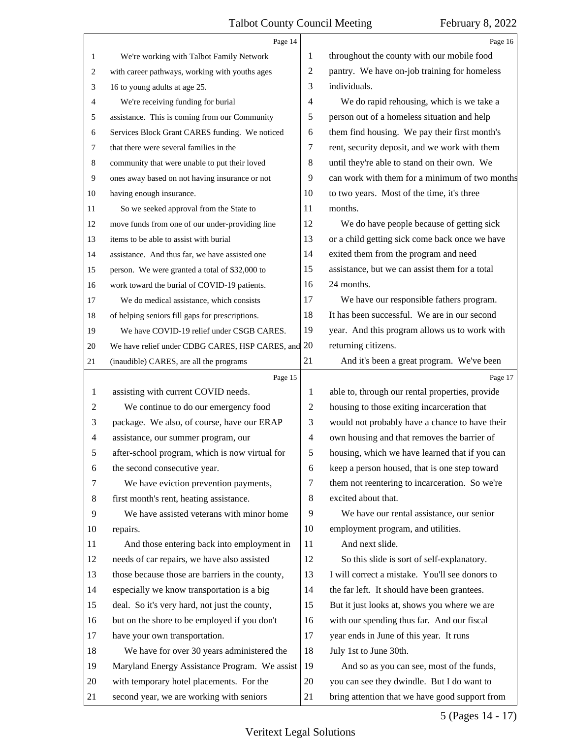<span id="page-4-0"></span>

|                | Page 14                                         |                | Page 16                                         |
|----------------|-------------------------------------------------|----------------|-------------------------------------------------|
| 1              | We're working with Talbot Family Network        | 1              | throughout the county with our mobile food      |
| 2              | with career pathways, working with youths ages  | $\overline{c}$ | pantry. We have on-job training for homeless    |
| 3              | 16 to young adults at age 25.                   | 3              | individuals.                                    |
| 4              | We're receiving funding for burial              | $\overline{4}$ | We do rapid rehousing, which is we take a       |
| 5              | assistance. This is coming from our Community   | 5              | person out of a homeless situation and help     |
| 6              | Services Block Grant CARES funding. We noticed  | 6              | them find housing. We pay their first month's   |
| 7              | that there were several families in the         | $\tau$         | rent, security deposit, and we work with them   |
| 8              | community that were unable to put their loved   | $\,8\,$        | until they're able to stand on their own. We    |
| 9              | ones away based on not having insurance or not  | 9              | can work with them for a minimum of two months  |
| 10             | having enough insurance.                        | 10             | to two years. Most of the time, it's three      |
| 11             | So we seeked approval from the State to         | 11             | months.                                         |
| 12             | move funds from one of our under-providing line | 12             | We do have people because of getting sick       |
| 13             | items to be able to assist with burial          | 13             | or a child getting sick come back once we have  |
| 14             | assistance. And thus far, we have assisted one  | 14             | exited them from the program and need           |
| 15             | person. We were granted a total of \$32,000 to  | 15             | assistance, but we can assist them for a total  |
| 16             | work toward the burial of COVID-19 patients.    | 16             | 24 months.                                      |
| 17             | We do medical assistance, which consists        | 17             | We have our responsible fathers program.        |
| 18             | of helping seniors fill gaps for prescriptions. | 18             | It has been successful. We are in our second    |
| 19             | We have COVID-19 relief under CSGB CARES.       | 19             | year. And this program allows us to work with   |
| 20             | We have relief under CDBG CARES, HSP CARES, and | 20             | returning citizens.                             |
| 21             | (inaudible) CARES, are all the programs         | 21             | And it's been a great program. We've been       |
|                |                                                 |                |                                                 |
|                | Page 15                                         |                | Page 17                                         |
| 1              | assisting with current COVID needs.             | 1              | able to, through our rental properties, provide |
| 2              | We continue to do our emergency food            | $\overline{2}$ | housing to those exiting incarceration that     |
| 3              | package. We also, of course, have our ERAP      | 3              | would not probably have a chance to have their  |
| $\overline{4}$ | assistance, our summer program, our             | $\overline{4}$ | own housing and that removes the barrier of     |
| 5              | after-school program, which is now virtual for  | 5              | housing, which we have learned that if you can  |
| 6              | the second consecutive year.                    | 6              | keep a person housed, that is one step toward   |
| 7              | We have eviction prevention payments,           | 7              | them not reentering to incarceration. So we're  |
| 8              | first month's rent, heating assistance.         | $\,8\,$        | excited about that.                             |
| 9              | We have assisted veterans with minor home       | 9              | We have our rental assistance, our senior       |
| 10             | repairs.                                        | 10             | employment program, and utilities.              |
| 11             | And those entering back into employment in      | 11             | And next slide.                                 |
| 12             | needs of car repairs, we have also assisted     | 12             | So this slide is sort of self-explanatory.      |
| 13             | those because those are barriers in the county, | 13             | I will correct a mistake. You'll see donors to  |
| 14             | especially we know transportation is a big      | 14             | the far left. It should have been grantees.     |
| 15             | deal. So it's very hard, not just the county,   | 15             | But it just looks at, shows you where we are    |
| 16             | but on the shore to be employed if you don't    | 16             | with our spending thus far. And our fiscal      |
| 17             | have your own transportation.                   | 17             | year ends in June of this year. It runs         |
| 18             | We have for over 30 years administered the      | 18             | July 1st to June 30th.                          |
| 19             | Maryland Energy Assistance Program. We assist   | 19             | And so as you can see, most of the funds,       |
| 20             | with temporary hotel placements. For the        | 20             | you can see they dwindle. But I do want to      |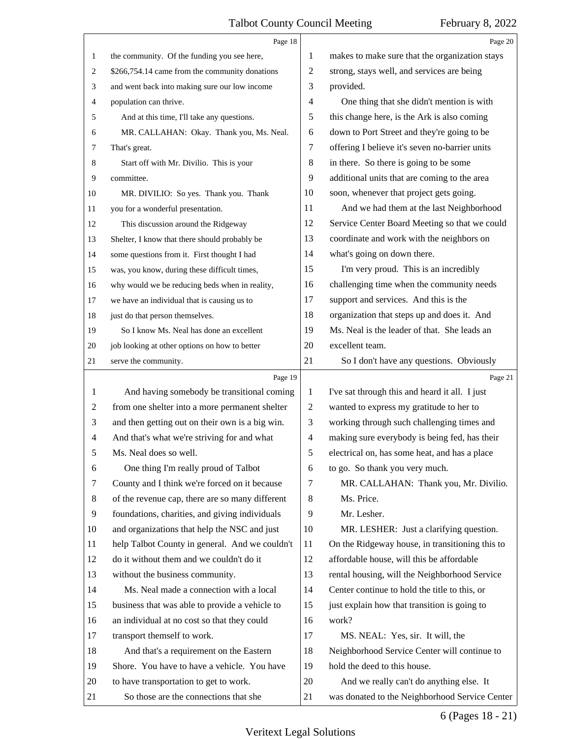<span id="page-5-0"></span>

|                | Page 18                                         |                | Page 20                                         |
|----------------|-------------------------------------------------|----------------|-------------------------------------------------|
| 1              | the community. Of the funding you see here,     | 1              | makes to make sure that the organization stays  |
| 2              | \$266,754.14 came from the community donations  | 2              | strong, stays well, and services are being      |
| 3              | and went back into making sure our low income   | 3              | provided.                                       |
| 4              | population can thrive.                          | 4              | One thing that she didn't mention is with       |
| 5              | And at this time, I'll take any questions.      | 5              | this change here, is the Ark is also coming     |
| 6              | MR. CALLAHAN: Okay. Thank you, Ms. Neal.        | 6              | down to Port Street and they're going to be     |
| 7              | That's great.                                   | 7              | offering I believe it's seven no-barrier units  |
| 8              | Start off with Mr. Divilio. This is your        | 8              | in there. So there is going to be some          |
| 9              | committee.                                      | 9              | additional units that are coming to the area    |
| 10             | MR. DIVILIO: So yes. Thank you. Thank           | 10             | soon, whenever that project gets going.         |
| 11             | you for a wonderful presentation.               | 11             | And we had them at the last Neighborhood        |
| 12             | This discussion around the Ridgeway             | 12             | Service Center Board Meeting so that we could   |
| 13             | Shelter, I know that there should probably be   | 13             | coordinate and work with the neighbors on       |
| 14             | some questions from it. First thought I had     | 14             | what's going on down there.                     |
| 15             | was, you know, during these difficult times,    | 15             | I'm very proud. This is an incredibly           |
| 16             | why would we be reducing beds when in reality,  | 16             | challenging time when the community needs       |
| 17             | we have an individual that is causing us to     | 17             | support and services. And this is the           |
| 18             | just do that person themselves.                 | 18             | organization that steps up and does it. And     |
| 19             | So I know Ms. Neal has done an excellent        | 19             | Ms. Neal is the leader of that. She leads an    |
| 20             | job looking at other options on how to better   | 20             | excellent team.                                 |
| 21             | serve the community.                            | 21             | So I don't have any questions. Obviously        |
|                |                                                 |                |                                                 |
|                | Page 19                                         |                | Page 21                                         |
| 1              | And having somebody be transitional coming      | 1              | I've sat through this and heard it all. I just  |
| $\overline{2}$ | from one shelter into a more permanent shelter  | $\overline{c}$ | wanted to express my gratitude to her to        |
| 3              | and then getting out on their own is a big win. | 3              | working through such challenging times and      |
| $\overline{4}$ | And that's what we're striving for and what     | $\overline{4}$ | making sure everybody is being fed, has their   |
| 5              | Ms. Neal does so well.                          | 5              | electrical on, has some heat, and has a place   |
| 6              | One thing I'm really proud of Talbot            | 6              | to go. So thank you very much.                  |
| 7              | County and I think we're forced on it because   | 7              | MR. CALLAHAN: Thank you, Mr. Divilio.           |
| 8              | of the revenue cap, there are so many different | 8              | Ms. Price.                                      |
| 9              | foundations, charities, and giving individuals  | 9              | Mr. Lesher.                                     |
| 10             | and organizations that help the NSC and just    | 10             | MR. LESHER: Just a clarifying question.         |
| 11             | help Talbot County in general. And we couldn't  | 11             | On the Ridgeway house, in transitioning this to |
| 12             | do it without them and we couldn't do it        | 12             | affordable house, will this be affordable       |
| 13             | without the business community.                 | 13             | rental housing, will the Neighborhood Service   |
| 14             | Ms. Neal made a connection with a local         | 14             | Center continue to hold the title to this, or   |
| 15             | business that was able to provide a vehicle to  | 15             | just explain how that transition is going to    |
| 16             | an individual at no cost so that they could     | 16             | work?                                           |
| 17             | transport themself to work.                     | 17             | MS. NEAL: Yes, sir. It will, the                |
| 18             | And that's a requirement on the Eastern         | 18             | Neighborhood Service Center will continue to    |
| 19             | Shore. You have to have a vehicle. You have     | 19             | hold the deed to this house.                    |
| 20             | to have transportation to get to work.          | 20             | And we really can't do anything else. It        |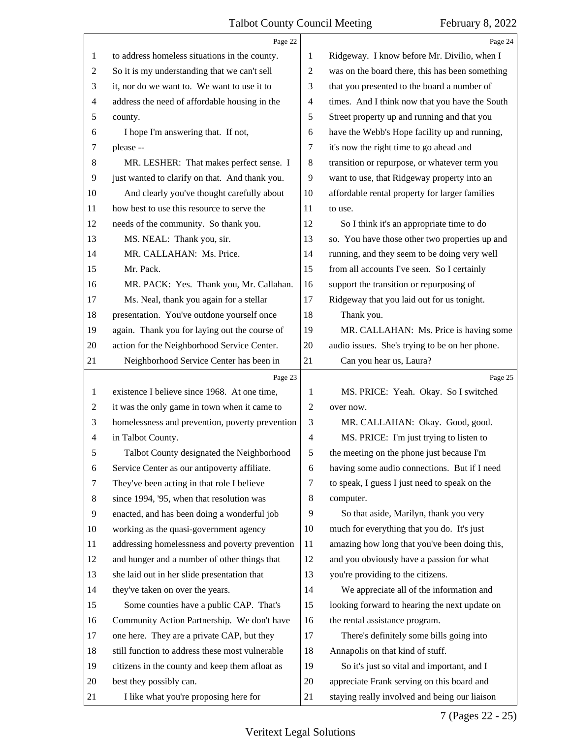<span id="page-6-0"></span>

|                | Page 22                                         |                | Page 24                                         |
|----------------|-------------------------------------------------|----------------|-------------------------------------------------|
| 1              | to address homeless situations in the county.   | 1              | Ridgeway. I know before Mr. Divilio, when I     |
| 2              | So it is my understanding that we can't sell    | $\overline{c}$ | was on the board there, this has been something |
| 3              | it, nor do we want to. We want to use it to     | 3              | that you presented to the board a number of     |
| 4              | address the need of affordable housing in the   | $\overline{4}$ | times. And I think now that you have the South  |
| 5              | county.                                         | 5              | Street property up and running and that you     |
| 6              | I hope I'm answering that. If not,              | 6              | have the Webb's Hope facility up and running,   |
| 7              | please --                                       | 7              | it's now the right time to go ahead and         |
| 8              | MR. LESHER: That makes perfect sense. I         | 8              | transition or repurpose, or whatever term you   |
| 9              | just wanted to clarify on that. And thank you.  | 9              | want to use, that Ridgeway property into an     |
| 10             | And clearly you've thought carefully about      | 10             | affordable rental property for larger families  |
| 11             | how best to use this resource to serve the      | 11             | to use.                                         |
| 12             | needs of the community. So thank you.           | 12             | So I think it's an appropriate time to do       |
| 13             | MS. NEAL: Thank you, sir.                       | 13             | so. You have those other two properties up and  |
| 14             | MR. CALLAHAN: Ms. Price.                        | 14             | running, and they seem to be doing very well    |
| 15             | Mr. Pack.                                       | 15             | from all accounts I've seen. So I certainly     |
| 16             | MR. PACK: Yes. Thank you, Mr. Callahan.         | 16             | support the transition or repurposing of        |
| 17             | Ms. Neal, thank you again for a stellar         | 17             | Ridgeway that you laid out for us tonight.      |
| 18             | presentation. You've outdone yourself once      | 18             | Thank you.                                      |
| 19             | again. Thank you for laying out the course of   | 19             | MR. CALLAHAN: Ms. Price is having some          |
| 20             | action for the Neighborhood Service Center.     | 20             | audio issues. She's trying to be on her phone.  |
| 21             | Neighborhood Service Center has been in         | 21             | Can you hear us, Laura?                         |
|                | Page 23                                         |                | Page 25                                         |
| 1              |                                                 |                |                                                 |
|                | existence I believe since 1968. At one time,    | 1              | MS. PRICE: Yeah. Okay. So I switched            |
| 2              | it was the only game in town when it came to    | 2              | over now.                                       |
| 3              | homelessness and prevention, poverty prevention | 3              | MR. CALLAHAN: Okay. Good, good.                 |
| 4              | in Talbot County.                               | $\overline{4}$ | MS. PRICE: I'm just trying to listen to         |
| 5              | Talbot County designated the Neighborhood       | 5              | the meeting on the phone just because I'm       |
| 6              | Service Center as our antipoverty affiliate.    | 6              | having some audio connections. But if I need    |
| 7              | They've been acting in that role I believe      | 7              | to speak, I guess I just need to speak on the   |
| 8              | since 1994, '95, when that resolution was       | 8              | computer.                                       |
| $\overline{9}$ | enacted, and has been doing a wonderful job     | 9              | So that aside, Marilyn, thank you very          |
| 10             | working as the quasi-government agency          | 10             | much for everything that you do. It's just      |
| 11             | addressing homelessness and poverty prevention  | 11             | amazing how long that you've been doing this,   |
| 12             | and hunger and a number of other things that    | 12             | and you obviously have a passion for what       |
| 13             | she laid out in her slide presentation that     | 13             | you're providing to the citizens.               |
| 14             | they've taken on over the years.                | 14             | We appreciate all of the information and        |
| 15             | Some counties have a public CAP. That's         | 15             | looking forward to hearing the next update on   |
| 16             | Community Action Partnership. We don't have     | 16             | the rental assistance program.                  |
| 17             | one here. They are a private CAP, but they      | 17             | There's definitely some bills going into        |
| 18             | still function to address these most vulnerable | 18             | Annapolis on that kind of stuff.                |
| 19             | citizens in the county and keep them afloat as  | 19             | So it's just so vital and important, and I      |
| 20             | best they possibly can.                         | 20             | appreciate Frank serving on this board and      |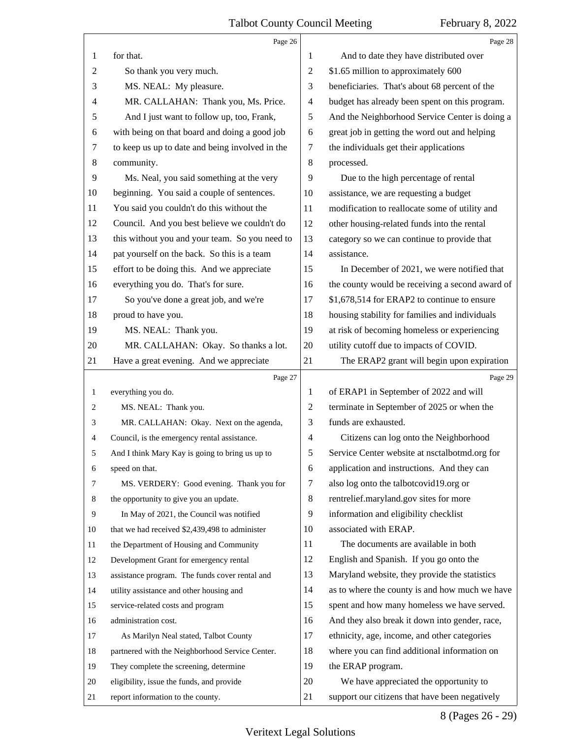<span id="page-7-0"></span>

|                | Page 26                                         |                | Page 28                                         |
|----------------|-------------------------------------------------|----------------|-------------------------------------------------|
| 1              | for that.                                       | 1              | And to date they have distributed over          |
| $\overline{c}$ | So thank you very much.                         | 2              | \$1.65 million to approximately 600             |
| 3              | MS. NEAL: My pleasure.                          | 3              | beneficiaries. That's about 68 percent of the   |
| 4              | MR. CALLAHAN: Thank you, Ms. Price.             | $\overline{4}$ | budget has already been spent on this program.  |
| 5              | And I just want to follow up, too, Frank,       | 5              | And the Neighborhood Service Center is doing a  |
| 6              | with being on that board and doing a good job   | 6              | great job in getting the word out and helping   |
| 7              | to keep us up to date and being involved in the | 7              | the individuals get their applications          |
| $\,8\,$        | community.                                      | 8              | processed.                                      |
| 9              | Ms. Neal, you said something at the very        | 9              | Due to the high percentage of rental            |
| 10             | beginning. You said a couple of sentences.      | 10             | assistance, we are requesting a budget          |
| 11             | You said you couldn't do this without the       | 11             | modification to reallocate some of utility and  |
| 12             | Council. And you best believe we couldn't do    | 12             | other housing-related funds into the rental     |
| 13             | this without you and your team. So you need to  | 13             | category so we can continue to provide that     |
| 14             | pat yourself on the back. So this is a team     | 14             | assistance.                                     |
| 15             | effort to be doing this. And we appreciate      | 15             | In December of 2021, we were notified that      |
| 16             | everything you do. That's for sure.             | 16             | the county would be receiving a second award of |
| 17             | So you've done a great job, and we're           | 17             | \$1,678,514 for ERAP2 to continue to ensure     |
| 18             | proud to have you.                              | 18             | housing stability for families and individuals  |
| 19             | MS. NEAL: Thank you.                            | 19             | at risk of becoming homeless or experiencing    |
| 20             | MR. CALLAHAN: Okay. So thanks a lot.            | 20             | utility cutoff due to impacts of COVID.         |
| 21             | Have a great evening. And we appreciate         | 21             | The ERAP2 grant will begin upon expiration      |
|                |                                                 |                |                                                 |
|                | Page 27                                         |                | Page 29                                         |
| 1              | everything you do.                              | 1              | of ERAP1 in September of 2022 and will          |
| 2              | MS. NEAL: Thank you.                            | 2              | terminate in September of 2025 or when the      |
| 3              | MR. CALLAHAN: Okay. Next on the agenda,         | 3              | funds are exhausted.                            |
| 4              | Council, is the emergency rental assistance.    | $\overline{4}$ | Citizens can log onto the Neighborhood          |
|                | And I think Mary Kay is going to bring us up to | 5              | Service Center website at nsctalbotmd.org for   |
| 6              | speed on that.                                  | 6              | application and instructions. And they can      |
| 7              | MS. VERDERY: Good evening. Thank you for        | 7              | also log onto the talbotcovid19.org or          |
| 8              | the opportunity to give you an update.          | 8              | rentrelief.maryland.gov sites for more          |
| 9              | In May of 2021, the Council was notified        | 9              | information and eligibility checklist           |
| 10             | that we had received \$2,439,498 to administer  | 10             | associated with ERAP.                           |
| 11             | the Department of Housing and Community         | 11             | The documents are available in both             |
| 12             | Development Grant for emergency rental          | 12             | English and Spanish. If you go onto the         |
| 13             | assistance program. The funds cover rental and  | 13             | Maryland website, they provide the statistics   |
| 14             | utility assistance and other housing and        | 14             | as to where the county is and how much we have  |
| 15             | service-related costs and program               | 15             | spent and how many homeless we have served.     |
| 16             | administration cost.                            | 16             | And they also break it down into gender, race,  |
| 17             | As Marilyn Neal stated, Talbot County           | 17             | ethnicity, age, income, and other categories    |
| 18             | partnered with the Neighborhood Service Center. | 18             | where you can find additional information on    |
| 19             | They complete the screening, determine          | 19             | the ERAP program.                               |
| 20             | eligibility, issue the funds, and provide       | 20             | We have appreciated the opportunity to          |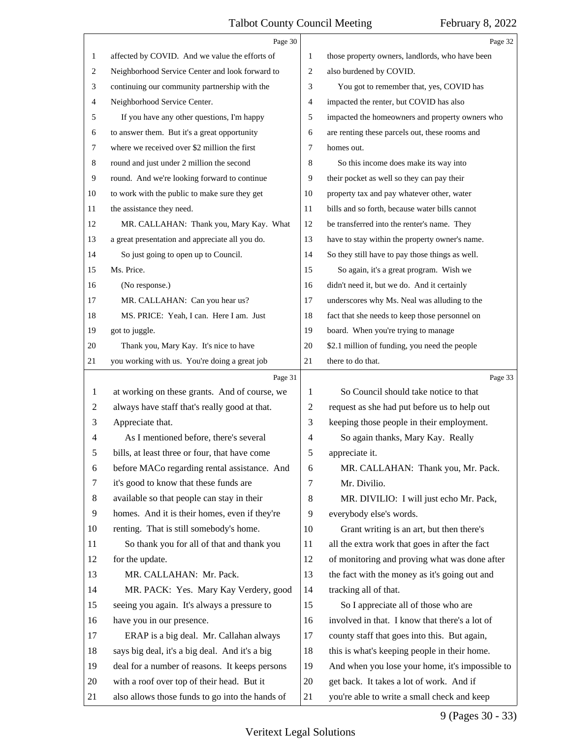<span id="page-8-0"></span>

|                | Page 30                                         |    | Page 32                                         |
|----------------|-------------------------------------------------|----|-------------------------------------------------|
| 1              | affected by COVID. And we value the efforts of  | 1  | those property owners, landlords, who have been |
| 2              | Neighborhood Service Center and look forward to | 2  | also burdened by COVID.                         |
| 3              | continuing our community partnership with the   | 3  | You got to remember that, yes, COVID has        |
| 4              | Neighborhood Service Center.                    | 4  | impacted the renter, but COVID has also         |
| 5              | If you have any other questions, I'm happy      | 5  | impacted the homeowners and property owners who |
| 6              | to answer them. But it's a great opportunity    | 6  | are renting these parcels out, these rooms and  |
| 7              | where we received over \$2 million the first    | 7  | homes out.                                      |
| 8              | round and just under 2 million the second       | 8  | So this income does make its way into           |
| 9              | round. And we're looking forward to continue    | 9  | their pocket as well so they can pay their      |
| 10             | to work with the public to make sure they get   | 10 | property tax and pay whatever other, water      |
| 11             | the assistance they need.                       | 11 | bills and so forth, because water bills cannot  |
| 12             | MR. CALLAHAN: Thank you, Mary Kay. What         | 12 | be transferred into the renter's name. They     |
| 13             | a great presentation and appreciate all you do. | 13 | have to stay within the property owner's name.  |
| 14             | So just going to open up to Council.            | 14 | So they still have to pay those things as well. |
| 15             | Ms. Price.                                      | 15 | So again, it's a great program. Wish we         |
| 16             | (No response.)                                  | 16 | didn't need it, but we do. And it certainly     |
| 17             | MR. CALLAHAN: Can you hear us?                  | 17 | underscores why Ms. Neal was alluding to the    |
| 18             | MS. PRICE: Yeah, I can. Here I am. Just         | 18 | fact that she needs to keep those personnel on  |
| 19             | got to juggle.                                  | 19 | board. When you're trying to manage             |
| 20             | Thank you, Mary Kay. It's nice to have          | 20 | \$2.1 million of funding, you need the people   |
| 21             | you working with us. You're doing a great job   | 21 | there to do that.                               |
|                |                                                 |    |                                                 |
|                | Page 31                                         |    | Page 33                                         |
| 1              | at working on these grants. And of course, we   | 1  | So Council should take notice to that           |
| $\overline{c}$ | always have staff that's really good at that.   | 2  | request as she had put before us to help out    |
| 3              | Appreciate that.                                | 3  | keeping those people in their employment.       |
| 4              | As I mentioned before, there's several          | 4  | So again thanks, Mary Kay. Really               |
| 5              | bills, at least three or four, that have come   | 5  | appreciate it.                                  |
| 6              | before MACo regarding rental assistance. And    | 6  | MR. CALLAHAN: Thank you, Mr. Pack.              |
| 7              | it's good to know that these funds are          | 7  | Mr. Divilio.                                    |
| 8              | available so that people can stay in their      | 8  | MR. DIVILIO: I will just echo Mr. Pack,         |
| 9              | homes. And it is their homes, even if they're   | 9  | everybody else's words.                         |
| 10             | renting. That is still somebody's home.         | 10 | Grant writing is an art, but then there's       |
| 11             | So thank you for all of that and thank you      | 11 | all the extra work that goes in after the fact  |
| 12             | for the update.                                 | 12 | of monitoring and proving what was done after   |
| 13             | MR. CALLAHAN: Mr. Pack.                         | 13 | the fact with the money as it's going out and   |
| 14             | MR. PACK: Yes. Mary Kay Verdery, good           | 14 | tracking all of that.                           |
| 15             | seeing you again. It's always a pressure to     | 15 | So I appreciate all of those who are            |
| 16             | have you in our presence.                       | 16 | involved in that. I know that there's a lot of  |
| 17             | ERAP is a big deal. Mr. Callahan always         | 17 | county staff that goes into this. But again,    |
| 18             | says big deal, it's a big deal. And it's a big  | 18 | this is what's keeping people in their home.    |
| 19             | deal for a number of reasons. It keeps persons  | 19 | And when you lose your home, it's impossible to |
| 20             | with a roof over top of their head. But it      | 20 | get back. It takes a lot of work. And if        |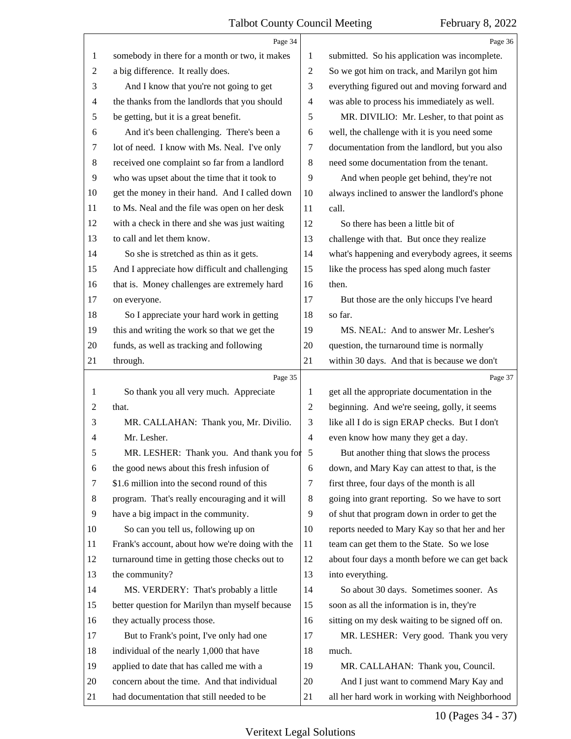<span id="page-9-0"></span>

|                | Page 34                                         |                | Page 36                                         |
|----------------|-------------------------------------------------|----------------|-------------------------------------------------|
| 1              | somebody in there for a month or two, it makes  | 1              | submitted. So his application was incomplete.   |
| $\overline{2}$ | a big difference. It really does.               | 2              | So we got him on track, and Marilyn got him     |
| 3              | And I know that you're not going to get         | 3              | everything figured out and moving forward and   |
| 4              | the thanks from the landlords that you should   | $\overline{4}$ | was able to process his immediately as well.    |
| 5              | be getting, but it is a great benefit.          | 5              | MR. DIVILIO: Mr. Lesher, to that point as       |
| 6              | And it's been challenging. There's been a       | 6              | well, the challenge with it is you need some    |
| 7              | lot of need. I know with Ms. Neal. I've only    | 7              | documentation from the landlord, but you also   |
| $\,8\,$        | received one complaint so far from a landlord   | $\,8\,$        | need some documentation from the tenant.        |
| 9              | who was upset about the time that it took to    | 9              | And when people get behind, they're not         |
| 10             | get the money in their hand. And I called down  | 10             | always inclined to answer the landlord's phone  |
| 11             | to Ms. Neal and the file was open on her desk   | 11             | call.                                           |
| 12             | with a check in there and she was just waiting  | 12             | So there has been a little bit of               |
| 13             | to call and let them know.                      | 13             | challenge with that. But once they realize      |
| 14             | So she is stretched as thin as it gets.         | 14             | what's happening and everybody agrees, it seems |
| 15             | And I appreciate how difficult and challenging  | 15             | like the process has sped along much faster     |
| 16             | that is. Money challenges are extremely hard    | 16             | then.                                           |
| 17             | on everyone.                                    | 17             | But those are the only hiccups I've heard       |
| 18             | So I appreciate your hard work in getting       | 18             | so far.                                         |
| 19             | this and writing the work so that we get the    | 19             | MS. NEAL: And to answer Mr. Lesher's            |
| 20             | funds, as well as tracking and following        | 20             | question, the turnaround time is normally       |
| 21             | through.                                        | 21             | within 30 days. And that is because we don't    |
|                | Page 35                                         |                | Page 37                                         |
| 1              | So thank you all very much. Appreciate          | 1              | get all the appropriate documentation in the    |
|                |                                                 |                |                                                 |
| 2              | that.                                           | 2              | beginning. And we're seeing, golly, it seems    |
| 3              | MR. CALLAHAN: Thank you, Mr. Divilio.           | 3              | like all I do is sign ERAP checks. But I don't  |
| 4              | Mr. Lesher.                                     | $\overline{4}$ | even know how many they get a day.              |
| 5              | MR. LESHER: Thank you. And thank you for 5      |                | But another thing that slows the process        |
| 6              | the good news about this fresh infusion of      | 6              | down, and Mary Kay can attest to that, is the   |
| 7              | \$1.6 million into the second round of this     | 7              | first three, four days of the month is all      |
| 8              | program. That's really encouraging and it will  | 8              | going into grant reporting. So we have to sort  |
| 9              | have a big impact in the community.             | 9              | of shut that program down in order to get the   |
| 10             | So can you tell us, following up on             | 10             | reports needed to Mary Kay so that her and her  |
| 11             | Frank's account, about how we're doing with the | 11             | team can get them to the State. So we lose      |
| 12             | turnaround time in getting those checks out to  | 12             | about four days a month before we can get back  |
| 13             | the community?                                  | 13             | into everything.                                |
| 14             | MS. VERDERY: That's probably a little           | 14             | So about 30 days. Sometimes sooner. As          |
| 15             | better question for Marilyn than myself because | 15             | soon as all the information is in, they're      |
| 16             | they actually process those.                    | 16             | sitting on my desk waiting to be signed off on. |
| 17             | But to Frank's point, I've only had one         | 17             | MR. LESHER: Very good. Thank you very           |
| 18             | individual of the nearly 1,000 that have        | 18             | much.                                           |
| 19             | applied to date that has called me with a       | 19             | MR. CALLAHAN: Thank you, Council.               |
| 20             | concern about the time. And that individual     | 20             | And I just want to commend Mary Kay and         |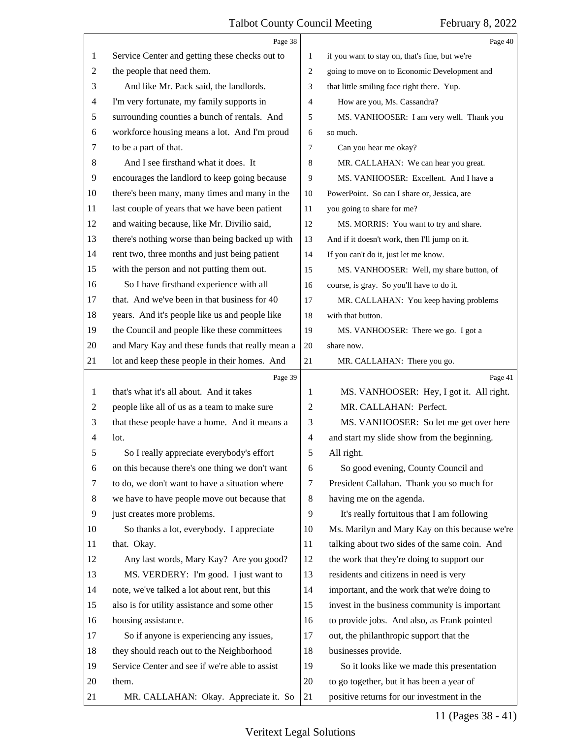<span id="page-10-0"></span>

|                | Page 38                                         |                | Page 40                                        |
|----------------|-------------------------------------------------|----------------|------------------------------------------------|
| 1              | Service Center and getting these checks out to  | 1              | if you want to stay on, that's fine, but we're |
| 2              | the people that need them.                      | 2              | going to move on to Economic Development and   |
| 3              | And like Mr. Pack said, the landlords.          | 3              | that little smiling face right there. Yup.     |
| 4              | I'm very fortunate, my family supports in       | 4              | How are you, Ms. Cassandra?                    |
| 5              | surrounding counties a bunch of rentals. And    | 5              | MS. VANHOOSER: I am very well. Thank you       |
| 6              | workforce housing means a lot. And I'm proud    | 6              | so much.                                       |
| 7              | to be a part of that.                           | 7              | Can you hear me okay?                          |
| 8              | And I see firsthand what it does. It            | 8              | MR. CALLAHAN: We can hear you great.           |
| 9              | encourages the landlord to keep going because   | 9              | MS. VANHOOSER: Excellent. And I have a         |
| 10             | there's been many, many times and many in the   | 10             | PowerPoint. So can I share or, Jessica, are    |
| 11             | last couple of years that we have been patient  | 11             | you going to share for me?                     |
| 12             | and waiting because, like Mr. Divilio said,     | 12             | MS. MORRIS: You want to try and share.         |
| 13             | there's nothing worse than being backed up with | 13             | And if it doesn't work, then I'll jump on it.  |
| 14             | rent two, three months and just being patient   | 14             | If you can't do it, just let me know.          |
| 15             | with the person and not putting them out.       | 15             | MS. VANHOOSER: Well, my share button, of       |
| 16             | So I have firsthand experience with all         | 16             | course, is gray. So you'll have to do it.      |
| 17             | that. And we've been in that business for 40    | 17             | MR. CALLAHAN: You keep having problems         |
| 18             | years. And it's people like us and people like  | 18             | with that button.                              |
| 19             | the Council and people like these committees    | 19             | MS. VANHOOSER: There we go. I got a            |
| 20             | and Mary Kay and these funds that really mean a | 20             | share now.                                     |
| 21             | lot and keep these people in their homes. And   | 21             | MR. CALLAHAN: There you go.                    |
|                | Page 39                                         |                | Page 41                                        |
| 1              | that's what it's all about. And it takes        | 1              | MS. VANHOOSER: Hey, I got it. All right.       |
| 2              | people like all of us as a team to make sure    | 2              | MR. CALLAHAN: Perfect.                         |
| 3              | that these people have a home. And it means a   | 3              | MS. VANHOOSER: So let me get over here         |
| $\overline{4}$ | lot.                                            | $\overline{4}$ | and start my slide show from the beginning.    |
| 5              | So I really appreciate everybody's effort       | 5              | All right.                                     |
| 6              | on this because there's one thing we don't want | 6              | So good evening, County Council and            |
| 7              | to do, we don't want to have a situation where  | 7              | President Callahan. Thank you so much for      |
| 8              | we have to have people move out because that    | 8              | having me on the agenda.                       |
| 9              | just creates more problems.                     | 9              | It's really fortuitous that I am following     |
| 10             | So thanks a lot, everybody. I appreciate        | 10             | Ms. Marilyn and Mary Kay on this because we're |
| 11             | that. Okay.                                     | 11             | talking about two sides of the same coin. And  |
| 12             | Any last words, Mary Kay? Are you good?         | 12             | the work that they're doing to support our     |
| 13             | MS. VERDERY: I'm good. I just want to           | 13             | residents and citizens in need is very         |
| 14             | note, we've talked a lot about rent, but this   | 14             | important, and the work that we're doing to    |
| 15             | also is for utility assistance and some other   | 15             | invest in the business community is important  |
| 16             | housing assistance.                             | 16             | to provide jobs. And also, as Frank pointed    |
| 17             | So if anyone is experiencing any issues,        | 17             | out, the philanthropic support that the        |
| 18             | they should reach out to the Neighborhood       | 18             | businesses provide.                            |
| 19             | Service Center and see if we're able to assist  | 19             | So it looks like we made this presentation     |
|                |                                                 |                |                                                |
| 20             | them.                                           | 20             | to go together, but it has been a year of      |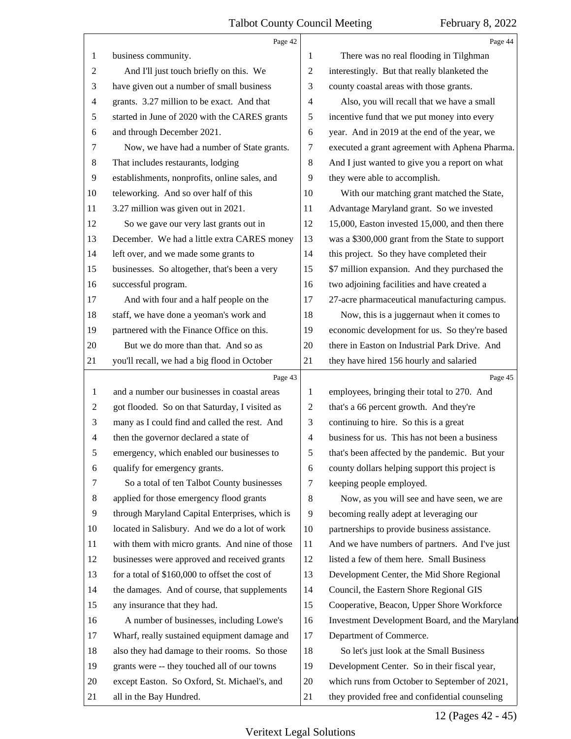<span id="page-11-0"></span>

|                | Page 42                                        |                          | Page 44                                         |
|----------------|------------------------------------------------|--------------------------|-------------------------------------------------|
| 1              | business community.                            | 1                        | There was no real flooding in Tilghman          |
| $\overline{c}$ | And I'll just touch briefly on this. We        | 2                        | interestingly. But that really blanketed the    |
| 3              | have given out a number of small business      | 3                        | county coastal areas with those grants.         |
| $\overline{4}$ | grants. 3.27 million to be exact. And that     | 4                        | Also, you will recall that we have a small      |
| 5              | started in June of 2020 with the CARES grants  | 5                        | incentive fund that we put money into every     |
| 6              | and through December 2021.                     | 6                        | year. And in 2019 at the end of the year, we    |
| $\tau$         | Now, we have had a number of State grants.     | 7                        | executed a grant agreement with Aphena Pharma.  |
| 8              | That includes restaurants, lodging             | 8                        | And I just wanted to give you a report on what  |
| 9              | establishments, nonprofits, online sales, and  | 9                        | they were able to accomplish.                   |
| 10             | teleworking. And so over half of this          | 10                       | With our matching grant matched the State,      |
| 11             | 3.27 million was given out in 2021.            | 11                       | Advantage Maryland grant. So we invested        |
| 12             | So we gave our very last grants out in         | 12                       | 15,000, Easton invested 15,000, and then there  |
| 13             | December. We had a little extra CARES money    | 13                       | was a \$300,000 grant from the State to support |
| 14             | left over, and we made some grants to          | 14                       | this project. So they have completed their      |
| 15             | businesses. So altogether, that's been a very  | 15                       | \$7 million expansion. And they purchased the   |
| 16             | successful program.                            | 16                       | two adjoining facilities and have created a     |
| 17             | And with four and a half people on the         | 17                       | 27-acre pharmaceutical manufacturing campus.    |
| 18             | staff, we have done a yeoman's work and        | 18                       | Now, this is a juggernaut when it comes to      |
| 19             | partnered with the Finance Office on this.     | 19                       | economic development for us. So they're based   |
| 20             | But we do more than that. And so as            | 20                       | there in Easton on Industrial Park Drive. And   |
| 21             | you'll recall, we had a big flood in October   | 21                       | they have hired 156 hourly and salaried         |
|                |                                                |                          |                                                 |
|                | Page 43                                        |                          | Page 45                                         |
| $\mathbf{1}$   | and a number our businesses in coastal areas   | 1                        | employees, bringing their total to 270. And     |
| 2              | got flooded. So on that Saturday, I visited as | 2                        | that's a 66 percent growth. And they're         |
| 3              | many as I could find and called the rest. And  | 3                        | continuing to hire. So this is a great          |
| $\overline{4}$ | then the governor declared a state of          | $\overline{\mathcal{A}}$ | business for us. This has not been a business   |
| 5              | emergency, which enabled our businesses to     | 5                        | that's been affected by the pandemic. But your  |
| 6              | qualify for emergency grants.                  | 6                        | county dollars helping support this project is  |
| 7              | So a total of ten Talbot County businesses     | 7                        | keeping people employed.                        |
| 8              | applied for those emergency flood grants       | 8                        | Now, as you will see and have seen, we are      |
| 9              | through Maryland Capital Enterprises, which is | 9                        | becoming really adept at leveraging our         |
| 10             | located in Salisbury. And we do a lot of work  | 10                       | partnerships to provide business assistance.    |
| 11             | with them with micro grants. And nine of those | 11                       | And we have numbers of partners. And I've just  |
| 12             | businesses were approved and received grants   | 12                       | listed a few of them here. Small Business       |
| 13             | for a total of \$160,000 to offset the cost of | 13                       | Development Center, the Mid Shore Regional      |
| 14             | the damages. And of course, that supplements   | 14                       | Council, the Eastern Shore Regional GIS         |
| 15             | any insurance that they had.                   | 15                       | Cooperative, Beacon, Upper Shore Workforce      |
| 16             | A number of businesses, including Lowe's       | 16                       | Investment Development Board, and the Maryland  |
| 17             | Wharf, really sustained equipment damage and   | 17                       | Department of Commerce.                         |
| 18             | also they had damage to their rooms. So those  | 18                       | So let's just look at the Small Business        |
| 19             | grants were -- they touched all of our towns   | 19                       | Development Center. So in their fiscal year,    |
| 20             | except Easton. So Oxford, St. Michael's, and   | 20                       | which runs from October to September of 2021,   |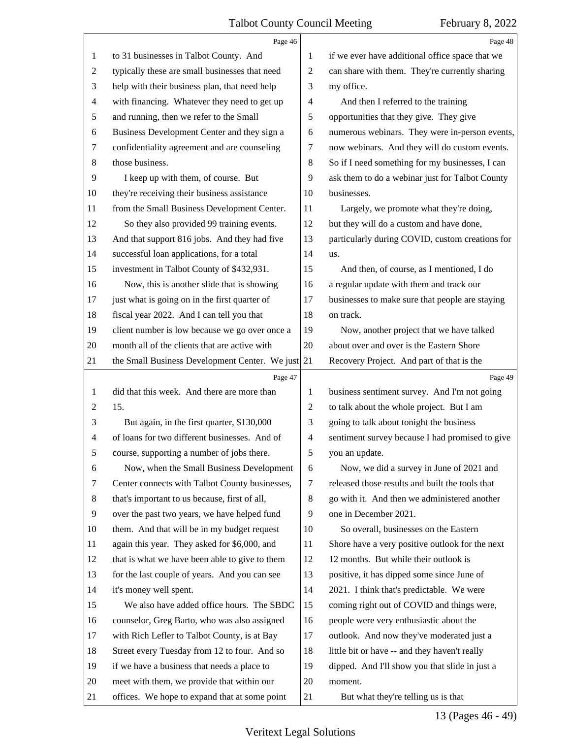<span id="page-12-0"></span>

|                | Page 46                                        |                | Page 48                                         |
|----------------|------------------------------------------------|----------------|-------------------------------------------------|
| 1              | to 31 businesses in Talbot County. And         | 1              | if we ever have additional office space that we |
| 2              | typically these are small businesses that need | $\overline{2}$ | can share with them. They're currently sharing  |
| 3              | help with their business plan, that need help  | 3              | my office.                                      |
| $\overline{4}$ | with financing. Whatever they need to get up   | $\overline{4}$ | And then I referred to the training             |
| 5              | and running, then we refer to the Small        | 5              | opportunities that they give. They give         |
| 6              | Business Development Center and they sign a    | 6              | numerous webinars. They were in-person events,  |
| 7              | confidentiality agreement and are counseling   | 7              | now webinars. And they will do custom events.   |
| 8              | those business.                                | 8              | So if I need something for my businesses, I can |
| $\overline{9}$ | I keep up with them, of course. But            | 9              | ask them to do a webinar just for Talbot County |
| 10             | they're receiving their business assistance    | 10             | businesses.                                     |
| 11             | from the Small Business Development Center.    | 11             | Largely, we promote what they're doing,         |
| 12             | So they also provided 99 training events.      | 12             | but they will do a custom and have done,        |
| 13             | And that support 816 jobs. And they had five   | 13             | particularly during COVID, custom creations for |
| 14             | successful loan applications, for a total      | 14             | us.                                             |
| 15             | investment in Talbot County of \$432,931.      | 15             | And then, of course, as I mentioned, I do       |
| 16             | Now, this is another slide that is showing     | 16             | a regular update with them and track our        |
| 17             | just what is going on in the first quarter of  | 17             | businesses to make sure that people are staying |
| 18             | fiscal year 2022. And I can tell you that      | 18             | on track.                                       |
| 19             | client number is low because we go over once a | 19             | Now, another project that we have talked        |
| 20             | month all of the clients that are active with  | 20             | about over and over is the Eastern Shore        |
| 21             | the Small Business Development Center. We just | 21             | Recovery Project. And part of that is the       |
|                |                                                |                |                                                 |
|                | Page 47                                        |                | Page 49                                         |
| 1              | did that this week. And there are more than    | 1              | business sentiment survey. And I'm not going    |
| $\overline{c}$ | 15.                                            | $\overline{2}$ | to talk about the whole project. But I am       |
| 3              | But again, in the first quarter, \$130,000     | 3              | going to talk about tonight the business        |
| $\overline{4}$ | of loans for two different businesses. And of  | $\overline{4}$ | sentiment survey because I had promised to give |
| 5              | course, supporting a number of jobs there.     | 5              | you an update.                                  |
| 6              | Now, when the Small Business Development       | 6              | Now, we did a survey in June of 2021 and        |
| 7              | Center connects with Talbot County businesses, | 7              | released those results and built the tools that |
| 8              | that's important to us because, first of all,  | 8              | go with it. And then we administered another    |
| 9              | over the past two years, we have helped fund   | 9              | one in December 2021.                           |
| 10             | them. And that will be in my budget request    | 10             | So overall, businesses on the Eastern           |
| 11             | again this year. They asked for \$6,000, and   | 11             | Shore have a very positive outlook for the next |
| 12             | that is what we have been able to give to them | 12             | 12 months. But while their outlook is           |
| 13             | for the last couple of years. And you can see  | 13             | positive, it has dipped some since June of      |
| 14             | it's money well spent.                         | 14             | 2021. I think that's predictable. We were       |
| 15             | We also have added office hours. The SBDC      | 15             | coming right out of COVID and things were,      |
| 16             | counselor, Greg Barto, who was also assigned   | 16             | people were very enthusiastic about the         |
| 17             | with Rich Lefler to Talbot County, is at Bay   | 17             | outlook. And now they've moderated just a       |
| 18             | Street every Tuesday from 12 to four. And so   | 18             | little bit or have -- and they haven't really   |
| 19             | if we have a business that needs a place to    | 19             | dipped. And I'll show you that slide in just a  |
| 20             | meet with them, we provide that within our     | 20             | moment.                                         |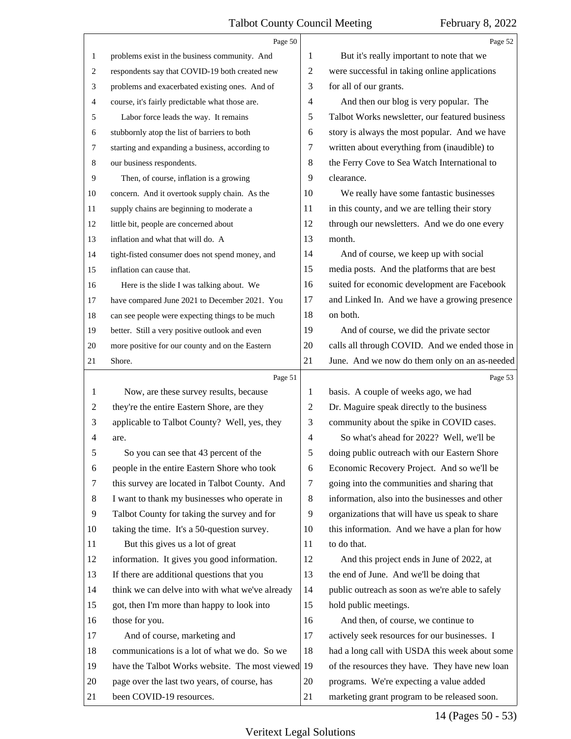<span id="page-13-0"></span>

|                | Page 50                                                                  |                          | Page 52                                                                                 |
|----------------|--------------------------------------------------------------------------|--------------------------|-----------------------------------------------------------------------------------------|
| $\mathbf{1}$   | problems exist in the business community. And                            | 1                        | But it's really important to note that we                                               |
| 2              | respondents say that COVID-19 both created new                           | $\mathbf{2}$             | were successful in taking online applications                                           |
| 3              | problems and exacerbated existing ones. And of                           | 3                        | for all of our grants.                                                                  |
| 4              | course, it's fairly predictable what those are.                          | $\overline{\mathcal{A}}$ | And then our blog is very popular. The                                                  |
| 5              | Labor force leads the way. It remains                                    | 5                        | Talbot Works newsletter, our featured business                                          |
| 6              | stubbornly atop the list of barriers to both                             | 6                        | story is always the most popular. And we have                                           |
| 7              | starting and expanding a business, according to                          | 7                        | written about everything from (inaudible) to                                            |
| 8              | our business respondents.                                                | $\,8\,$                  | the Ferry Cove to Sea Watch International to                                            |
| 9              | Then, of course, inflation is a growing                                  | 9                        | clearance.                                                                              |
| 10             | concern. And it overtook supply chain. As the                            | 10                       | We really have some fantastic businesses                                                |
| 11             | supply chains are beginning to moderate a                                | 11                       | in this county, and we are telling their story                                          |
| 12             | little bit, people are concerned about                                   | 12                       | through our newsletters. And we do one every                                            |
| 13             | inflation and what that will do. A                                       | 13                       | month.                                                                                  |
| 14             | tight-fisted consumer does not spend money, and                          | 14                       | And of course, we keep up with social                                                   |
| 15             | inflation can cause that.                                                | 15                       | media posts. And the platforms that are best                                            |
| 16             | Here is the slide I was talking about. We                                | 16                       | suited for economic development are Facebook                                            |
| 17             | have compared June 2021 to December 2021. You                            | 17                       | and Linked In. And we have a growing presence                                           |
| 18             | can see people were expecting things to be much                          | 18                       | on both.                                                                                |
| 19             | better. Still a very positive outlook and even                           | 19                       | And of course, we did the private sector                                                |
| 20             | more positive for our county and on the Eastern                          | 20                       | calls all through COVID. And we ended those in                                          |
| 21             | Shore.                                                                   | 21                       | June. And we now do them only on an as-needed                                           |
|                |                                                                          |                          |                                                                                         |
|                | Page 51                                                                  |                          | Page 53                                                                                 |
| 1              | Now, are these survey results, because                                   | 1                        | basis. A couple of weeks ago, we had                                                    |
| 2              | they're the entire Eastern Shore, are they                               | 2                        | Dr. Maguire speak directly to the business                                              |
| 3              | applicable to Talbot County? Well, yes, they                             | 3                        | community about the spike in COVID cases.                                               |
| $\overline{4}$ | are.                                                                     | $\overline{4}$           | So what's ahead for 2022? Well, we'll be                                                |
| 5              | So you can see that 43 percent of the                                    | 5                        | doing public outreach with our Eastern Shore                                            |
| 6              | people in the entire Eastern Shore who took                              | 6                        | Economic Recovery Project. And so we'll be                                              |
| 7              | this survey are located in Talbot County. And                            | 7                        | going into the communities and sharing that                                             |
| 8              | I want to thank my businesses who operate in                             | 8                        | information, also into the businesses and other                                         |
| 9              | Talbot County for taking the survey and for                              | 9                        | organizations that will have us speak to share                                          |
| 10             | taking the time. It's a 50-question survey.                              | 10                       | this information. And we have a plan for how                                            |
| 11             | But this gives us a lot of great                                         | 11                       | to do that.                                                                             |
| 12             | information. It gives you good information.                              | 12                       | And this project ends in June of 2022, at                                               |
| 13             | If there are additional questions that you                               | 13                       | the end of June. And we'll be doing that                                                |
| 14             | think we can delve into with what we've already                          | 14                       | public outreach as soon as we're able to safely                                         |
| 15             | got, then I'm more than happy to look into                               | 15                       | hold public meetings.                                                                   |
| 16             | those for you.                                                           | 16                       | And then, of course, we continue to                                                     |
| 17             | And of course, marketing and                                             | 17                       | actively seek resources for our businesses. I                                           |
| 18             | communications is a lot of what we do. So we                             | 18                       | had a long call with USDA this week about some                                          |
| 19             | have the Talbot Works website. The most viewed 19                        |                          | of the resources they have. They have new loan                                          |
| 20<br>21       | page over the last two years, of course, has<br>been COVID-19 resources. | 20<br>21                 | programs. We're expecting a value added<br>marketing grant program to be released soon. |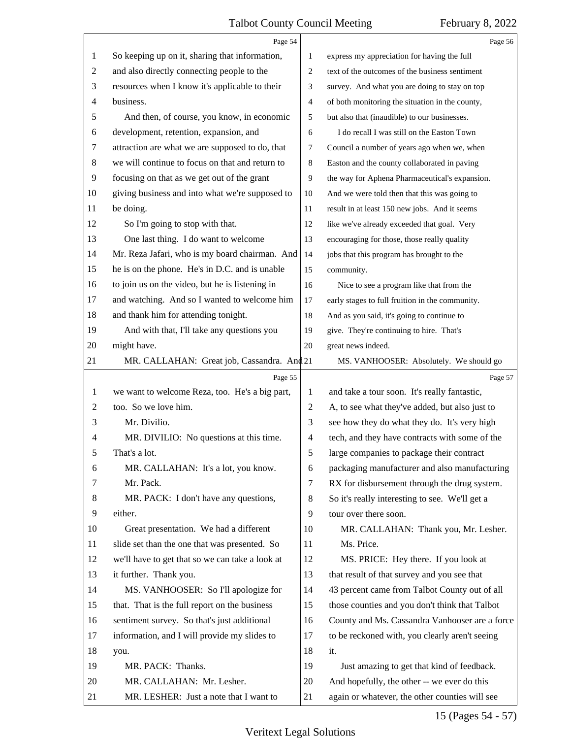<span id="page-14-0"></span>

|                | Page 54                                         |                | Page 56                                         |
|----------------|-------------------------------------------------|----------------|-------------------------------------------------|
| 1              | So keeping up on it, sharing that information,  | 1              | express my appreciation for having the full     |
| $\overline{c}$ | and also directly connecting people to the      | 2              | text of the outcomes of the business sentiment  |
| 3              | resources when I know it's applicable to their  | 3              | survey. And what you are doing to stay on top   |
| 4              | business.                                       | 4              | of both monitoring the situation in the county, |
| 5              | And then, of course, you know, in economic      | 5              | but also that (inaudible) to our businesses.    |
| 6              | development, retention, expansion, and          | 6              | I do recall I was still on the Easton Town      |
| 7              | attraction are what we are supposed to do, that | 7              | Council a number of years ago when we, when     |
| $\,8\,$        | we will continue to focus on that and return to | 8              | Easton and the county collaborated in paving    |
| 9              | focusing on that as we get out of the grant     | 9              | the way for Aphena Pharmaceutical's expansion.  |
| 10             | giving business and into what we're supposed to | 10             | And we were told then that this was going to    |
| 11             | be doing.                                       | 11             | result in at least 150 new jobs. And it seems   |
| 12             | So I'm going to stop with that.                 | 12             | like we've already exceeded that goal. Very     |
| 13             | One last thing. I do want to welcome            | 13             | encouraging for those, those really quality     |
| 14             | Mr. Reza Jafari, who is my board chairman. And  | 14             | jobs that this program has brought to the       |
| 15             | he is on the phone. He's in D.C. and is unable  | 15             | community.                                      |
| 16             | to join us on the video, but he is listening in | 16             | Nice to see a program like that from the        |
| 17             | and watching. And so I wanted to welcome him    | 17             | early stages to full fruition in the community. |
| 18             | and thank him for attending tonight.            | 18             | And as you said, it's going to continue to      |
| 19             | And with that, I'll take any questions you      | 19             | give. They're continuing to hire. That's        |
| 20             | might have.                                     | 20             | great news indeed.                              |
| 21             | MR. CALLAHAN: Great job, Cassandra. And 21      |                | MS. VANHOOSER: Absolutely. We should go         |
|                |                                                 |                |                                                 |
|                | Page 55                                         |                | Page 57                                         |
| 1              | we want to welcome Reza, too. He's a big part,  | 1              | and take a tour soon. It's really fantastic,    |
| 2              | too. So we love him.                            | $\overline{c}$ | A, to see what they've added, but also just to  |
| 3              | Mr. Divilio.                                    | 3              | see how they do what they do. It's very high    |
| 4              | MR. DIVILIO: No questions at this time.         | 4              | tech, and they have contracts with some of the  |
|                | That's a lot.                                   | 5              | large companies to package their contract       |
| 6              | MR. CALLAHAN: It's a lot, you know.             | 6              | packaging manufacturer and also manufacturing   |
| 7              | Mr. Pack.                                       | 7              | RX for disbursement through the drug system.    |
| 8              | MR. PACK: I don't have any questions,           | 8              | So it's really interesting to see. We'll get a  |
| 9              | either.                                         | 9              | tour over there soon.                           |
| 10             | Great presentation. We had a different          | 10             | MR. CALLAHAN: Thank you, Mr. Lesher.            |
| 11             | slide set than the one that was presented. So   | 11             | Ms. Price.                                      |
| 12             | we'll have to get that so we can take a look at | 12             | MS. PRICE: Hey there. If you look at            |
| 13             | it further. Thank you.                          | 13             | that result of that survey and you see that     |
| 14             | MS. VANHOOSER: So I'll apologize for            | 14             | 43 percent came from Talbot County out of all   |
| 15             | that. That is the full report on the business   | 15             | those counties and you don't think that Talbot  |
| 16             | sentiment survey. So that's just additional     | 16             | County and Ms. Cassandra Vanhooser are a force  |
| 17             | information, and I will provide my slides to    | 17             | to be reckoned with, you clearly aren't seeing  |
| 18             | you.                                            | 18             | it.                                             |
| 19             | MR. PACK: Thanks.                               | 19             | Just amazing to get that kind of feedback.      |
| 20             | MR. CALLAHAN: Mr. Lesher.                       | 20             | And hopefully, the other -- we ever do this     |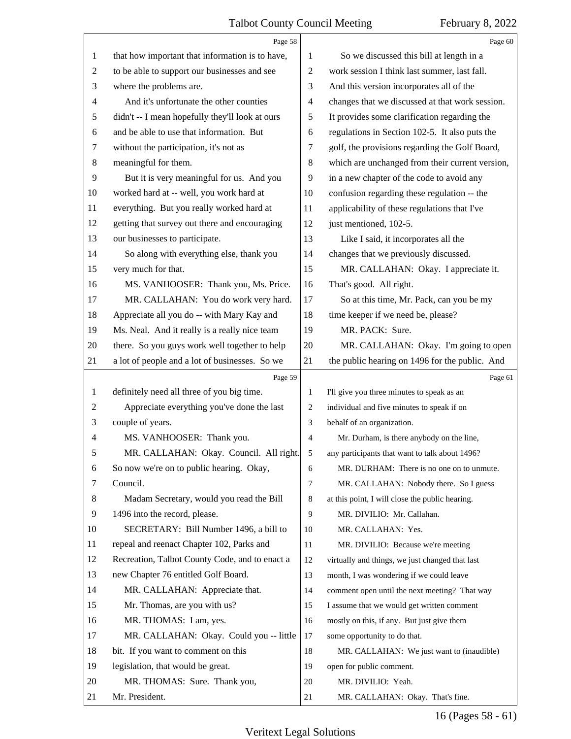<span id="page-15-0"></span>

|                | Page 58                                         |                | Page 60                                         |
|----------------|-------------------------------------------------|----------------|-------------------------------------------------|
| $\mathbf{1}$   | that how important that information is to have, | 1              | So we discussed this bill at length in a        |
| $\overline{2}$ | to be able to support our businesses and see    | $\overline{2}$ | work session I think last summer, last fall.    |
| 3              | where the problems are.                         | 3              | And this version incorporates all of the        |
| $\overline{4}$ | And it's unfortunate the other counties         | $\overline{4}$ | changes that we discussed at that work session. |
| 5              | didn't -- I mean hopefully they'll look at ours | 5              | It provides some clarification regarding the    |
| 6              | and be able to use that information. But        | 6              | regulations in Section 102-5. It also puts the  |
| 7              | without the participation, it's not as          | $\tau$         | golf, the provisions regarding the Golf Board,  |
| $\,8$          | meaningful for them.                            | 8              | which are unchanged from their current version, |
| 9              | But it is very meaningful for us. And you       | 9              | in a new chapter of the code to avoid any       |
| 10             | worked hard at -- well, you work hard at        | 10             | confusion regarding these regulation -- the     |
| 11             | everything. But you really worked hard at       | 11             | applicability of these regulations that I've    |
| 12             | getting that survey out there and encouraging   | 12             | just mentioned, 102-5.                          |
| 13             | our businesses to participate.                  | 13             | Like I said, it incorporates all the            |
| 14             | So along with everything else, thank you        | 14             | changes that we previously discussed.           |
| 15             | very much for that.                             | 15             | MR. CALLAHAN: Okay. I appreciate it.            |
| 16             | MS. VANHOOSER: Thank you, Ms. Price.            | 16             | That's good. All right.                         |
| 17             | MR. CALLAHAN: You do work very hard.            | 17             | So at this time, Mr. Pack, can you be my        |
| 18             | Appreciate all you do -- with Mary Kay and      | 18             | time keeper if we need be, please?              |
| 19             | Ms. Neal. And it really is a really nice team   | 19             | MR. PACK: Sure.                                 |
| 20             | there. So you guys work well together to help   | 20             | MR. CALLAHAN: Okay. I'm going to open           |
| 21             | a lot of people and a lot of businesses. So we  | 21             | the public hearing on 1496 for the public. And  |
|                |                                                 |                |                                                 |
|                | Page 59                                         |                | Page 61                                         |
| 1              | definitely need all three of you big time.      | 1              | I'll give you three minutes to speak as an      |
| $\overline{c}$ | Appreciate everything you've done the last      | 2              | individual and five minutes to speak if on      |
| 3              | couple of years.                                | 3              | behalf of an organization.                      |
| 4              | MS. VANHOOSER: Thank you.                       | $\overline{4}$ | Mr. Durham, is there anybody on the line,       |
| 5              | MR. CALLAHAN: Okay. Council. All right.         | 5              | any participants that want to talk about 1496?  |
| 6              | So now we're on to public hearing. Okay,        | 6              | MR. DURHAM: There is no one on to unmute.       |
| 7              | Council.                                        | $\overline{7}$ | MR. CALLAHAN: Nobody there. So I guess          |
| 8              | Madam Secretary, would you read the Bill        | 8              | at this point, I will close the public hearing. |
| 9              | 1496 into the record, please.                   | 9              | MR. DIVILIO: Mr. Callahan.                      |
| 10             | SECRETARY: Bill Number 1496, a bill to          | 10             | MR. CALLAHAN: Yes.                              |
| 11             | repeal and reenact Chapter 102, Parks and       | 11             | MR. DIVILIO: Because we're meeting              |
| 12             | Recreation, Talbot County Code, and to enact a  | 12             | virtually and things, we just changed that last |
| 13             | new Chapter 76 entitled Golf Board.             | 13             | month, I was wondering if we could leave        |
| 14             | MR. CALLAHAN: Appreciate that.                  | 14             | comment open until the next meeting? That way   |
| 15             | Mr. Thomas, are you with us?                    | 15             | I assume that we would get written comment      |
| 16             | MR. THOMAS: I am, yes.                          | 16             | mostly on this, if any. But just give them      |
| 17             | MR. CALLAHAN: Okay. Could you -- little         | 17             | some opportunity to do that.                    |
| 18             | bit. If you want to comment on this             | 18             | MR. CALLAHAN: We just want to (inaudible)       |
| 19             | legislation, that would be great.               | 19             | open for public comment.                        |
| 20             | MR. THOMAS: Sure. Thank you,                    | 20             | MR. DIVILIO: Yeah.                              |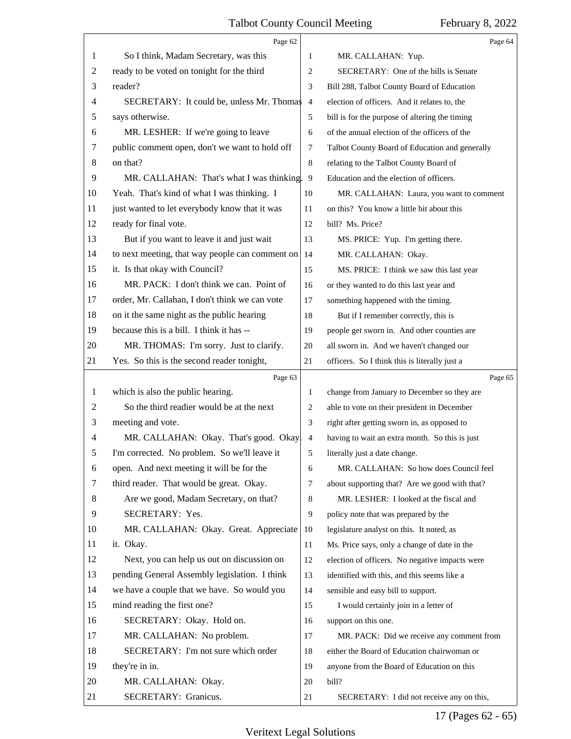<span id="page-16-0"></span>

|    | Page 62                                         |                | Page 64                                        |  |
|----|-------------------------------------------------|----------------|------------------------------------------------|--|
| 1  | So I think, Madam Secretary, was this           | 1              | MR. CALLAHAN: Yup.                             |  |
| 2  | ready to be voted on tonight for the third      | 2              | SECRETARY: One of the bills is Senate          |  |
| 3  | reader?                                         | 3              | Bill 288, Talbot County Board of Education     |  |
| 4  | SECRETARY: It could be, unless Mr. Thomas       | $\overline{4}$ | election of officers. And it relates to, the   |  |
| 5  | says otherwise.                                 | 5              | bill is for the purpose of altering the timing |  |
| 6  | MR. LESHER: If we're going to leave             | 6              | of the annual election of the officers of the  |  |
| 7  | public comment open, don't we want to hold off  | 7              | Talbot County Board of Education and generally |  |
| 8  | on that?                                        | $\,8\,$        | relating to the Talbot County Board of         |  |
| 9  | MR. CALLAHAN: That's what I was thinking. 9     |                | Education and the election of officers.        |  |
| 10 | Yeah. That's kind of what I was thinking. I     | 10             | MR. CALLAHAN: Laura, you want to comment       |  |
| 11 | just wanted to let everybody know that it was   | 11             | on this? You know a little bit about this      |  |
| 12 | ready for final vote.                           | 12             | bill? Ms. Price?                               |  |
| 13 | But if you want to leave it and just wait       | 13             | MS. PRICE: Yup. I'm getting there.             |  |
| 14 | to next meeting, that way people can comment on | 14             | MR. CALLAHAN: Okay.                            |  |
| 15 | it. Is that okay with Council?                  | 15             | MS. PRICE: I think we saw this last year       |  |
| 16 | MR. PACK: I don't think we can. Point of        | 16             | or they wanted to do this last year and        |  |
| 17 | order, Mr. Callahan, I don't think we can vote  | 17             | something happened with the timing.            |  |
| 18 | on it the same night as the public hearing      | 18             | But if I remember correctly, this is           |  |
| 19 | because this is a bill. I think it has --       | 19             | people get sworn in. And other counties are    |  |
| 20 | MR. THOMAS: I'm sorry. Just to clarify.         | 20             | all sworn in. And we haven't changed our       |  |
| 21 | Yes. So this is the second reader tonight,      | 21             | officers. So I think this is literally just a  |  |
|    | Page 63                                         |                | Page 65                                        |  |
| 1  | which is also the public hearing.               | 1              | change from January to December so they are    |  |
| 2  | So the third readier would be at the next       | 2              | able to vote on their president in December    |  |
| 3  | meeting and vote.                               | 3              | right after getting sworn in, as opposed to    |  |
| 4  | MR. CALLAHAN: Okay. That's good. Okay.          | 4              | having to wait an extra month. So this is just |  |
| 5  | I'm corrected. No problem. So we'll leave it    | 5              | literally just a date change.                  |  |
| 6  | open. And next meeting it will be for the       | 6              | MR. CALLAHAN: So how does Council feel         |  |
| 7  | third reader. That would be great. Okay.        | 7              | about supporting that? Are we good with that?  |  |
| 8  | Are we good, Madam Secretary, on that?          | 8              | MR. LESHER: I looked at the fiscal and         |  |
| 9  | SECRETARY: Yes.                                 | 9              | policy note that was prepared by the           |  |
| 10 | MR. CALLAHAN: Okay. Great. Appreciate           | 10             | legislature analyst on this. It noted, as      |  |
| 11 | it. Okay.                                       | 11             | Ms. Price says, only a change of date in the   |  |
| 12 | Next, you can help us out on discussion on      | 12             | election of officers. No negative impacts were |  |
| 13 | pending General Assembly legislation. I think   | 13             | identified with this, and this seems like a    |  |
| 14 | we have a couple that we have. So would you     | 14             | sensible and easy bill to support.             |  |
| 15 | mind reading the first one?                     | 15             | I would certainly join in a letter of          |  |
| 16 | SECRETARY: Okay. Hold on.                       | 16             | support on this one.                           |  |
| 17 | MR. CALLAHAN: No problem.                       | 17             | MR. PACK: Did we receive any comment from      |  |
| 18 |                                                 | 18             | either the Board of Education chairwoman or    |  |
|    | SECRETARY: I'm not sure which order             |                |                                                |  |
| 19 | they're in in.                                  | 19             | anyone from the Board of Education on this     |  |
| 20 | MR. CALLAHAN: Okay.                             | 20             | bill?                                          |  |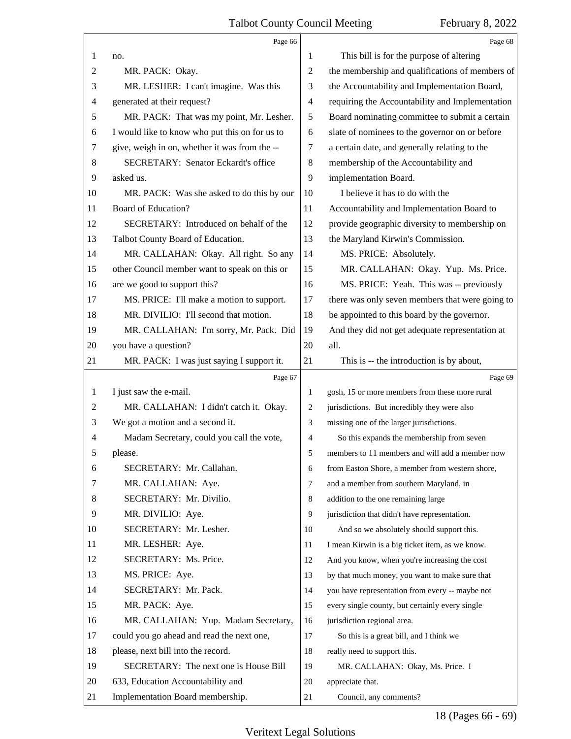<span id="page-17-0"></span>

|    | Page 66                                        |                | Page 68                                         |
|----|------------------------------------------------|----------------|-------------------------------------------------|
| 1  | no.                                            | 1              | This bill is for the purpose of altering        |
| 2  | MR. PACK: Okay.                                | $\overline{c}$ | the membership and qualifications of members of |
| 3  | MR. LESHER: I can't imagine. Was this          | 3              | the Accountability and Implementation Board,    |
| 4  | generated at their request?                    | 4              | requiring the Accountability and Implementation |
| 5  | MR. PACK: That was my point, Mr. Lesher.       | 5              | Board nominating committee to submit a certain  |
| 6  | I would like to know who put this on for us to | 6              | slate of nominees to the governor on or before  |
| 7  | give, weigh in on, whether it was from the --  | 7              | a certain date, and generally relating to the   |
| 8  | <b>SECRETARY: Senator Eckardt's office</b>     | $\,8\,$        | membership of the Accountability and            |
| 9  | asked us.                                      | 9              | implementation Board.                           |
| 10 | MR. PACK: Was she asked to do this by our      | 10             | I believe it has to do with the                 |
| 11 | Board of Education?                            | 11             | Accountability and Implementation Board to      |
| 12 | SECRETARY: Introduced on behalf of the         | 12             | provide geographic diversity to membership on   |
| 13 | Talbot County Board of Education.              | 13             | the Maryland Kirwin's Commission.               |
| 14 | MR. CALLAHAN: Okay. All right. So any          | 14             | MS. PRICE: Absolutely.                          |
| 15 | other Council member want to speak on this or  | 15             | MR. CALLAHAN: Okay. Yup. Ms. Price.             |
| 16 | are we good to support this?                   | 16             | MS. PRICE: Yeah. This was -- previously         |
| 17 | MS. PRICE: I'll make a motion to support.      | 17             | there was only seven members that were going to |
| 18 | MR. DIVILIO: I'll second that motion.          | 18             | be appointed to this board by the governor.     |
| 19 | MR. CALLAHAN: I'm sorry, Mr. Pack. Did         | 19             | And they did not get adequate representation at |
| 20 | you have a question?                           | 20             | all.                                            |
| 21 | MR. PACK: I was just saying I support it.      | 21             | This is -- the introduction is by about,        |
|    |                                                |                |                                                 |
|    | Page 67                                        |                | Page 69                                         |
| 1  | I just saw the e-mail.                         | 1              | gosh, 15 or more members from these more rural  |
| 2  | MR. CALLAHAN: I didn't catch it. Okay.         | 2              | jurisdictions. But incredibly they were also    |
| 3  | We got a motion and a second it.               | 3              | missing one of the larger jurisdictions.        |
| 4  | Madam Secretary, could you call the vote,      | $\overline{4}$ | So this expands the membership from seven       |
|    | please.                                        | 5              | members to 11 members and will add a member now |
| 6  | SECRETARY: Mr. Callahan.                       | 6              | from Easton Shore, a member from western shore, |
| 7  | MR. CALLAHAN: Aye.                             | $\tau$         | and a member from southern Maryland, in         |
| 8  | SECRETARY: Mr. Divilio.                        | 8              | addition to the one remaining large             |
| 9  | MR. DIVILIO: Aye.                              | 9              | jurisdiction that didn't have representation.   |
| 10 | SECRETARY: Mr. Lesher.                         | 10             | And so we absolutely should support this.       |
| 11 | MR. LESHER: Aye.                               | 11             | I mean Kirwin is a big ticket item, as we know. |
| 12 | SECRETARY: Ms. Price.                          | 12             | And you know, when you're increasing the cost   |
| 13 | MS. PRICE: Aye.                                | 13             | by that much money, you want to make sure that  |
| 14 | SECRETARY: Mr. Pack.                           | 14             | you have representation from every -- maybe not |
| 15 | MR. PACK: Aye.                                 | 15             | every single county, but certainly every single |
| 16 | MR. CALLAHAN: Yup. Madam Secretary,            | 16             | jurisdiction regional area.                     |
| 17 | could you go ahead and read the next one,      | 17             | So this is a great bill, and I think we         |
| 18 | please, next bill into the record.             | 18             | really need to support this.                    |
| 19 | SECRETARY: The next one is House Bill          | 19             | MR. CALLAHAN: Okay, Ms. Price. I                |
| 20 | 633, Education Accountability and              | 20             | appreciate that.                                |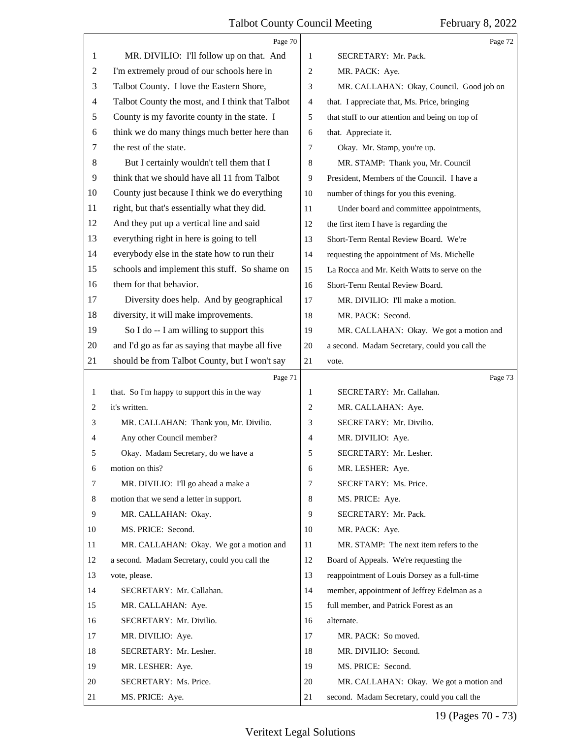<span id="page-18-0"></span>

|    | Page 70                                         |                | Page 72                                         |
|----|-------------------------------------------------|----------------|-------------------------------------------------|
| 1  | MR. DIVILIO: I'll follow up on that. And        | 1              | SECRETARY: Mr. Pack.                            |
| 2  | I'm extremely proud of our schools here in      | 2              | MR. PACK: Aye.                                  |
| 3  | Talbot County. I love the Eastern Shore,        | 3              | MR. CALLAHAN: Okay, Council. Good job on        |
| 4  | Talbot County the most, and I think that Talbot | 4              | that. I appreciate that, Ms. Price, bringing    |
| 5  | County is my favorite county in the state. I    | 5              | that stuff to our attention and being on top of |
| 6  | think we do many things much better here than   | 6              | that. Appreciate it.                            |
| 7  | the rest of the state.                          | 7              | Okay. Mr. Stamp, you're up.                     |
| 8  | But I certainly wouldn't tell them that I       | 8              | MR. STAMP: Thank you, Mr. Council               |
| 9  | think that we should have all 11 from Talbot    | 9              | President, Members of the Council. I have a     |
| 10 | County just because I think we do everything    | 10             | number of things for you this evening.          |
| 11 | right, but that's essentially what they did.    | 11             | Under board and committee appointments,         |
| 12 | And they put up a vertical line and said        | 12             | the first item I have is regarding the          |
| 13 | everything right in here is going to tell       | 13             | Short-Term Rental Review Board. We're           |
| 14 | everybody else in the state how to run their    | 14             | requesting the appointment of Ms. Michelle      |
| 15 | schools and implement this stuff. So shame on   | 15             | La Rocca and Mr. Keith Watts to serve on the    |
| 16 | them for that behavior.                         | 16             | Short-Term Rental Review Board.                 |
| 17 | Diversity does help. And by geographical        | 17             | MR. DIVILIO: I'll make a motion.                |
| 18 | diversity, it will make improvements.           | 18             | MR. PACK: Second.                               |
| 19 | So I do -- I am willing to support this         | 19             | MR. CALLAHAN: Okay. We got a motion and         |
| 20 | and I'd go as far as saying that maybe all five | 20             | a second. Madam Secretary, could you call the   |
| 21 | should be from Talbot County, but I won't say   | 21             | vote.                                           |
|    |                                                 |                |                                                 |
|    | Page 71                                         |                | Page 73                                         |
| 1  | that. So I'm happy to support this in the way   | 1              | SECRETARY: Mr. Callahan.                        |
| 2  | it's written.                                   | 2              | MR. CALLAHAN: Aye.                              |
| 3  | MR. CALLAHAN: Thank you, Mr. Divilio.           | 3              | SECRETARY: Mr. Divilio.                         |
| 4  | Any other Council member?                       | 4              | MR. DIVILIO: Aye.                               |
| 5  | Okay. Madam Secretary, do we have a             | 5              | SECRETARY: Mr. Lesher.                          |
| 6  | motion on this?                                 | 6              | MR. LESHER: Aye.                                |
| 7  | MR. DIVILIO: I'll go ahead a make a             | $\overline{7}$ | SECRETARY: Ms. Price.                           |
| 8  | motion that we send a letter in support.        | 8              | MS. PRICE: Aye.                                 |
| 9  | MR. CALLAHAN: Okay.                             | 9              | SECRETARY: Mr. Pack.                            |
| 10 | MS. PRICE: Second.                              | 10             | MR. PACK: Aye.                                  |
| 11 | MR. CALLAHAN: Okay. We got a motion and         | 11             | MR. STAMP: The next item refers to the          |
| 12 | a second. Madam Secretary, could you call the   | 12             | Board of Appeals. We're requesting the          |
| 13 | vote, please.                                   | 13             | reappointment of Louis Dorsey as a full-time    |
| 14 | SECRETARY: Mr. Callahan.                        | 14             | member, appointment of Jeffrey Edelman as a     |
| 15 | MR. CALLAHAN: Aye.                              | 15             | full member, and Patrick Forest as an           |
| 16 | SECRETARY: Mr. Divilio.                         | 16             | alternate.                                      |
| 17 | MR. DIVILIO: Aye.                               | 17             | MR. PACK: So moved.                             |
| 18 | SECRETARY: Mr. Lesher.                          | 18             | MR. DIVILIO: Second.                            |
| 19 | MR. LESHER: Aye.                                | 19             | MS. PRICE: Second.                              |
| 20 | SECRETARY: Ms. Price.                           | 20             | MR. CALLAHAN: Okay. We got a motion and         |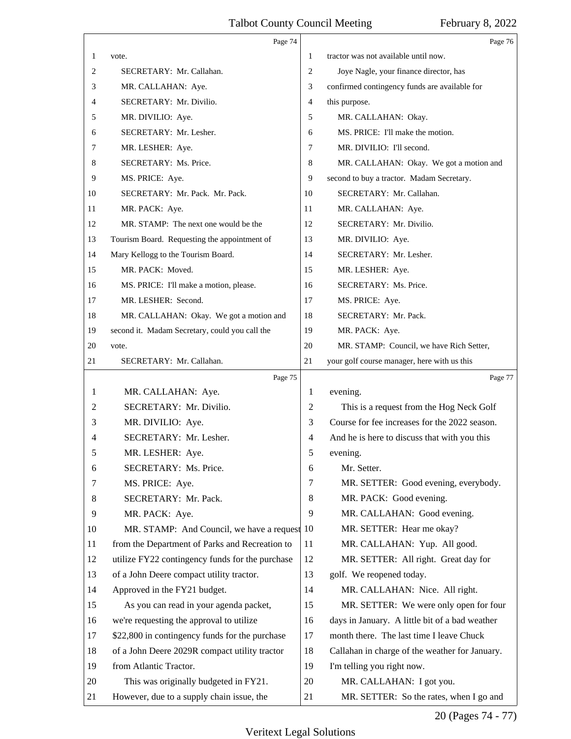<span id="page-19-0"></span>

|    | Page 74                                         |                | Page 76                                        |
|----|-------------------------------------------------|----------------|------------------------------------------------|
| 1  | vote.                                           | 1              | tractor was not available until now.           |
| 2  | SECRETARY: Mr. Callahan.                        | 2              | Joye Nagle, your finance director, has         |
| 3  | MR. CALLAHAN: Aye.                              | 3              | confirmed contingency funds are available for  |
| 4  | SECRETARY: Mr. Divilio.                         | 4              | this purpose.                                  |
| 5  | MR. DIVILIO: Aye.                               | 5              | MR. CALLAHAN: Okay.                            |
| 6  | SECRETARY: Mr. Lesher.                          | 6              | MS. PRICE: I'll make the motion.               |
| 7  | MR. LESHER: Aye.                                | 7              | MR. DIVILIO: I'll second.                      |
| 8  | SECRETARY: Ms. Price.                           | 8              | MR. CALLAHAN: Okay. We got a motion and        |
| 9  | MS. PRICE: Aye.                                 | 9              | second to buy a tractor. Madam Secretary.      |
| 10 | SECRETARY: Mr. Pack. Mr. Pack.                  | 10             | SECRETARY: Mr. Callahan.                       |
| 11 | MR. PACK: Aye.                                  | 11             | MR. CALLAHAN: Aye.                             |
| 12 | MR. STAMP: The next one would be the            | 12             | SECRETARY: Mr. Divilio.                        |
| 13 | Tourism Board. Requesting the appointment of    | 13             | MR. DIVILIO: Aye.                              |
| 14 | Mary Kellogg to the Tourism Board.              | 14             | SECRETARY: Mr. Lesher.                         |
| 15 | MR. PACK: Moved.                                | 15             | MR. LESHER: Aye.                               |
| 16 | MS. PRICE: I'll make a motion, please.          | 16             | SECRETARY: Ms. Price.                          |
| 17 | MR. LESHER: Second.                             | 17             | MS. PRICE: Aye.                                |
| 18 | MR. CALLAHAN: Okay. We got a motion and         | 18             | SECRETARY: Mr. Pack.                           |
| 19 | second it. Madam Secretary, could you call the  | 19             | MR. PACK: Aye.                                 |
| 20 | vote.                                           | 20             | MR. STAMP: Council, we have Rich Setter,       |
| 21 | SECRETARY: Mr. Callahan.                        | 21             | your golf course manager, here with us this    |
|    | Page 75                                         |                | Page 77                                        |
|    |                                                 |                |                                                |
| 1  | MR. CALLAHAN: Aye.                              | 1              | evening.                                       |
| 2  | SECRETARY: Mr. Divilio.                         | 2              | This is a request from the Hog Neck Golf       |
| 3  | MR. DIVILIO: Aye.                               | 3              | Course for fee increases for the 2022 season.  |
| 4  | SECRETARY: Mr. Lesher.                          | $\overline{4}$ | And he is here to discuss that with you this   |
|    | MR. LESHER: Aye.                                | 5              | evening.                                       |
| 6  | SECRETARY: Ms. Price.                           | 6              | Mr. Setter.                                    |
| 7  | MS. PRICE: Aye.                                 | 7              | MR. SETTER: Good evening, everybody.           |
| 8  | SECRETARY: Mr. Pack.                            | 8              | MR. PACK: Good evening.                        |
| 9  | MR. PACK: Aye.                                  | 9              | MR. CALLAHAN: Good evening.                    |
| 10 | MR. STAMP: And Council, we have a request 10    |                | MR. SETTER: Hear me okay?                      |
| 11 | from the Department of Parks and Recreation to  | 11             | MR. CALLAHAN: Yup. All good.                   |
| 12 | utilize FY22 contingency funds for the purchase | 12             | MR. SETTER: All right. Great day for           |
| 13 | of a John Deere compact utility tractor.        | 13             | golf. We reopened today.                       |
| 14 | Approved in the FY21 budget.                    | 14             | MR. CALLAHAN: Nice. All right.                 |
| 15 | As you can read in your agenda packet,          | 15             | MR. SETTER: We were only open for four         |
| 16 | we're requesting the approval to utilize        | 16             | days in January. A little bit of a bad weather |
| 17 | \$22,800 in contingency funds for the purchase  | 17             | month there. The last time I leave Chuck       |
| 18 | of a John Deere 2029R compact utility tractor   | 18             | Callahan in charge of the weather for January. |
| 19 | from Atlantic Tractor.                          | 19             | I'm telling you right now.                     |
| 20 | This was originally budgeted in FY21.           | 20             | MR. CALLAHAN: I got you.                       |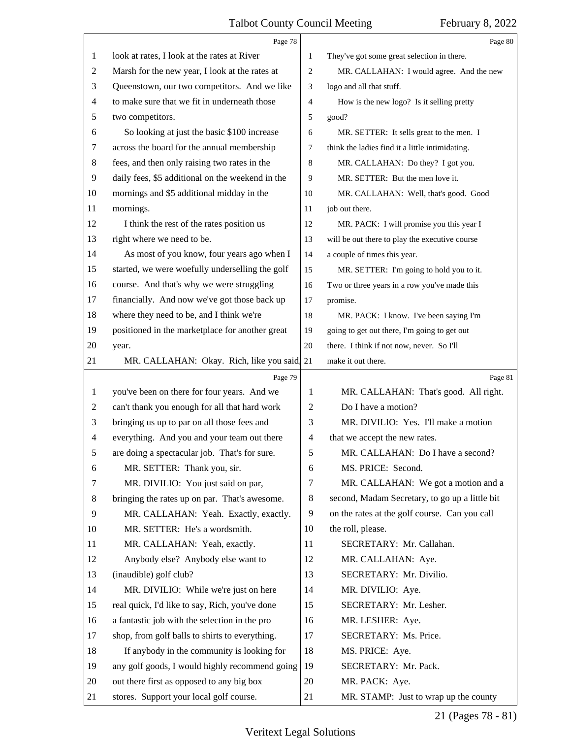<span id="page-20-0"></span>

|    | Page 78                                          |                          | Page 80                                         |
|----|--------------------------------------------------|--------------------------|-------------------------------------------------|
| 1  | look at rates, I look at the rates at River      | 1                        | They've got some great selection in there.      |
| 2  | Marsh for the new year, I look at the rates at   | 2                        | MR. CALLAHAN: I would agree. And the new        |
| 3  | Queenstown, our two competitors. And we like     | 3                        | logo and all that stuff.                        |
| 4  | to make sure that we fit in underneath those     | $\overline{4}$           | How is the new logo? Is it selling pretty       |
| 5  | two competitors.                                 | 5                        | good?                                           |
| 6  | So looking at just the basic \$100 increase      | 6                        | MR. SETTER: It sells great to the men. I        |
| 7  | across the board for the annual membership       | 7                        | think the ladies find it a little intimidating. |
| 8  | fees, and then only raising two rates in the     | 8                        | MR. CALLAHAN: Do they? I got you.               |
| 9  | daily fees, \$5 additional on the weekend in the | 9                        | MR. SETTER: But the men love it.                |
| 10 | mornings and \$5 additional midday in the        | 10                       | MR. CALLAHAN: Well, that's good. Good           |
| 11 | mornings.                                        | 11                       | job out there.                                  |
| 12 | I think the rest of the rates position us        | 12                       | MR. PACK: I will promise you this year I        |
| 13 | right where we need to be.                       | 13                       | will be out there to play the executive course  |
| 14 | As most of you know, four years ago when I       | 14                       | a couple of times this year.                    |
| 15 | started, we were woefully underselling the golf  | 15                       | MR. SETTER: I'm going to hold you to it.        |
| 16 | course. And that's why we were struggling        | 16                       | Two or three years in a row you've made this    |
| 17 | financially. And now we've got those back up     | 17                       | promise.                                        |
| 18 | where they need to be, and I think we're         | 18                       | MR. PACK: I know. I've been saying I'm          |
| 19 | positioned in the marketplace for another great  | 19                       | going to get out there, I'm going to get out    |
| 20 | year.                                            | 20                       | there. I think if not now, never. So I'll       |
| 21 | MR. CALLAHAN: Okay. Rich, like you said, 21      |                          | make it out there.                              |
|    |                                                  |                          |                                                 |
|    | Page 79                                          |                          | Page 81                                         |
| 1  | you've been on there for four years. And we      | 1                        | MR. CALLAHAN: That's good. All right.           |
| 2  | can't thank you enough for all that hard work    | $\overline{c}$           | Do I have a motion?                             |
| 3  | bringing us up to par on all those fees and      | 3                        | MR. DIVILIO: Yes. I'll make a motion            |
| 4  | everything. And you and your team out there      | $\overline{\mathcal{A}}$ | that we accept the new rates.                   |
| 5  | are doing a spectacular job. That's for sure.    | 5                        | MR. CALLAHAN: Do I have a second?               |
| 6  | MR. SETTER: Thank you, sir.                      | 6                        | MS. PRICE: Second.                              |
| 7  | MR. DIVILIO: You just said on par,               | 7                        | MR. CALLAHAN: We got a motion and a             |
| 8  | bringing the rates up on par. That's awesome.    | $\,8\,$                  | second, Madam Secretary, to go up a little bit  |
| 9  | MR. CALLAHAN: Yeah. Exactly, exactly.            | 9                        | on the rates at the golf course. Can you call   |
| 10 | MR. SETTER: He's a wordsmith.                    | 10                       | the roll, please.                               |
| 11 | MR. CALLAHAN: Yeah, exactly.                     | 11                       | SECRETARY: Mr. Callahan.                        |
| 12 | Anybody else? Anybody else want to               | 12                       | MR. CALLAHAN: Aye.                              |
| 13 | (inaudible) golf club?                           | 13                       | SECRETARY: Mr. Divilio.                         |
| 14 | MR. DIVILIO: While we're just on here            | 14                       | MR. DIVILIO: Aye.                               |
| 15 | real quick, I'd like to say, Rich, you've done   | 15                       | SECRETARY: Mr. Lesher.                          |
| 16 | a fantastic job with the selection in the pro    | 16                       | MR. LESHER: Aye.                                |
| 17 | shop, from golf balls to shirts to everything.   | 17                       | SECRETARY: Ms. Price.                           |
| 18 | If anybody in the community is looking for       | 18                       | MS. PRICE: Aye.                                 |
| 19 | any golf goods, I would highly recommend going   | 19                       | SECRETARY: Mr. Pack.                            |
| 20 | out there first as opposed to any big box        | 20                       | MR. PACK: Aye.                                  |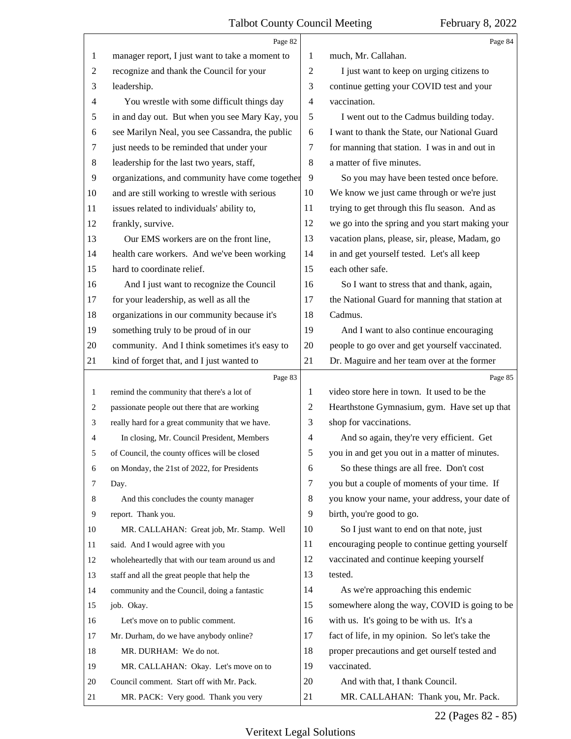<span id="page-21-0"></span>

|                | Page 82                                         |                | Page 84                                         |
|----------------|-------------------------------------------------|----------------|-------------------------------------------------|
| 1              | manager report, I just want to take a moment to | 1              | much, Mr. Callahan.                             |
| 2              | recognize and thank the Council for your        | $\overline{2}$ | I just want to keep on urging citizens to       |
| 3              | leadership.                                     | 3              | continue getting your COVID test and your       |
| 4              | You wrestle with some difficult things day      | $\overline{4}$ | vaccination.                                    |
| 5              | in and day out. But when you see Mary Kay, you  | 5              | I went out to the Cadmus building today.        |
| 6              | see Marilyn Neal, you see Cassandra, the public | 6              | I want to thank the State, our National Guard   |
| 7              | just needs to be reminded that under your       | 7              | for manning that station. I was in and out in   |
| 8              | leadership for the last two years, staff,       | 8              | a matter of five minutes.                       |
| $\overline{9}$ | organizations, and community have come together | 9              | So you may have been tested once before.        |
| 10             | and are still working to wrestle with serious   | 10             | We know we just came through or we're just      |
| 11             | issues related to individuals' ability to,      | 11             | trying to get through this flu season. And as   |
| 12             | frankly, survive.                               | 12             | we go into the spring and you start making your |
| 13             | Our EMS workers are on the front line,          | 13             | vacation plans, please, sir, please, Madam, go  |
| 14             | health care workers. And we've been working     | 14             | in and get yourself tested. Let's all keep      |
| 15             | hard to coordinate relief.                      | 15             | each other safe.                                |
| 16             | And I just want to recognize the Council        | 16             | So I want to stress that and thank, again,      |
| 17             | for your leadership, as well as all the         | 17             | the National Guard for manning that station at  |
| 18             | organizations in our community because it's     | 18             | Cadmus.                                         |
| 19             | something truly to be proud of in our           | 19             | And I want to also continue encouraging         |
| 20             | community. And I think sometimes it's easy to   | 20             | people to go over and get yourself vaccinated.  |
| 21             | kind of forget that, and I just wanted to       | 21             | Dr. Maguire and her team over at the former     |
|                |                                                 |                |                                                 |
|                | Page 83                                         |                | Page 85                                         |
| 1              | remind the community that there's a lot of      | 1              | video store here in town. It used to be the     |
| 2              | passionate people out there that are working    | $\overline{c}$ | Hearthstone Gymnasium, gym. Have set up that    |
| 3              | really hard for a great community that we have. | 3              | shop for vaccinations.                          |
| 4              | In closing, Mr. Council President, Members      | $\overline{4}$ | And so again, they're very efficient. Get       |
| 5              | of Council, the county offices will be closed   | 5              | you in and get you out in a matter of minutes.  |
| 6              | on Monday, the 21st of 2022, for Presidents     | 6              | So these things are all free. Don't cost        |
| 7              | Day.                                            | $\tau$         | you but a couple of moments of your time. If    |
| 8              | And this concludes the county manager           | 8              | you know your name, your address, your date of  |
| 9              | report. Thank you.                              | 9              | birth, you're good to go.                       |
| 10             | MR. CALLAHAN: Great job, Mr. Stamp. Well        | 10             | So I just want to end on that note, just        |
| 11             | said. And I would agree with you                | 11             | encouraging people to continue getting yourself |
| 12             | wholeheartedly that with our team around us and | 12             | vaccinated and continue keeping yourself        |
| 13             | staff and all the great people that help the    | 13             | tested.                                         |
| 14             | community and the Council, doing a fantastic    | 14             | As we're approaching this endemic               |
| 15             | job. Okay.                                      | 15             | somewhere along the way, COVID is going to be   |
| 16             | Let's move on to public comment.                | 16             | with us. It's going to be with us. It's a       |
| 17             | Mr. Durham, do we have anybody online?          | 17             | fact of life, in my opinion. So let's take the  |
| 18             | MR. DURHAM: We do not.                          | 18             | proper precautions and get ourself tested and   |
| 19             | MR. CALLAHAN: Okay. Let's move on to            | 19             | vaccinated.                                     |
| 20             | Council comment. Start off with Mr. Pack.       | 20             | And with that, I thank Council.                 |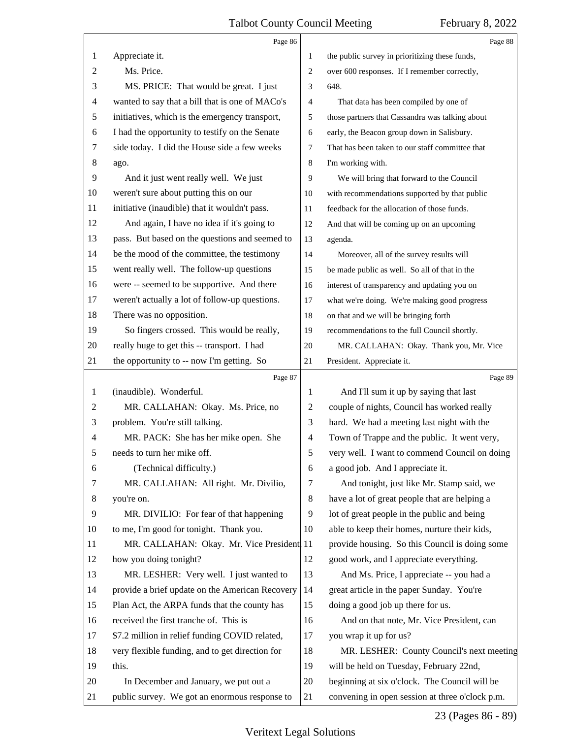<span id="page-22-0"></span>

|                | Page 86                                         |                | Page 88                                         |
|----------------|-------------------------------------------------|----------------|-------------------------------------------------|
| 1              | Appreciate it.                                  | 1              | the public survey in prioritizing these funds,  |
| 2              | Ms. Price.                                      | $\overline{2}$ | over 600 responses. If I remember correctly,    |
| 3              | MS. PRICE: That would be great. I just          | 3              | 648.                                            |
| 4              | wanted to say that a bill that is one of MACo's | 4              | That data has been compiled by one of           |
| 5              | initiatives, which is the emergency transport,  | 5              | those partners that Cassandra was talking about |
| 6              | I had the opportunity to testify on the Senate  | 6              | early, the Beacon group down in Salisbury.      |
| 7              | side today. I did the House side a few weeks    | $\overline{7}$ | That has been taken to our staff committee that |
| 8              | ago.                                            | 8              | I'm working with.                               |
| 9              | And it just went really well. We just           | 9              | We will bring that forward to the Council       |
| 10             | weren't sure about putting this on our          | 10             | with recommendations supported by that public   |
| 11             | initiative (inaudible) that it wouldn't pass.   | 11             | feedback for the allocation of those funds.     |
| 12             | And again, I have no idea if it's going to      | 12             | And that will be coming up on an upcoming       |
| 13             | pass. But based on the questions and seemed to  | 13             | agenda.                                         |
| 14             | be the mood of the committee, the testimony     | 14             | Moreover, all of the survey results will        |
| 15             | went really well. The follow-up questions       | 15             | be made public as well. So all of that in the   |
| 16             | were -- seemed to be supportive. And there      | 16             | interest of transparency and updating you on    |
| 17             | weren't actually a lot of follow-up questions.  | 17             | what we're doing. We're making good progress    |
| 18             | There was no opposition.                        | 18             | on that and we will be bringing forth           |
| 19             | So fingers crossed. This would be really,       | 19             | recommendations to the full Council shortly.    |
| 20             | really huge to get this -- transport. I had     | 20             | MR. CALLAHAN: Okay. Thank you, Mr. Vice         |
| 21             | the opportunity to -- now I'm getting. So       | 21             | President. Appreciate it.                       |
|                |                                                 |                |                                                 |
|                | Page 87                                         |                | Page 89                                         |
| 1              | (inaudible). Wonderful.                         | 1              | And I'll sum it up by saying that last          |
| $\overline{c}$ | MR. CALLAHAN: Okay. Ms. Price, no               | 2              | couple of nights, Council has worked really     |
| 3              | problem. You're still talking.                  | 3              | hard. We had a meeting last night with the      |
| 4              | MR. PACK: She has her mike open. She            | $\overline{4}$ | Town of Trappe and the public. It went very,    |
| 5              | needs to turn her mike off.                     | 5              | very well. I want to commend Council on doing   |
| 6              | (Technical difficulty.)                         | 6              | a good job. And I appreciate it.                |
| 7              | MR. CALLAHAN: All right. Mr. Divilio,           | 7              | And tonight, just like Mr. Stamp said, we       |
| 8              | you're on.                                      | 8              | have a lot of great people that are helping a   |
| 9              | MR. DIVILIO: For fear of that happening         | 9              | lot of great people in the public and being     |
| 10             | to me, I'm good for tonight. Thank you.         | 10             | able to keep their homes, nurture their kids,   |
| 11             | MR. CALLAHAN: Okay. Mr. Vice President, 11      |                | provide housing. So this Council is doing some  |
| 12             | how you doing tonight?                          | 12             | good work, and I appreciate everything.         |
| 13             | MR. LESHER: Very well. I just wanted to         | 13             | And Ms. Price, I appreciate -- you had a        |
| 14             | provide a brief update on the American Recovery | 14             | great article in the paper Sunday. You're       |
| 15             | Plan Act, the ARPA funds that the county has    | 15             | doing a good job up there for us.               |
| 16             | received the first tranche of. This is          | 16             | And on that note, Mr. Vice President, can       |
| 17             | \$7.2 million in relief funding COVID related,  | 17             | you wrap it up for us?                          |
| 18             | very flexible funding, and to get direction for | 18             | MR. LESHER: County Council's next meeting       |
| 19             | this.                                           | 19             | will be held on Tuesday, February 22nd,         |
| 20             | In December and January, we put out a           | 20             | beginning at six o'clock. The Council will be   |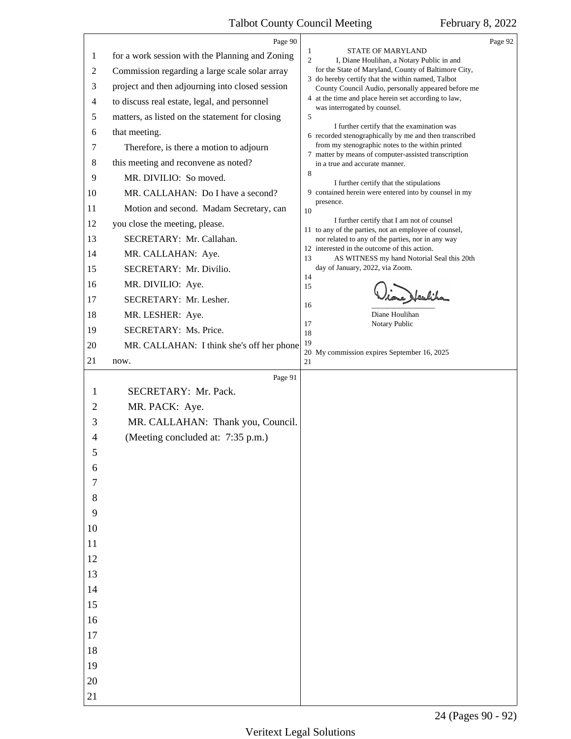<span id="page-23-0"></span>

|       | Page 90                                         |                     |                                                                                                          | Page 92 |
|-------|-------------------------------------------------|---------------------|----------------------------------------------------------------------------------------------------------|---------|
| 1     | for a work session with the Planning and Zoning | 1<br>$\overline{2}$ | STATE OF MARYLAND<br>I, Diane Houlihan, a Notary Public in and                                           |         |
| 2     | Commission regarding a large scale solar array  |                     | for the State of Maryland, County of Baltimore City,                                                     |         |
| 3     | project and then adjourning into closed session |                     | 3 do hereby certify that the within named, Talbot<br>County Council Audio, personally appeared before me |         |
| 4     | to discuss real estate, legal, and personnel    |                     | 4 at the time and place herein set according to law,<br>was interrogated by counsel.                     |         |
| 5     | matters, as listed on the statement for closing | 5                   |                                                                                                          |         |
| 6     | that meeting.                                   |                     | I further certify that the examination was<br>6 recorded stenographically by me and then transcribed     |         |
| 7     | Therefore, is there a motion to adjourn         |                     | from my stenographic notes to the within printed<br>7 matter by means of computer-assisted transcription |         |
| 8     | this meeting and reconvene as noted?            |                     | in a true and accurate manner.                                                                           |         |
| 9     | MR. DIVILIO: So moved.                          | 8                   | I further certify that the stipulations                                                                  |         |
| 10    | MR. CALLAHAN: Do I have a second?               |                     | 9 contained herein were entered into by counsel in my                                                    |         |
| 11    | Motion and second. Madam Secretary, can         | 10                  | presence.                                                                                                |         |
| 12    | you close the meeting, please.                  |                     | I further certify that I am not of counsel<br>11 to any of the parties, not an employee of counsel,      |         |
| 13    | SECRETARY: Mr. Callahan.                        |                     | nor related to any of the parties, nor in any way                                                        |         |
| 14    | MR. CALLAHAN: Aye.                              | 13                  | 12 interested in the outcome of this action.<br>AS WITNESS my hand Notorial Seal this 20th               |         |
| 15    | SECRETARY: Mr. Divilio.                         |                     | day of January, 2022, via Zoom.                                                                          |         |
| 16    | MR. DIVILIO: Aye.                               | 14<br>15            |                                                                                                          |         |
| 17    | SECRETARY: Mr. Lesher.                          | 16                  | Alaufich                                                                                                 |         |
| 18    | MR. LESHER: Aye.                                |                     | Diane Houlihan                                                                                           |         |
| 19    | SECRETARY: Ms. Price.                           | 17<br>18            | Notary Public                                                                                            |         |
| 20    | MR. CALLAHAN: I think she's off her phone       | 19                  |                                                                                                          |         |
| 21    | now.                                            | 21                  | 20 My commission expires September 16, 2025                                                              |         |
|       | Page 91                                         |                     |                                                                                                          |         |
| 1     | SECRETARY: Mr. Pack.                            |                     |                                                                                                          |         |
| 2     | MR. PACK: Aye.                                  |                     |                                                                                                          |         |
| 3     | MR. CALLAHAN: Thank you, Council.               |                     |                                                                                                          |         |
| 4     | (Meeting concluded at: 7:35 p.m.)               |                     |                                                                                                          |         |
| Э     |                                                 |                     |                                                                                                          |         |
| 6     |                                                 |                     |                                                                                                          |         |
| 7     |                                                 |                     |                                                                                                          |         |
| $8\,$ |                                                 |                     |                                                                                                          |         |
| 9     |                                                 |                     |                                                                                                          |         |
| 10    |                                                 |                     |                                                                                                          |         |
| 11    |                                                 |                     |                                                                                                          |         |
| 12    |                                                 |                     |                                                                                                          |         |
| 13    |                                                 |                     |                                                                                                          |         |
| 14    |                                                 |                     |                                                                                                          |         |
| 15    |                                                 |                     |                                                                                                          |         |
| 16    |                                                 |                     |                                                                                                          |         |
| 17    |                                                 |                     |                                                                                                          |         |
| 18    |                                                 |                     |                                                                                                          |         |
| 19    |                                                 |                     |                                                                                                          |         |
| 20    |                                                 |                     |                                                                                                          |         |
| 21    |                                                 |                     |                                                                                                          |         |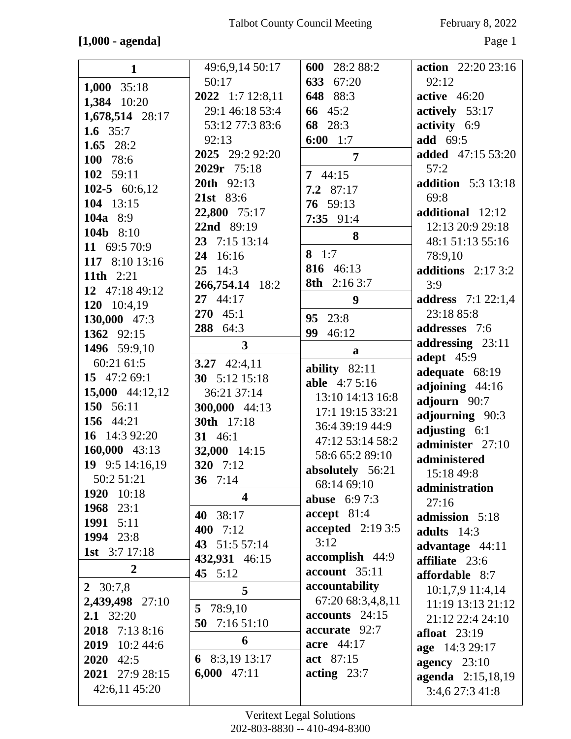### **[1,000 - agenda]** Page 1

| $\mathbf{1}$     | 49:6,9,14 50:17         | 600 28:2 88:2               | action $22:2023:16$       |
|------------------|-------------------------|-----------------------------|---------------------------|
| 1,000 $35:18$    | 50:17                   | 633 67:20                   | 92:12                     |
| 1,384 10:20      | 2022 1:7 12:8,11        | 648 88:3                    | active $46:20$            |
| 1,678,514 28:17  | 29:1 46:18 53:4         | 66 45:2                     | actively 53:17            |
| 1.6 $35:7$       | 53:12 77:3 83:6         | 68 28:3                     | activity 6:9              |
| 1.65 $28:2$      | 92:13                   | $6:00 \quad 1:7$            | <b>add</b> 69:5           |
| 100 78:6         | 2025 29:2 92:20         | $\overline{7}$              | <b>added</b> 47:15 53:20  |
| 102 59:11        | 2029r 75:18             | 744:15                      | 57:2                      |
| 102-5 $60:6,12$  | 20th 92:13              | $7.2$ 87:17                 | <b>addition</b> 5:3 13:18 |
| 104 13:15        | 21st 83:6               | 76 59:13                    | 69:8                      |
| <b>104a</b> 8:9  | 22,800 75:17            | $7:35$ 91:4                 | additional 12:12          |
| 104b 8:10        | 22nd 89:19              |                             | 12:13 20:9 29:18          |
| 11 69:5 70:9     | 23 7:15 13:14           | 8                           | 48:1 51:13 55:16          |
| 117 8:10 13:16   | 24 16:16                | 8 $1:7$                     | 78:9,10                   |
| 11th 2:21        | $25 \quad 14:3$         | 816 46:13                   | additions $2:173:2$       |
| 12 47:18 49:12   | 266,754.14 18:2         | 8th 2:16 3:7                | 3:9                       |
| 120 10:4,19      | 27 44:17                | 9                           | <b>address</b> 7:1 22:1,4 |
| 130,000 47:3     | $270 \quad 45:1$        | 95 23:8                     | 23:18 85:8                |
| 1362 92:15       | 288 64:3                | 99<br>46:12                 | addresses 7:6             |
| 1496 59:9,10     | $\mathbf{3}$            |                             | addressing 23:11          |
| 60:21 61:5       | 3.27 42:4,11            | a                           | adept $45:9$              |
| 15 47:2 69:1     | 30 5:12 15:18           | ability $82:11$             | adequate 68:19            |
| 15,000 44:12,12  | 36:21 37:14             | able 4:7 5:16               | adjoining 44:16           |
| 150 56:11        | 300,000 44:13           | 13:10 14:13 16:8            | adjourn 90:7              |
| 156 44:21        | 30th 17:18              | 17:1 19:15 33:21            | adjourning 90:3           |
| 16 14:3 92:20    | 31 46:1                 | 36:4 39:19 44:9             | adjusting 6:1             |
| 160,000 43:13    | 32,000 14:15            | 47:12 53:14 58:2            | administer 27:10          |
| 19 9:5 14:16,19  | 320 7:12                | 58:6 65:2 89:10             | administered              |
| 50:2 51:21       | 36 $7:14$               | absolutely 56:21            | 15:18 49:8                |
| 1920<br>10:18    | $\overline{\mathbf{4}}$ | 68:14 69:10                 | administration            |
| 1968 23:1        |                         | <b>abuse</b> $6:97:3$       | 27:16                     |
| 1991 5:11        | 40 38:17                | accept 81:4                 | admission 5:18            |
| 1994 23:8        | 400 $7:12$              | accepted $2:193:5$          | adults $14:3$             |
| 1st $3:717:18$   | 43 51:5 57:14           | 3:12                        | advantage 44:11           |
| $\boldsymbol{2}$ | 432,931 46:15           | accomplish 44:9             | affiliate 23:6            |
|                  | 45 5:12                 | account 35:11               | affordable 8:7            |
| 2 $30:7,8$       | 5                       | accountability              | 10:1,7,9 11:4,14          |
| 2,439,498 27:10  | 78:9,10<br>5            | 67:20 68:3,4,8,11           | 11:19 13:13 21:12         |
| 2.1 32:20        | 50 $7:1651:10$          | $accounts$ 24:15            | 21:12 22:4 24:10          |
| 2018 7:13 8:16   | 6                       | accurate 92:7<br>acre 44:17 | afloat $23:19$            |
| 2019 10:2 44:6   |                         |                             | age 14:3 29:17            |
| $2020$ 42:5      | 6 8:3,19 13:17          | act 87:15                   | agency $23:10$            |
| 2021 27:9 28:15  | $6,000$ 47:11           | acting $23:7$               | agenda 2:15,18,19         |
| 42:6,11 45:20    |                         |                             | 3:4,6 27:3 41:8           |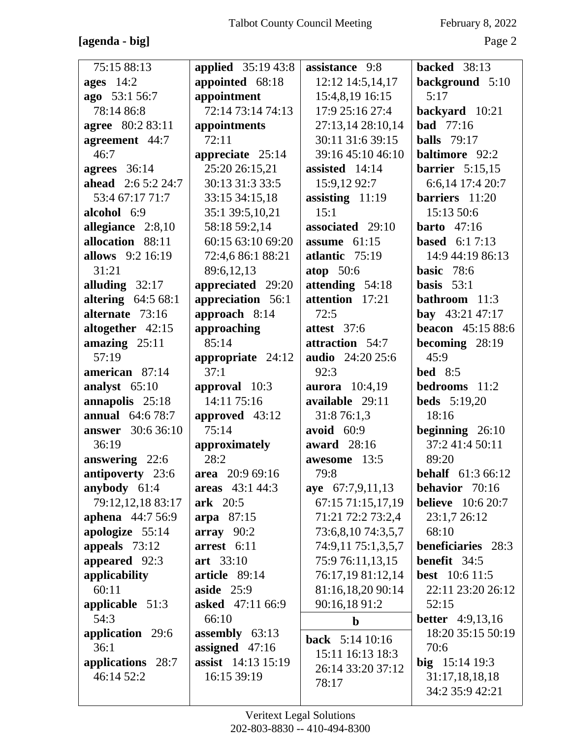## **[agenda - big]** Page 2

| 75:15 88:13               | <b>applied</b> 35:19 43:8 | assistance 9:8        | backed 38:13             |
|---------------------------|---------------------------|-----------------------|--------------------------|
| ages $14:2$               | appointed 68:18           | 12:12 14:5,14,17      | background 5:10          |
| ago 53:1 56:7             | appointment               | 15:4,8,19 16:15       | 5:17                     |
| 78:14 86:8                | 72:14 73:14 74:13         | 17:9 25:16 27:4       | backyard 10:21           |
| agree 80:2 83:11          | appointments              | 27:13,14 28:10,14     | <b>bad</b> 77:16         |
| agreement 44:7            | 72:11                     | 30:11 31:6 39:15      | <b>balls</b> 79:17       |
| 46:7                      | appreciate 25:14          | 39:16 45:10 46:10     | <b>baltimore</b> 92:2    |
| agrees 36:14              | 25:20 26:15,21            | assisted 14:14        | <b>barrier</b> 5:15,15   |
| <b>ahead</b> 2:6 5:2 24:7 | 30:13 31:3 33:5           | 15:9,12 92:7          | 6:6,14 17:4 20:7         |
| 53:4 67:17 71:7           | 33:15 34:15,18            | assisting $11:19$     | barriers 11:20           |
| alcohol 6:9               | 35:1 39:5,10,21           | 15:1                  | 15:13 50:6               |
| allegiance 2:8,10         | 58:18 59:2,14             | associated 29:10      | barto $47:16$            |
| allocation 88:11          | 60:15 63:10 69:20         | assume $61:15$        | <b>based</b> $6:17:13$   |
| allows 9:2 16:19          | 72:4,6 86:1 88:21         | atlantic 75:19        | 14:9 44:19 86:13         |
| 31:21                     | 89:6,12,13                | atop 50:6             | <b>basic</b> $78:6$      |
| alluding $32:17$          | appreciated 29:20         | attending 54:18       | basis $53:1$             |
| altering $64:568:1$       | appreciation 56:1         | attention 17:21       | <b>bathroom</b> 11:3     |
| alternate 73:16           | approach 8:14             | 72:5                  | <b>bay</b> 43:21 47:17   |
| altogether 42:15          | approaching               | attest 37:6           | <b>beacon</b> 45:15 88:6 |
| amazing $25:11$           | 85:14                     | attraction 54:7       | becoming 28:19           |
| 57:19                     | appropriate 24:12         | audio 24:20 25:6      | 45:9                     |
| american 87:14            | 37:1                      | 92:3                  | <b>bed</b> 8:5           |
| analyst 65:10             | approval 10:3             | <b>aurora</b> 10:4,19 | bedrooms 11:2            |
| annapolis 25:18           | 14:11 75:16               | available 29:11       | <b>beds</b> 5:19,20      |
| <b>annual</b> 64:6 78:7   | approved 43:12            | 31:8 76:1,3           | 18:16                    |
| <b>answer</b> 30:6 36:10  | 75:14                     | avoid $60:9$          | beginning $26:10$        |
| 36:19                     | approximately             | award 28:16           | 37:2 41:4 50:11          |
| answering 22:6            | 28:2                      | awesome 13:5          | 89:20                    |
| antipoverty 23:6          | area 20:9 69:16           | 79:8                  | <b>behalf</b> 61:3 66:12 |
| anybody $61:4$            | areas 43:1 44:3           | aye 67:7,9,11,13      | <b>behavior</b> 70:16    |
| 79:12,12,18 83:17         | ark 20:5                  | 67:15 71:15,17,19     | <b>believe</b> 10:6 20:7 |
| aphena 44:7 56:9          | arpa 87:15                | 71:21 72:2 73:2,4     | 23:1,7 26:12             |
| apologize 55:14           | array 90:2                | 73:6,8,10 74:3,5,7    | 68:10                    |
| appeals $73:12$           | arrest 6:11               | 74:9,11 75:1,3,5,7    | beneficiaries 28:3       |
| appeared 92:3             | art 33:10                 | 75:9 76:11,13,15      | benefit 34:5             |
| applicability             | article 89:14             | 76:17,19 81:12,14     | <b>best</b> 10:6 11:5    |
| 60:11                     | aside $25:9$              | 81:16,18,20 90:14     | 22:11 23:20 26:12        |
| applicable 51:3           | <b>asked</b> 47:11 66:9   | 90:16,18 91:2         | 52:15                    |
| 54:3                      | 66:10                     | $\mathbf b$           | <b>better</b> 4:9,13,16  |
| application 29:6          | assembly 63:13            | back 5:14 10:16       | 18:20 35:15 50:19        |
| 36:1                      | assigned $47:16$          | 15:11 16:13 18:3      | 70:6                     |
| applications 28:7         | assist 14:13 15:19        | 26:14 33:20 37:12     | big $15:14$ 19:3         |
| 46:14 52:2                | 16:15 39:19               | 78:17                 | 31:17,18,18,18           |
|                           |                           |                       | 34:2 35:9 42:21          |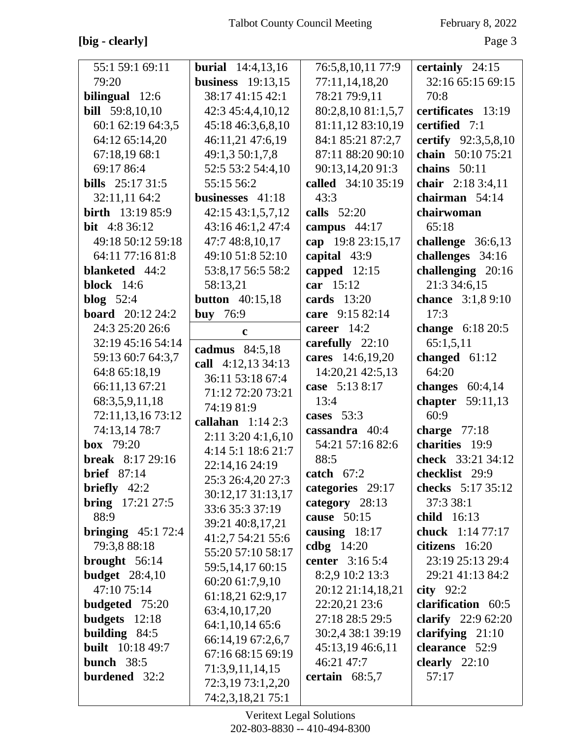## **[big - clearly]** Page 3

| 55:1 59:1 69:11            | <b>burial</b> 14:4,13,16 | 76:5,8,10,11 77:9  | certainly 24:15           |
|----------------------------|--------------------------|--------------------|---------------------------|
| 79:20                      | <b>business</b> 19:13,15 | 77:11,14,18,20     | 32:16 65:15 69:15         |
| bilingual 12:6             | 38:17 41:15 42:1         | 78:21 79:9,11      | 70:8                      |
| <b>bill</b> 59:8,10,10     | 42:3 45:4,4,10,12        | 80:2,8,10 81:1,5,7 | certificates 13:19        |
| 60:1 62:19 64:3,5          | 45:18 46:3,6,8,10        | 81:11,12 83:10,19  | certified 7:1             |
| 64:12 65:14,20             | 46:11,21 47:6,19         | 84:1 85:21 87:2,7  | certify 92:3,5,8,10       |
| 67:18,19 68:1              | 49:1,3 50:1,7,8          | 87:11 88:20 90:10  | chain 50:10 75:21         |
| 69:17 86:4                 | 52:5 53:2 54:4,10        | 90:13,14,20 91:3   | chains $50:11$            |
| bills $25:1731:5$          | 55:15 56:2               | called 34:10 35:19 | chair 2:18 3:4,11         |
| 32:11,11 64:2              | businesses 41:18         | 43:3               | chairman 54:14            |
| <b>birth</b> 13:19 85:9    | 42:15 43:1,5,7,12        | calls $52:20$      | chairwoman                |
| <b>bit</b> 4:8 36:12       | 43:16 46:1,2 47:4        | campus $44:17$     | 65:18                     |
| 49:18 50:12 59:18          | 47:7 48:8,10,17          | cap 19:8 23:15,17  | challenge 36:6,13         |
| 64:11 77:16 81:8           | 49:10 51:8 52:10         | capital 43:9       | challenges 34:16          |
| blanketed 44:2             | 53:8,17 56:5 58:2        | capped $12:15$     | challenging 20:16         |
| <b>block</b> 14:6          | 58:13,21                 | car 15:12          | 21:3 34:6,15              |
| blog $52:4$                | <b>button</b> 40:15,18   | cards $13:20$      | chance 3:1,8 9:10         |
| <b>board</b> 20:12 24:2    | <b>buy</b> 76:9          | care 9:15 82:14    | 17:3                      |
| 24:3 25:20 26:6            | $\mathbf c$              | career 14:2        | change 6:18 20:5          |
| 32:19 45:16 54:14          | cadmus 84:5,18           | carefully 22:10    | 65:1,5,11                 |
| 59:13 60:7 64:3,7          | call 4:12,13 34:13       | cares 14:6,19,20   | changed $61:12$           |
| 64:8 65:18,19              | 36:11 53:18 67:4         | 14:20,21 42:5,13   | 64:20                     |
| 66:11,13 67:21             | 71:12 72:20 73:21        | case 5:13 8:17     | changes $60:4,14$         |
| 68:3,5,9,11,18             | 74:19 81:9               | 13:4               | chapter 59:11,13          |
| 72:11,13,16 73:12          | callahan $1:142:3$       | cases $53:3$       | 60:9                      |
| 74:13,14 78:7              | $2:11$ 3:20 4:1,6,10     | cassandra 40:4     | charge $77:18$            |
| <b>box</b> $79:20$         | 4:14 5:1 18:6 21:7       | 54:21 57:16 82:6   | charities 19:9            |
| <b>break</b> 8:17 29:16    | 22:14,16 24:19           | 88:5               | check 33:21 34:12         |
| <b>brief</b> $87:14$       | 25:3 26:4,20 27:3        | catch $67:2$       | checklist 29:9            |
| <b>briefly</b> $42:2$      | 30:12,17 31:13,17        | categories 29:17   | checks 5:17 35:12         |
| <b>bring</b> $17:21\,27:5$ | 33:6 35:3 37:19          | category 28:13     | 37:3 38:1                 |
| 88:9                       | 39:21 40:8,17,21         | cause 50:15        | <b>child</b> 16:13        |
| bringing $45:172:4$        | 41:2,7 54:21 55:6        | causing 18:17      | chuck 1:14 77:17          |
| 79:3,8 88:18               | 55:20 57:10 58:17        | cdbg $14:20$       | citizens 16:20            |
| brought $56:14$            | 59:5,14,17 60:15         | center 3:16 5:4    | 23:19 25:13 29:4          |
| <b>budget</b> 28:4,10      | 60:20 61:7,9,10          | 8:2,9 10:2 13:3    | 29:21 41:13 84:2          |
| 47:10 75:14                | 61:18,21 62:9,17         | 20:12 21:14,18,21  | city $92:2$               |
| <b>budgeted</b> 75:20      | 63:4, 10, 17, 20         | 22:20,21 23:6      | clarification 60:5        |
| budgets 12:18              | 64:1,10,14 65:6          | 27:18 28:5 29:5    | <b>clarify</b> 22:9 62:20 |
| building $84:5$            | 66:14,19 67:2,6,7        | 30:2,4 38:1 39:19  | clarifying $21:10$        |
| <b>built</b> 10:18 49:7    | 67:16 68:15 69:19        | 45:13,19 46:6,11   | clearance 52:9            |
| bunch 38:5                 | 71:3,9,11,14,15          | 46:21 47:7         | clearly $22:10$           |
| burdened 32:2              | 72:3,19 73:1,2,20        | certain $68:5,7$   | 57:17                     |
|                            | 74:2,3,18,21 75:1        |                    |                           |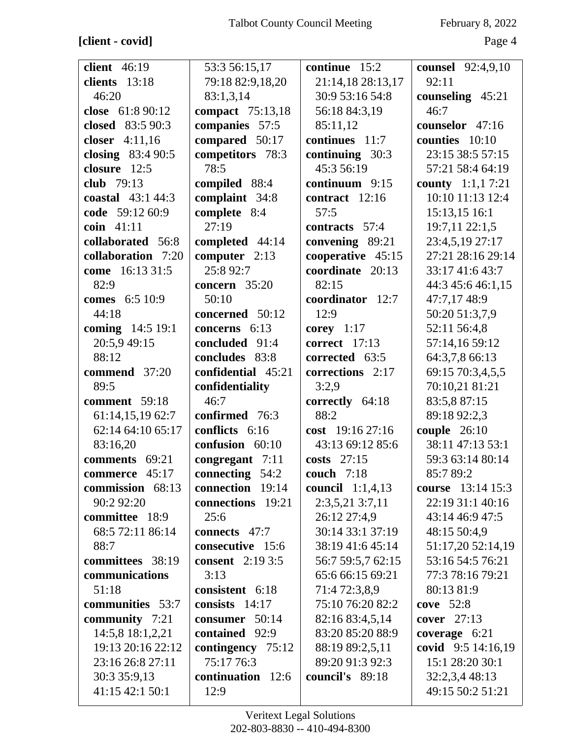## **[client - covid]** Page 4

| <b>client</b> 46:19 | 53:3 56:15,17           | continue 15:2      | counsel 92:4,9,10       |
|---------------------|-------------------------|--------------------|-------------------------|
| clients 13:18       | 79:18 82:9,18,20        | 21:14,18 28:13,17  | 92:11                   |
| 46:20               | 83:1,3,14               | 30:9 53:16 54:8    | counseling 45:21        |
| close 61:8 90:12    | compact 75:13,18        | 56:18 84:3,19      | 46:7                    |
| closed 83:5 90:3    | companies 57:5          | 85:11,12           | counselor 47:16         |
| closer 4:11,16      | compared 50:17          | continues 11:7     | counties 10:10          |
| closing $83:490:5$  | competitors 78:3        | continuing $30:3$  | 23:15 38:5 57:15        |
| closure 12:5        | 78:5                    | 45:3 56:19         | 57:21 58:4 64:19        |
| club $79:13$        | compiled 88:4           | continuum 9:15     | <b>county</b> 1:1,17:21 |
| coastal $43:144:3$  | complaint 34:8          | contract $12:16$   | 10:10 11:13 12:4        |
| code 59:12 60:9     | complete 8:4            | 57:5               | 15:13,15 16:1           |
| coin 41:11          | 27:19                   | contracts 57:4     | 19:7,11 22:1,5          |
| collaborated 56:8   | completed 44:14         | convening 89:21    | 23:4,5,19 27:17         |
| collaboration 7:20  | computer 2:13           | cooperative 45:15  | 27:21 28:16 29:14       |
| come 16:13 31:5     | 25:8 92:7               | coordinate 20:13   | 33:17 41:6 43:7         |
| 82:9                | concern $35:20$         | 82:15              | 44:3 45:6 46:1,15       |
| comes 6:5 10:9      | 50:10                   | coordinator 12:7   | 47:7,17 48:9            |
| 44:18               | concerned 50:12         | 12:9               | 50:20 51:3,7,9          |
| coming 14:5 19:1    | concerns 6:13           | corey $1:17$       | 52:11 56:4,8            |
| 20:5,9 49:15        | concluded 91:4          | correct $17:13$    | 57:14,16 59:12          |
| 88:12               | concludes 83:8          | corrected 63:5     | 64:3,7,8 66:13          |
| commend 37:20       | confidential 45:21      | corrections 2:17   | 69:15 70:3,4,5,5        |
| 89:5                | confidentiality         | 3:2,9              | 70:10,21 81:21          |
| comment 59:18       | 46:7                    | correctly 64:18    | 83:5,8 87:15            |
| 61:14,15,19 62:7    | confirmed 76:3          | 88:2               | 89:18 92:2,3            |
| 62:14 64:10 65:17   | conflicts 6:16          | cost $19:1627:16$  | couple $26:10$          |
| 83:16,20            | confusion 60:10         | 43:13 69:12 85:6   | 38:11 47:13 53:1        |
| comments 69:21      | congregant $7:11$       | costs 27:15        | 59:3 63:14 80:14        |
| commerce 45:17      | connecting 54:2         | <b>couch</b> 7:18  | 85:7 89:2               |
| commission 68:13    | connection 19:14        | council $1:1,4,13$ | course 13:14 15:3       |
| 90:2 92:20          | connections 19:21       | 2:3,5,21 3:7,11    | 22:19 31:1 40:16        |
| committee 18:9      | 25:6                    | 26:12 27:4,9       | 43:14 46:9 47:5         |
| 68:5 72:11 86:14    | connects 47:7           | 30:14 33:1 37:19   | 48:15 50:4,9            |
| 88:7                | consecutive 15:6        | 38:19 41:6 45:14   | 51:17,20 52:14,19       |
| committees 38:19    | <b>consent</b> 2:19 3:5 | 56:7 59:5,7 62:15  | 53:16 54:5 76:21        |
| communications      | 3:13                    | 65:6 66:15 69:21   | 77:3 78:16 79:21        |
| 51:18               | consistent 6:18         | 71:4 72:3,8,9      | 80:13 81:9              |
| communities 53:7    | consists $14:17$        | 75:10 76:20 82:2   | cove $52:8$             |
| community 7:21      | consumer 50:14          | 82:16 83:4,5,14    | cover $27:13$           |
| 14:5,8 18:1,2,21    | contained 92:9          | 83:20 85:20 88:9   | coverage $6:21$         |
| 19:13 20:16 22:12   | contingency 75:12       | 88:19 89:2,5,11    | covid 9:5 14:16,19      |
| 23:16 26:8 27:11    | 75:17 76:3              | 89:20 91:3 92:3    | 15:1 28:20 30:1         |
| 30:3 35:9,13        | continuation 12:6       | council's 89:18    | 32:2,3,4 48:13          |
| 41:15 42:1 50:1     | 12:9                    |                    | 49:15 50:2 51:21        |
|                     |                         |                    |                         |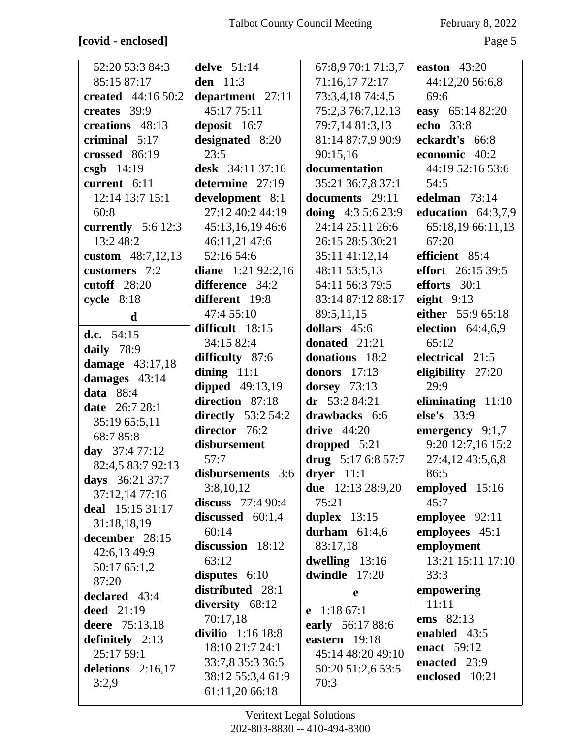## **[covid - enclosed]** Page 5

| 52:20 53:3 84:3       | delve 51:14                    | 67:8,9 70:1 71:3,7       | easton $43:20$           |
|-----------------------|--------------------------------|--------------------------|--------------------------|
| 85:15 87:17           | den 11:3                       | 71:16,17 72:17           | 44:12,20 56:6,8          |
| created 44:16 50:2    | department 27:11               | 73:3,4,18 74:4,5         | 69:6                     |
| creates 39:9          | 45:17 75:11                    | 75:2,3 76:7,12,13        | easy 65:14 82:20         |
| creations 48:13       | deposit 16:7                   | 79:7,14 81:3,13          | echo 33:8                |
| criminal 5:17         | designated 8:20                | 81:14 87:7,9 90:9        | eckardt's 66:8           |
| crossed 86:19         | 23:5                           | 90:15,16                 | economic 40:2            |
| $csgb$ 14:19          | desk 34:11 37:16               | documentation            | 44:19 52:16 53:6         |
| current 6:11          | determine 27:19                | 35:21 36:7,8 37:1        | 54:5                     |
| 12:14 13:7 15:1       | development 8:1                | documents 29:11          | edelman 73:14            |
| 60:8                  | 27:12 40:2 44:19               | doing $4:35:623:9$       | education $64:3,7,9$     |
| currently $5:6$ 12:3  | 45:13,16,19 46:6               | 24:14 25:11 26:6         | 65:18,19 66:11,13        |
| 13:248:2              | 46:11,21 47:6                  | 26:15 28:5 30:21         | 67:20                    |
| custom 48:7,12,13     | 52:16 54:6                     | 35:11 41:12,14           | efficient 85:4           |
| customers 7:2         | diane $1:21\,92:2,16$          | 48:11 53:5,13            | <b>effort</b> 26:15 39:5 |
| cutoff $28:20$        | difference 34:2                | 54:11 56:3 79:5          | efforts $30:1$           |
| cycle 8:18            | different 19:8                 | 83:14 87:12 88:17        | eight $9:13$             |
| $\mathbf d$           | 47:4 55:10                     | 89:5,11,15               | either 55:9 65:18        |
|                       | difficult 18:15                | dollars 45:6             | election $64:4,6,9$      |
| d.c. $54:15$          | 34:15 82:4                     | donated 21:21            | 65:12                    |
| daily 78:9            | difficulty 87:6                | donations 18:2           | electrical 21:5          |
| damage 43:17,18       | dining $11:1$                  | donors 17:13             | eligibility 27:20        |
| damages 43:14         | <b>dipped</b> 49:13,19         | dorsey 73:13             | 29:9                     |
| <b>data</b> 88:4      | direction 87:18                | $dr$ 53:2 84:21          | eliminating $11:10$      |
| <b>date</b> 26:7 28:1 | directly $53:254:2$            | drawbacks 6:6            | else's 33:9              |
| 35:19 65:5,11         | director 76:2                  | drive $44:20$            | emergency $9:1,7$        |
| 68:7 85:8             | disbursement                   | dropped $5:21$           | 9:20 12:7,16 15:2        |
| day $37:477:12$       | 57:7                           | drug $5:176:857:7$       | 27:4,12 43:5,6,8         |
| 82:4,5 83:7 92:13     | disbursements $3:6$ dryer 11:1 |                          | 86:5                     |
| days 36:21 37:7       | 3:8,10,12                      | <b>due</b> 12:13 28:9,20 | employed 15:16           |
| 37:12,14 77:16        | discuss $77:490:4$             | 75:21                    | 45:7                     |
| deal 15:15 31:17      | discussed 60:1,4               | duplex $13:15$           | employee 92:11           |
| 31:18,18,19           | 60:14                          | durham $61:4,6$          | employees 45:1           |
| december 28:15        | discussion 18:12               | 83:17,18                 | employment               |
| 42:6,13 49:9          | 63:12                          | dwelling 13:16           | 13:21 15:11 17:10        |
| 50:17 65:1,2          | disputes 6:10                  | dwindle 17:20            | 33:3                     |
| 87:20                 | distributed 28:1               |                          | empowering               |
| declared 43:4         | diversity 68:12                | e                        | 11:11                    |
| <b>deed</b> 21:19     | 70:17,18                       | 1:1867:1<br>$\mathbf{e}$ | ems 82:13                |
| deere 75:13,18        | divilio $1:1618:8$             | early 56:17 88:6         | enabled 43:5             |
| definitely $2:13$     | 18:10 21:7 24:1                | eastern 19:18            | enact 59:12              |
| 25:17 59:1            | 33:7,8 35:3 36:5               | 45:14 48:20 49:10        | enacted 23:9             |
| deletions $2:16,17$   | 38:12 55:3,4 61:9              | 50:20 51:2,6 53:5        | enclosed 10:21           |
| 3:2,9                 | 61:11,20 66:18                 | 70:3                     |                          |
|                       |                                |                          |                          |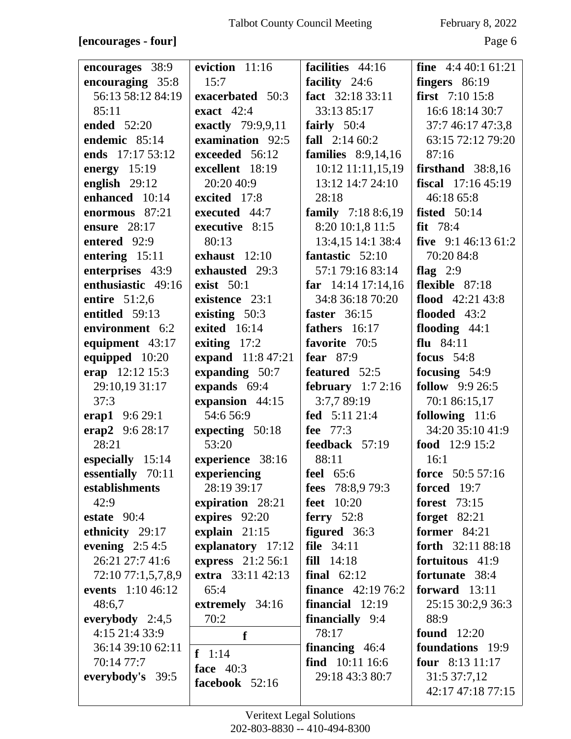### **[encourages - four]** Page 6

| encourages 38:9                     | eviction 11:16              | facilities 44:16                | <b>fine</b> $4:440:161:21$            |
|-------------------------------------|-----------------------------|---------------------------------|---------------------------------------|
| encouraging 35:8                    | 15:7                        | facility 24:6                   | fingers $86:19$                       |
| 56:13 58:12 84:19                   | exacerbated 50:3            | fact 32:18 33:11                | first $7:10$ 15:8                     |
| 85:11                               | exact $42:4$                | 33:13 85:17                     | 16:6 18:14 30:7                       |
| ended 52:20                         | exactly 79:9,9,11           | fairly $50:4$                   | 37:7 46:17 47:3,8                     |
| endemic 85:14                       | examination 92:5            | fall $2:1460:2$                 | 63:15 72:12 79:20                     |
| ends 17:17 53:12                    | exceeded 56:12              | families $8:9,14,16$            | 87:16                                 |
| energy 15:19                        | excellent 18:19             | 10:12 11:11,15,19               | firsthand $38:8,16$                   |
| english $29:12$                     | 20:20 40:9                  | 13:12 14:7 24:10                | fiscal $17:1645:19$                   |
| enhanced 10:14                      | excited 17:8                | 28:18                           | 46:18 65:8                            |
| enormous 87:21                      | executed 44:7               | family 7:18 8:6,19              | <b>fisted</b> 50:14                   |
| ensure $28:17$                      | executive 8:15              | 8:20 10:1,8 11:5                | $fit$ 78:4                            |
| entered 92:9                        | 80:13                       | 13:4,15 14:1 38:4               | five $9:146:1361:2$                   |
| entering $15:11$                    | exhaust 12:10               | fantastic 52:10                 | 70:20 84:8                            |
| enterprises 43:9                    | exhausted 29:3              | 57:1 79:16 83:14                | flag $2:9$                            |
| enthusiastic 49:16                  | exist $50:1$                | far $14:14$ 17:14,16            | flexible 87:18                        |
| entire 51:2,6                       | existence 23:1              | 34:8 36:18 70:20                | flood $42:21\,43:8$                   |
| entitled 59:13                      | existing 50:3               | faster $36:15$                  | flooded 43:2                          |
| environment 6:2                     | exited 16:14                | fathers $16:17$                 | flooding $44:1$                       |
| equipment 43:17                     | exiting $17:2$              | favorite 70:5                   | flu $84:11$                           |
| equipped 10:20                      | expand 11:8 47:21           | fear $87:9$                     | focus $54:8$                          |
| erap 12:12 15:3                     | expanding 50:7              | featured 52:5                   | focusing $54:9$                       |
| 29:10,19 31:17                      | expands 69:4                | february $1:72:16$              | <b>follow</b> 9:9 26:5                |
| 37:3                                | expansion 44:15             | 3:7,7 89:19                     | 70:1 86:15,17                         |
|                                     | 54:6 56:9                   | fed 5:11 21:4                   | following 11:6                        |
| erap1 $9:629:1$                     |                             | fee $77:3$                      | 34:20 35:10 41:9                      |
| erap2 9:6 28:17<br>28:21            | expecting 50:18<br>53:20    | feedback 57:19                  | food 12:9 15:2                        |
|                                     |                             | 88:11                           | 16:1                                  |
| especially 15:14                    | experience 38:16            |                                 | force 50:5 57:16                      |
| essentially 70:11<br>establishments | experiencing<br>28:19 39:17 | feel $65:6$<br>fees 78:8,9 79:3 | <b>forced</b> 19:7                    |
| 42:9                                |                             |                                 |                                       |
|                                     | expiration 28:21            | <b>feet</b> 10:20               | <b>forest</b> 73:15                   |
| estate $90:4$                       | expires 92:20               | ferry $52:8$<br>figured 36:3    | forget $82:21$<br><b>former</b> 84:21 |
| ethnicity 29:17                     | explain $21:15$             |                                 | forth 32:11 88:18                     |
| evening $2:54:5$                    | explanatory 17:12           | file $34:11$                    |                                       |
| 26:21 27:7 41:6                     | express 21:2 56:1           | fill 14:18                      | fortuitous 41:9                       |
| 72:10 77:1,5,7,8,9                  | extra 33:11 42:13           | final $62:12$                   | fortunate 38:4                        |
| events 1:10 46:12                   | 65:4                        | <b>finance</b> $42:1976:2$      | forward $13:11$                       |
| 48:6,7                              | extremely 34:16             | financial 12:19                 | 25:15 30:2,9 36:3                     |
| everybody $2:4,5$                   | 70:2                        | <b>financially</b> 9:4          | 88:9                                  |
| 4:15 21:4 33:9                      | f                           | 78:17                           | <b>found</b> 12:20                    |
| 36:14 39:10 62:11                   | $f \ 1:14$                  | <b>financing</b> $46:4$         | foundations 19:9                      |
| 70:14 77:7                          | face $40:3$                 | find 10:11 16:6                 | four $8:1311:17$                      |
| everybody's 39:5                    | facebook 52:16              | 29:18 43:3 80:7                 | 31:5 37:7,12                          |
|                                     |                             |                                 | 42:17 47:18 77:15                     |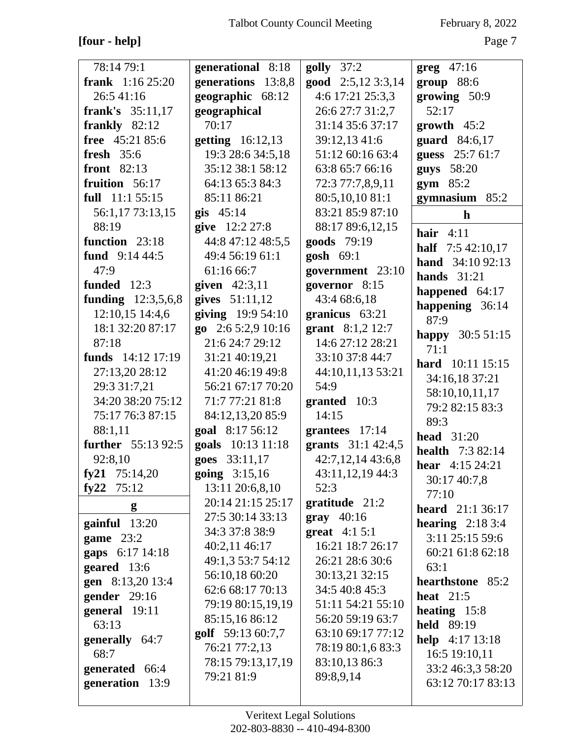## **[four - help]** Page 7

| 78:14 79:1                | generational 8:18       | $golly$ 37:2       | $greg$ 47:16                                          |
|---------------------------|-------------------------|--------------------|-------------------------------------------------------|
| <b>frank</b> $1:1625:20$  | generations 13:8,8      | good 2:5,12 3:3,14 | $group$ 88:6                                          |
| 26:5 41:16                | geographic 68:12        | 4:6 17:21 25:3,3   | growing 50:9                                          |
| frank's 35:11,17          | geographical            | 26:6 27:7 31:2,7   | 52:17                                                 |
| frankly $82:12$           | 70:17                   | 31:14 35:6 37:17   | growth $45:2$                                         |
| free 45:21 85:6           | <b>getting</b> 16:12,13 | 39:12,13 41:6      | guard 84:6,17                                         |
| fresh $35:6$              | 19:3 28:6 34:5,18       | 51:12 60:16 63:4   | guess 25:7 61:7                                       |
| <b>front</b> 82:13        | 35:12 38:1 58:12        | 63:8 65:7 66:16    | guys 58:20                                            |
| fruition $56:17$          | 64:13 65:3 84:3         | 72:3 77:7,8,9,11   | $gym$ 85:2                                            |
| full 11:1 55:15           | 85:11 86:21             | 80:5,10,10 81:1    | gymnasium $85:2$                                      |
| 56:1,17 73:13,15          | $g$ is 45:14            | 83:21 85:9 87:10   | $\mathbf h$                                           |
| 88:19                     | give 12:2 27:8          | 88:17 89:6,12,15   | hair $4:11$                                           |
| function 23:18            | 44:8 47:12 48:5,5       | goods 79:19        |                                                       |
| fund $9:144:5$            | 49:4 56:19 61:1         | gosh $69:1$        | <b>half</b> $7:542:10,17$<br><b>hand</b> $34:1092:13$ |
| 47:9                      | 61:16 66:7              | government 23:10   |                                                       |
| funded 12:3               | given $42:3,11$         | governor 8:15      | hands $31:21$                                         |
| funding $12:3,5,6,8$      | gives $51:11,12$        | 43:4 68:6,18       | happened 64:17                                        |
| 12:10,15 14:4,6           | giving 19:9 54:10       | granicus $63:21$   | happening 36:14<br>87:9                               |
| 18:1 32:20 87:17          | go $2:65:2,910:16$      | grant $8:1,2$ 12:7 |                                                       |
| 87:18                     | 21:6 24:7 29:12         | 14:6 27:12 28:21   | happy 30:5 51:15<br>71:1                              |
| funds 14:12 17:19         | 31:21 40:19,21          | 33:10 37:8 44:7    |                                                       |
| 27:13,20 28:12            | 41:20 46:19 49:8        | 44:10,11,13 53:21  | hard 10:11 15:15                                      |
| 29:3 31:7,21              | 56:21 67:17 70:20       | 54:9               | 34:16,18 37:21                                        |
| 34:20 38:20 75:12         | 71:7 77:21 81:8         | granted 10:3       | 58:10,10,11,17                                        |
| 75:17 76:3 87:15          | 84:12,13,20 85:9        | 14:15              | 79:2 82:15 83:3                                       |
| 88:1,11                   | goal 8:17 56:12         | grantees 17:14     | 89:3                                                  |
| <b>further</b> 55:13 92:5 | goals 10:13 11:18       | grants 31:1 42:4,5 | head $31:20$                                          |
| 92:8,10                   | goes 33:11,17           | 42:7,12,14 43:6,8  | <b>health</b> 7:3 82:14                               |
| fy21 $75:14,20$           | going 3:15,16           | 43:11,12,19 44:3   | hear 4:15 24:21                                       |
| fy22 $75:12$              | 13:11 20:6,8,10         | 52:3               | 30:17 40:7,8                                          |
| g                         | 20:14 21:15 25:17       | gratitude $21:2$   | 77:10<br><b>heard</b> 21:1 36:17                      |
|                           | 27:5 30:14 33:13        | $gray$ 40:16       |                                                       |
| $\gamma$ gainful $13:20$  | 34:3 37:8 38:9          | great $4:15:1$     | hearing $2:183:4$                                     |
| game $23:2$               | 40:2,11 46:17           | 16:21 18:7 26:17   | 3:11 25:15 59:6<br>60:21 61:8 62:18                   |
| gaps 6:17 14:18           | 49:1,3 53:7 54:12       | 26:21 28:6 30:6    | 63:1                                                  |
| geared 13:6               | 56:10,18 60:20          | 30:13,21 32:15     | hearthstone 85:2                                      |
| gen 8:13,20 13:4          | 62:6 68:17 70:13        | 34:5 40:8 45:3     | heat $21:5$                                           |
| gender $29:16$            | 79:19 80:15,19,19       | 51:11 54:21 55:10  |                                                       |
| general 19:11<br>63:13    | 85:15,16 86:12          | 56:20 59:19 63:7   | heating $15:8$<br><b>held</b> 89:19                   |
|                           | golf 59:13 60:7,7       | 63:10 69:17 77:12  |                                                       |
| generally 64:7<br>68:7    | 76:21 77:2,13           | 78:19 80:1,6 83:3  | help $4:17$ 13:18                                     |
|                           | 78:15 79:13,17,19       | 83:10,13 86:3      | 16:5 19:10,11                                         |
| generated 66:4            | 79:21 81:9              | 89:8,9,14          | 33:2 46:3,3 58:20<br>63:12 70:17 83:13                |
| generation 13:9           |                         |                    |                                                       |
|                           |                         |                    |                                                       |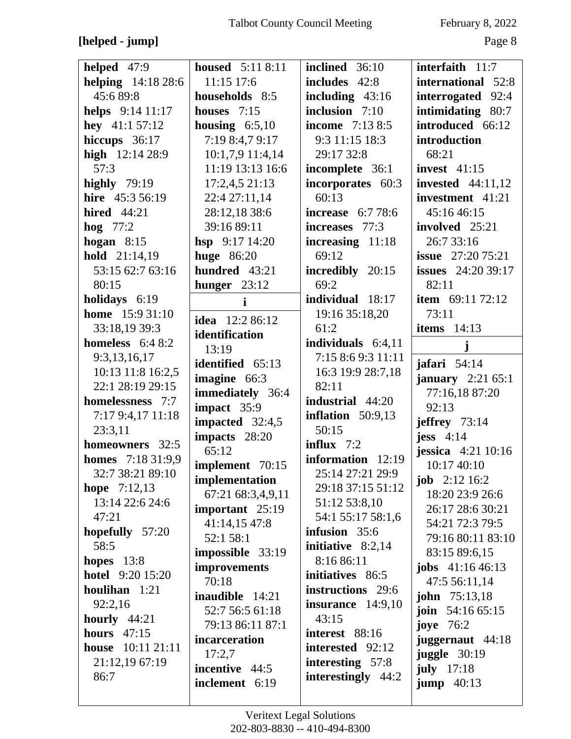## **[helped - jump]** Page 8

| helped 47:9                | <b>housed</b> 5:11 8:11 | inclined 36:10           | interfaith $11:7$         |
|----------------------------|-------------------------|--------------------------|---------------------------|
| <b>helping</b> $14:1828:6$ | 11:15 17:6              | includes 42:8            | international 52:8        |
| 45:689:8                   | households 8:5          | including $43:16$        | interrogated 92:4         |
| helps $9:14$ 11:17         | houses 7:15             | inclusion 7:10           | intimidating 80:7         |
| hey $41:157:12$            | housing $6:5,10$        | <b>income</b> 7:13 8:5   | introduced 66:12          |
| hiccups 36:17              | 7:19 8:4,7 9:17         | 9:3 11:15 18:3           | introduction              |
| high $12:1428:9$           | 10:1,7,9 11:4,14        | 29:17 32:8               | 68:21                     |
| 57:3                       | 11:19 13:13 16:6        | incomplete 36:1          | invest $41:15$            |
| highly $79:19$             | 17:2,4,521:13           | incorporates 60:3        | invested $44:11,12$       |
| hire 45:3 56:19            | 22:4 27:11,14           | 60:13                    | investment 41:21          |
| <b>hired</b> 44:21         | 28:12,18 38:6           | <b>increase</b> 6:7 78:6 | 45:16 46:15               |
| hog $77:2$                 | 39:16 89:11             | increases 77:3           | involved 25:21            |
| hogan $8:15$               | hsp $9:1714:20$         | increasing $11:18$       | 26:7 33:16                |
| hold 21:14,19              | <b>huge</b> 86:20       | 69:12                    | <b>issue</b> $27:2075:21$ |
| 53:15 62:7 63:16           | hundred 43:21           | incredibly 20:15         | <b>issues</b> 24:20 39:17 |
| 80:15                      | hunger $23:12$          | 69:2                     | 82:11                     |
| holidays 6:19              | $\mathbf{i}$            | individual 18:17         | <b>item</b> $69:1172:12$  |
| <b>home</b> 15:9 31:10     | <b>idea</b> 12:2 86:12  | 19:16 35:18,20           | 73:11                     |
| 33:18,19 39:3              | identification          | 61:2                     | items $14:13$             |
| homeless $6:48:2$          | 13:19                   | individuals $6:4,11$     | j                         |
| 9:3,13,16,17               | identified 65:13        | 7:15 8:6 9:3 11:11       | jafari 54:14              |
| 10:13 11:8 16:2,5          | imagine 66:3            | 16:3 19:9 28:7,18        | <b>january</b> $2:2165:1$ |
| 22:1 28:19 29:15           | immediately 36:4        | 82:11                    | 77:16,18 87:20            |
| homelessness 7:7           | impact 35:9             | <b>industrial</b> 44:20  | 92:13                     |
| 7:17 9:4,17 11:18          | impacted $32:4,5$       | inflation $50:9,13$      | jeffrey $73:14$           |
| 23:3,11                    | impacts 28:20           | 50:15                    | jess $4:14$               |
| homeowners 32:5            | 65:12                   | influx $7:2$             | jessica $4:21$ 10:16      |
| <b>homes</b> $7:1831:9,9$  | implement 70:15         | information $12:19$      | 10:17 40:10               |
| 32:7 38:21 89:10           | implementation          | 25:14 27:21 29:9         | <b>job</b> $2:12\,16:2$   |
| <b>hope</b> $7:12,13$      | 67:21 68:3,4,9,11       | 29:18 37:15 51:12        | 18:20 23:9 26:6           |
| 13:14 22:6 24:6            | important 25:19         | 51:12 53:8,10            | 26:17 28:6 30:21          |
| 47:21                      | 41:14,15 47:8           | 54:1 55:17 58:1,6        | 54:21 72:3 79:5           |
| hopefully 57:20            | 52:1 58:1               | infusion 35:6            | 79:16 80:11 83:10         |
| 58:5                       | impossible 33:19        | initiative $8:2,14$      | 83:15 89:6,15             |
| hopes $13:8$               | improvements            | 8:16 86:11               | <b>jobs</b> $41:1646:13$  |
| <b>hotel</b> 9:20 15:20    | 70:18                   | initiatives 86:5         | 47:5 56:11,14             |
| houlihan 1:21              | <b>inaudible</b> 14:21  | instructions 29:6        | <b>john</b> $75:13,18$    |
| 92:2,16                    | 52:7 56:5 61:18         | insurance $14:9,10$      | join $54:1665:15$         |
| hourly $44:21$             | 79:13 86:11 87:1        | 43:15                    | joye $76:2$               |
| hours $47:15$              | incarceration           | interest 88:16           | juggernaut 44:18          |
| <b>house</b> 10:11 21:11   | 17:2,7                  | interested 92:12         | juggle $30:19$            |
| 21:12,19 67:19             | incentive 44:5          | interesting $57:8$       | july $17:18$              |
| 86:7                       | inclement 6:19          | interestingly 44:2       | jump $40:13$              |
|                            |                         |                          |                           |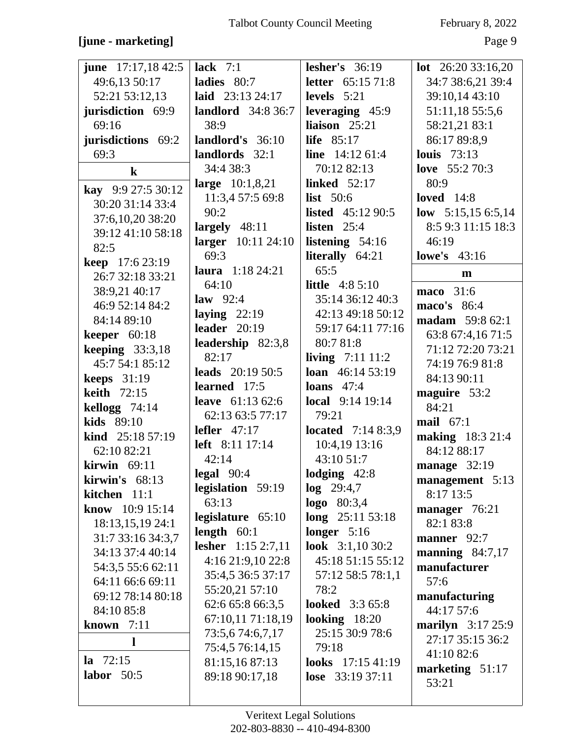## **[june - marketing]** Page 9

| <b>june</b> $17:17,1842:5$                                                                  | lack $7:1$                                                                                    | lesher's $36:19$                                                                                          | <b>lot</b> $26:2033:16,20$                                                                     |
|---------------------------------------------------------------------------------------------|-----------------------------------------------------------------------------------------------|-----------------------------------------------------------------------------------------------------------|------------------------------------------------------------------------------------------------|
| 49:6,13 50:17                                                                               | ladies 80:7                                                                                   | <b>letter</b> $65:1571:8$                                                                                 | 34:7 38:6,21 39:4                                                                              |
| 52:21 53:12,13                                                                              | laid 23:13 24:17                                                                              | levels $5:21$                                                                                             | 39:10,14 43:10                                                                                 |
| jurisdiction 69:9                                                                           | <b>landlord</b> 34:8 36:7                                                                     | leveraging 45:9                                                                                           | 51:11,18 55:5,6                                                                                |
| 69:16                                                                                       | 38:9                                                                                          | liaison $25:21$                                                                                           | 58:21,21 83:1                                                                                  |
| jurisdictions 69:2                                                                          | landlord's 36:10                                                                              | life $85:17$                                                                                              | 86:17 89:8,9                                                                                   |
| 69:3                                                                                        | landlords 32:1                                                                                | line $14:1261:4$                                                                                          | <b>louis</b> 73:13                                                                             |
| $\bf k$                                                                                     | 34:4 38:3                                                                                     | 70:12 82:13                                                                                               | love $55:270:3$                                                                                |
| kay 9:9 27:5 30:12                                                                          | large $10:1,8,21$                                                                             | <b>linked</b> 52:17                                                                                       | 80:9                                                                                           |
| 30:20 31:14 33:4<br>37:6,10,20 38:20<br>39:12 41:10 58:18<br>82:5<br><b>keep</b> 17:6 23:19 | 11:3,4 57:5 69:8<br>90:2<br>largely $48:11$<br>larger 10:11 24:10<br>69:3<br>laura 1:18 24:21 | list $50:6$<br><b>listed</b> $45:1290:5$<br>listen $25:4$<br>listening $54:16$<br>literally 64:21<br>65:5 | loved $14:8$<br>low $5:15,156:5,14$<br>8:5 9:3 11:15 18:3<br>46:19<br><b>lowe's</b> 43:16<br>m |
| 26:7 32:18 33:21                                                                            | 64:10                                                                                         | <b>little</b> $4:85:10$                                                                                   | maco 31:6                                                                                      |
| 38:9,21 40:17                                                                               | law $92:4$                                                                                    | 35:14 36:12 40:3                                                                                          | maco's 86:4                                                                                    |
| 46:9 52:14 84:2                                                                             | laying $22:19$                                                                                | 42:13 49:18 50:12                                                                                         | <b>madam</b> 59:8 62:1                                                                         |
| 84:14 89:10                                                                                 | leader $20:19$                                                                                | 59:17 64:11 77:16                                                                                         | 63:8 67:4,16 71:5                                                                              |
| keeper $60:18$                                                                              | leadership 82:3,8                                                                             | 80:7 81:8                                                                                                 | 71:12 72:20 73:21                                                                              |
| keeping $33:3,18$                                                                           | 82:17                                                                                         | <b>living</b> $7:11\,11:2$                                                                                | 74:19 76:9 81:8                                                                                |
| 45:7 54:1 85:12                                                                             | leads $20:1950:5$                                                                             | <b>loan</b> $46:1453:19$                                                                                  | 84:13 90:11                                                                                    |
| keeps $31:19$                                                                               | learned 17:5                                                                                  | loans $47:4$                                                                                              | maguire 53:2                                                                                   |
| <b>keith</b> 72:15                                                                          | leave $61:1362:6$                                                                             | local 9:14 19:14                                                                                          | 84:21                                                                                          |
| kellogg 74:14                                                                               | 62:13 63:5 77:17                                                                              | 79:21                                                                                                     | mail $67:1$                                                                                    |
| kids 89:10                                                                                  | lefler $47:17$                                                                                | <b>located</b> $7:148:3,9$                                                                                | <b>making</b> 18:3 21:4                                                                        |
| <b>kind</b> $25:1857:19$                                                                    | <b>left</b> 8:11 17:14                                                                        | 10:4,19 13:16                                                                                             | 84:12 88:17                                                                                    |
| 62:10 82:21                                                                                 | 42:14                                                                                         | 43:10 51:7                                                                                                | manage 32:19                                                                                   |
| kirwin $69:11$                                                                              | $\text{legal } 90:4$                                                                          | lodging $42:8$                                                                                            | management 5:13                                                                                |
| kirwin's 68:13                                                                              | legislation 59:19                                                                             | $log$ 29:4,7                                                                                              | 8:17 13:5                                                                                      |
| kitchen $11:1$                                                                              | 63:13                                                                                         | logo 80:3,4                                                                                               | manager $76:21$                                                                                |
| <b>know</b> $10:9 15:14$                                                                    | legislature 65:10                                                                             | long $25:1153:18$                                                                                         | 82:1 83:8                                                                                      |
| 18:13,15,19 24:1                                                                            | length $60:1$                                                                                 | longer $5:16$                                                                                             | manner 92:7                                                                                    |
| 31:7 33:16 34:3,7                                                                           | lesher $1:152:7,11$                                                                           | look $3:1,1030:2$                                                                                         | manning $84:7,17$                                                                              |
| 34:13 37:4 40:14                                                                            | 4:16 21:9,10 22:8                                                                             | 45:18 51:15 55:12                                                                                         | manufacturer                                                                                   |
| 54:3,5 55:6 62:11                                                                           | 35:4,5 36:5 37:17                                                                             | 57:12 58:5 78:1,1                                                                                         | 57:6                                                                                           |
| 64:11 66:6 69:11                                                                            | 55:20,21 57:10                                                                                | 78:2                                                                                                      | manufacturing                                                                                  |
| 69:12 78:14 80:18                                                                           | 62:6 65:8 66:3,5                                                                              | <b>looked</b> 3:3 65:8                                                                                    | 44:17 57:6                                                                                     |
| 84:10 85:8                                                                                  | 67:10,11 71:18,19                                                                             | looking $18:20$                                                                                           | <b>marilyn</b> $3:17\,25:9$                                                                    |
| known $7:11$                                                                                | 73:5,674:6,7,17                                                                               | 25:15 30:9 78:6                                                                                           | 27:17 35:15 36:2                                                                               |
| $\mathbf{l}$                                                                                | 75:4,5 76:14,15                                                                               | 79:18                                                                                                     | 41:10 82:6                                                                                     |
| $1a \quad 72:15$                                                                            | 81:15,16 87:13                                                                                | looks 17:15 41:19                                                                                         | marketing $51:17$                                                                              |
| labor $50:5$                                                                                | 89:18 90:17,18                                                                                | <b>lose</b> $33:1937:11$                                                                                  | 53:21                                                                                          |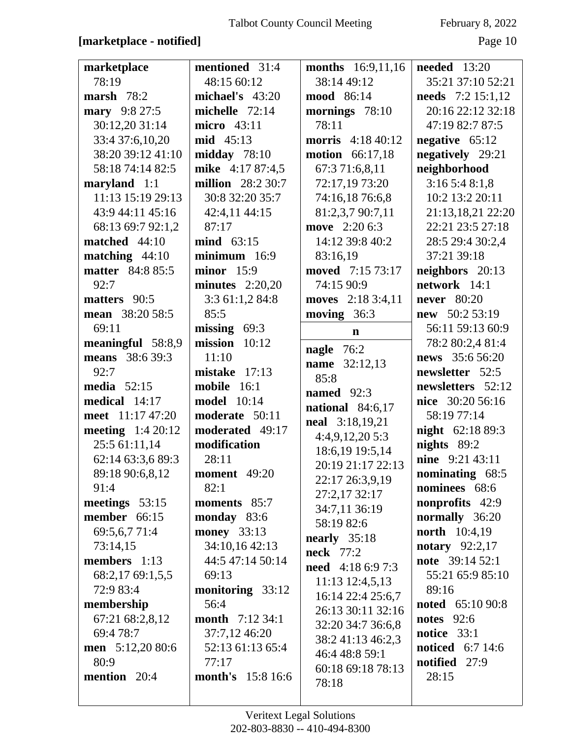### **[marketplace - notified]** Page 10

| marketplace              | mentioned 31:4           | months 16:9,11,16          | <b>needed</b> 13:20      |
|--------------------------|--------------------------|----------------------------|--------------------------|
| 78:19                    | 48:15 60:12              | 38:14 49:12                | 35:21 37:10 52:21        |
| marsh 78:2               | michael's $43:20$        | <b>mood</b> 86:14          | <b>needs</b> 7:2 15:1,12 |
| mary 9:8 27:5            | michelle $72:14$         | mornings 78:10             | 20:16 22:12 32:18        |
| 30:12,20 31:14           | micro 43:11              | 78:11                      | 47:19 82:7 87:5          |
| 33:4 37:6,10,20          | mid 45:13                | morris 4:18 40:12          | negative $65:12$         |
| 38:20 39:12 41:10        | midday $78:10$           | <b>motion</b> 66:17,18     | negatively 29:21         |
| 58:18 74:14 82:5         | mike 4:17 87:4,5         | 67:3 71:6,8,11             | neighborhood             |
| maryland $1:1$           | <b>million</b> 28:2 30:7 | 72:17,19 73:20             | 3:165:48:1,8             |
| 11:13 15:19 29:13        | 30:8 32:20 35:7          | 74:16,18 76:6,8            | 10:2 13:2 20:11          |
| 43:9 44:11 45:16         | 42:4,11 44:15            | 81:2,3,7 90:7,11           | 21:13,18,21 22:20        |
| 68:13 69:7 92:1,2        | 87:17                    | move 2:20 6:3              | 22:21 23:5 27:18         |
| matched 44:10            | $mind \quad 63:15$       | 14:12 39:8 40:2            | 28:5 29:4 30:2,4         |
| matching $44:10$         | $minimum$ 16:9           | 83:16,19                   | 37:21 39:18              |
| <b>matter</b> 84:8 85:5  | minor 15:9               | moved 7:15 73:17           | neighbors 20:13          |
| 92:7                     | minutes $2:20,20$        | 74:15 90:9                 | network 14:1             |
| matters 90:5             | 3:3 61:1,2 84:8          | moves 2:18 3:4,11          | <b>never</b> 80:20       |
| mean 38:20 58:5          | 85:5                     | moving $36:3$              | $new$ 50:2 53:19         |
| 69:11                    | missing $69:3$           | $\mathbf n$                | 56:11 59:13 60:9         |
| meaningful 58:8,9        | $mission 10:12$          | nagle 76:2                 | 78:2 80:2,4 81:4         |
| means 38:6 39:3          | 11:10                    | <b>name</b> 32:12,13       | news 35:6 56:20          |
| 92:7                     | mistake 17:13            | 85:8                       | newsletter 52:5          |
| media $52:15$            | mobile 16:1              | named 92:3                 | newsletters 52:12        |
|                          |                          |                            |                          |
| medical 14:17            | <b>model</b> 10:14       |                            | nice 30:20 56:16         |
| meet 11:17 47:20         | moderate 50:11           | national 84:6,17           | 58:19 77:14              |
| <b>meeting</b> 1:4 20:12 | moderated 49:17          | <b>neal</b> 3:18,19,21     | <b>night</b> 62:18 89:3  |
| 25:5 61:11,14            | modification             | 4:4,9,12,205:3             | nights 89:2              |
| 62:14 63:3,6 89:3        | 28:11                    | 18:6,19 19:5,14            | nine 9:21 43:11          |
| 89:18 90:6,8,12          | <b>moment</b> 49:20      | 20:19 21:17 22:13          | nominating 68:5          |
| 91:4                     | 82:1                     | 22:17 26:3,9,19            | nominees 68:6            |
| meetings 53:15           | moments 85:7             | 27:2,17 32:17              | <b>nonprofits</b> 42:9   |
| member 66:15             | monday 83:6              | 34:7,11 36:19              | normally 36:20           |
| 69:5,6,7 71:4            | <b>money</b> 33:13       | 58:19 82:6                 | <b>north</b> 10:4,19     |
| 73:14,15                 | 34:10,16 42:13           | nearly $35:18$             | notary $92:2,17$         |
| members 1:13             | 44:5 47:14 50:14         | <b>neck</b> 77:2           | note 39:14 52:1          |
| 68:2,17 69:1,5,5         | 69:13                    | <b>need</b> 4:18 6:9 7:3   | 55:21 65:9 85:10         |
| 72:9 83:4                | monitoring 33:12         | $11:13$ $12:4,5,13$        | 89:16                    |
| membership               | 56:4                     | 16:14 22:4 25:6,7          | <b>noted</b> 65:10 90:8  |
| 67:21 68:2,8,12          | month 7:12 34:1          | 26:13 30:11 32:16          | <b>notes</b> 92:6        |
| 69:4 78:7                | 37:7,12 46:20            | 32:20 34:7 36:6,8          | notice 33:1              |
| men 5:12,20 80:6         | 52:13 61:13 65:4         | 38:2 41:13 46:2,3          | <b>noticed</b> 6:7 14:6  |
| 80:9                     | 77:17                    | 46:4 48:8 59:1             | notified 27:9            |
| mention 20:4             | <b>month's</b> 15:8 16:6 | 60:18 69:18 78:13<br>78:18 | 28:15                    |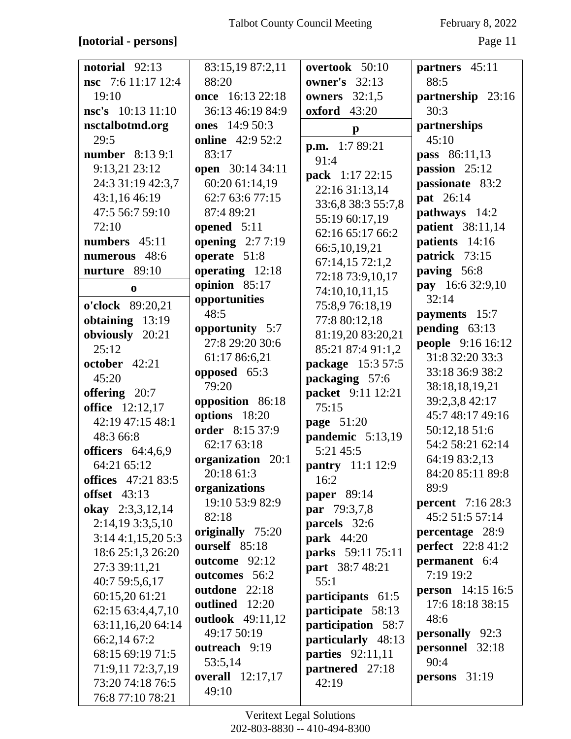### **[notorial - persons]** Page 11

| notorial $92:13$<br><b>nsc</b> 7:6 11:17 12:4<br>19:10<br>nsc's 10:13 11:10 | 83:15,19 87:2,11<br>88:20<br>once 16:13 22:18<br>36:13 46:19 84:9 | overtook 50:10<br><b>owner's</b> 32:13<br>owners $32:1,5$<br><b>oxford</b> 43:20 | partners 45:11<br>88:5<br>partnership 23:16<br>30:3 |
|-----------------------------------------------------------------------------|-------------------------------------------------------------------|----------------------------------------------------------------------------------|-----------------------------------------------------|
|                                                                             | ones 14:9 50:3                                                    |                                                                                  | partnerships                                        |
| nsctalbotmd.org<br>29:5                                                     | <b>online</b> 42:9 52:2                                           | $\mathbf{p}$                                                                     | 45:10                                               |
| <b>number</b> 8:13 9:1                                                      | 83:17                                                             | p.m. 1:7 89:21                                                                   | <b>pass</b> 86:11,13                                |
| 9:13,21 23:12                                                               | open 30:14 34:11                                                  | 91:4                                                                             | passion 25:12                                       |
| 24:3 31:19 42:3,7                                                           | 60:20 61:14,19                                                    | pack 1:17 22:15                                                                  | passionate 83:2                                     |
| 43:1,16 46:19                                                               | 62:7 63:6 77:15                                                   | 22:16 31:13,14                                                                   | pat 26:14                                           |
| 47:5 56:7 59:10                                                             | 87:4 89:21                                                        | 33:6,8 38:3 55:7,8                                                               | pathways 14:2                                       |
| 72:10                                                                       | opened 5:11                                                       | 55:19 60:17,19                                                                   | <b>patient</b> 38:11,14                             |
| numbers 45:11                                                               | opening $2:77:19$                                                 | 62:16 65:17 66:2                                                                 | patients 14:16                                      |
| numerous 48:6                                                               | operate 51:8                                                      | 66:5,10,19,21                                                                    | patrick 73:15                                       |
| nurture 89:10                                                               | operating 12:18                                                   | 67:14,15 72:1,2                                                                  | paving 56:8                                         |
| $\bf{0}$                                                                    | opinion 85:17                                                     | 72:18 73:9,10,17                                                                 | pay 16:6 32:9,10                                    |
|                                                                             | opportunities                                                     | 74:10,10,11,15                                                                   | 32:14                                               |
| o'clock 89:20,21                                                            | 48:5                                                              | 75:8,9 76:18,19                                                                  | payments 15:7                                       |
| obtaining 13:19                                                             | opportunity 5:7                                                   | 77:8 80:12,18                                                                    | pending $63:13$                                     |
| obviously 20:21<br>25:12                                                    | 27:8 29:20 30:6                                                   | 81:19,20 83:20,21                                                                | people 9:16 16:12                                   |
| october 42:21                                                               | 61:17 86:6,21                                                     | 85:21 87:4 91:1,2                                                                | 31:8 32:20 33:3                                     |
| 45:20                                                                       | opposed 65:3                                                      | package 15:3 57:5                                                                | 33:18 36:9 38:2                                     |
|                                                                             | 79:20                                                             | packaging 57:6<br>packet 9:11 12:21                                              | 38:18,18,19,21                                      |
| offering 20:7<br>office 12:12,17                                            | opposition 86:18                                                  | 75:15                                                                            | 39:2,3,8 42:17                                      |
| 42:19 47:15 48:1                                                            | options 18:20                                                     | page 51:20                                                                       | 45:7 48:17 49:16                                    |
| 48:3 66:8                                                                   | order 8:15 37:9                                                   | pandemic $5:13,19$                                                               | 50:12,18 51:6                                       |
| officers 64:4,6,9                                                           | 62:17 63:18                                                       | 5:21 45:5                                                                        | 54:2 58:21 62:14                                    |
| 64:21 65:12                                                                 | organization 20:1                                                 | pantry 11:1 12:9                                                                 | 64:19 83:2,13                                       |
| <b>offices</b> 47:21 83:5                                                   | 20:18 61:3                                                        | 16:2                                                                             | 84:20 85:11 89:8                                    |
| <b>offset</b> 43:13                                                         | organizations                                                     | paper 89:14                                                                      | 89:9                                                |
| okay 2:3,3,12,14                                                            | 19:10 53:9 82:9                                                   | par 79:3,7,8                                                                     | <b>percent</b> 7:16 28:3                            |
| 2:14,193:3,5,10                                                             | 82:18                                                             | parcels 32:6                                                                     | 45:2 51:5 57:14                                     |
| 3:144:1,15,205:3                                                            | originally 75:20                                                  | <b>park</b> 44:20                                                                | <b>percentage</b> 28:9                              |
| 18:6 25:1,3 26:20                                                           | ourself 85:18                                                     | parks 59:11 75:11                                                                | <b>perfect</b> 22:8 41:2                            |
| 27:3 39:11,21                                                               | outcome 92:12                                                     | part 38:7 48:21                                                                  | permanent 6:4                                       |
| 40:7 59:5,6,17                                                              | outcomes 56:2                                                     | 55:1                                                                             | 7:19 19:2                                           |
| 60:15,20 61:21                                                              | outdone 22:18                                                     | participants 61:5                                                                | <b>person</b> $14:15 16:5$                          |
| 62:15 63:4,4,7,10                                                           | outlined 12:20                                                    | participate 58:13                                                                | 17:6 18:18 38:15                                    |
| 63:11,16,20 64:14                                                           | outlook 49:11,12                                                  | participation 58:7                                                               | 48:6                                                |
| 66:2,14 67:2                                                                | 49:17 50:19                                                       | particularly 48:13                                                               | <b>personally</b> 92:3                              |
| 68:15 69:19 71:5                                                            | outreach 9:19                                                     | <b>parties</b> 92:11,11                                                          | personnel 32:18                                     |
| 71:9,11 72:3,7,19                                                           | 53:5,14                                                           | partnered 27:18                                                                  | 90:4                                                |
| 73:20 74:18 76:5                                                            | <b>overall</b> 12:17,17                                           | 42:19                                                                            | persons 31:19                                       |
| 76:8 77:10 78:21                                                            | 49:10                                                             |                                                                                  |                                                     |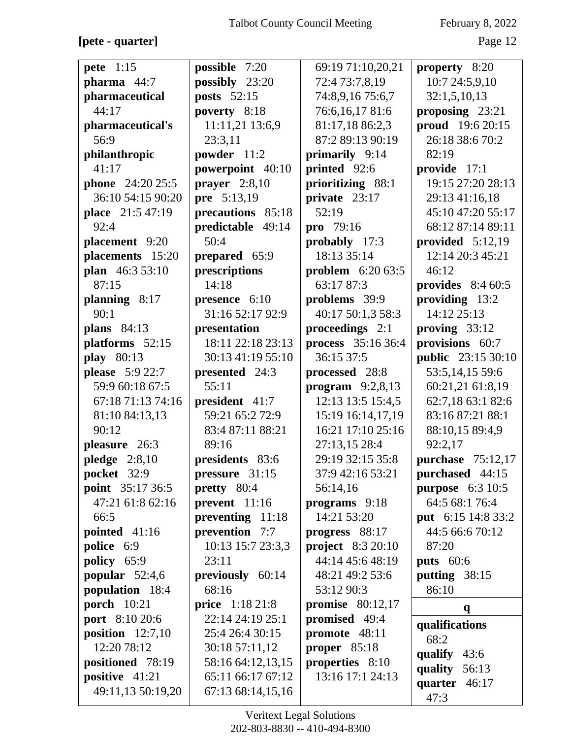**[pete - quarter]** Page 12

| <b>pete</b> 1:15        | possible 7:20          | 69:19 71:10,20,21        | property 8:20             |
|-------------------------|------------------------|--------------------------|---------------------------|
| pharma 44:7             | possibly 23:20         | 72:4 73:7,8,19           | 10:7 24:5,9,10            |
| pharmaceutical          | posts $52:15$          | 74:8,9,16 75:6,7         | 32:1,5,10,13              |
| 44:17                   | poverty 8:18           | 76:6,16,1781:6           | proposing 23:21           |
| pharmaceutical's        | 11:11,21 13:6,9        | 81:17,18 86:2,3          | proud 19:6 20:15          |
| 56:9                    | 23:3,11                | 87:2 89:13 90:19         | 26:18 38:6 70:2           |
| philanthropic           | powder 11:2            | primarily 9:14           | 82:19                     |
| 41:17                   | powerpoint 40:10       | printed 92:6             | provide 17:1              |
| <b>phone</b> 24:20 25:5 | prayer $2:8,10$        | prioritizing 88:1        | 19:15 27:20 28:13         |
| 36:10 54:15 90:20       | pre 5:13,19            | private 23:17            | 29:13 41:16,18            |
| place 21:5 47:19        | precautions 85:18      | 52:19                    | 45:10 47:20 55:17         |
| 92:4                    | predictable 49:14      | pro 79:16                | 68:12 87:14 89:11         |
| placement 9:20          | 50:4                   | probably 17:3            | provided $5:12,19$        |
| placements 15:20        | prepared 65:9          | 18:13 35:14              | 12:14 20:3 45:21          |
| plan 46:3 53:10         | prescriptions          | problem 6:20 63:5        | 46:12                     |
| 87:15                   | 14:18                  | 63:17 87:3               | provides $8:460:5$        |
| planning 8:17           | <b>presence</b> $6:10$ | problems 39:9            | providing 13:2            |
| 90:1                    | 31:16 52:17 92:9       | 40:17 50:1,3 58:3        | 14:12 25:13               |
| <b>plans</b> 84:13      | presentation           | proceedings 2:1          | proving $33:12$           |
| platforms 52:15         | 18:11 22:18 23:13      | process 35:16 36:4       | provisions 60:7           |
| <b>play</b> 80:13       | 30:13 41:19 55:10      | 36:15 37:5               | <b>public</b> 23:15 30:10 |
| <b>please</b> 5:9 22:7  | presented 24:3         | processed 28:8           | 53:5,14,15 59:6           |
| 59:9 60:18 67:5         | 55:11                  | program $9:2,8,13$       | 60:21,21 61:8,19          |
| 67:18 71:13 74:16       | president 41:7         | 12:13 13:5 15:4,5        | 62:7,18 63:1 82:6         |
| 81:10 84:13,13          | 59:21 65:2 72:9        | 15:19 16:14,17,19        | 83:16 87:21 88:1          |
| 90:12                   | 83:4 87:11 88:21       | 16:21 17:10 25:16        | 88:10,15 89:4,9           |
| pleasure 26:3           | 89:16                  | 27:13,15 28:4            | 92:2,17                   |
| pledge $2:8,10$         | presidents 83:6        | 29:19 32:15 35:8         | <b>purchase</b> 75:12,17  |
| <b>pocket</b> 32:9      | pressure 31:15         | 37:9 42:16 53:21         | purchased 44:15           |
| point 35:17 36:5        | <b>pretty</b> 80:4     | 56:14,16                 | purpose $6:310:5$         |
| 47:21 61:8 62:16        | prevent $11:16$        | programs 9:18            | 64:5 68:1 76:4            |
| 66:5                    | preventing 11:18       | 14:21 53:20              | <b>put</b> 6:15 14:8 33:2 |
| pointed $41:16$         | prevention 7:7         | progress $88:17$         | 44:5 66:6 70:12           |
| police 6:9              | 10:13 15:7 23:3,3      | <b>project</b> 8:3 20:10 | 87:20                     |
| policy 65:9             | 23:11                  | 44:14 45:6 48:19         | <b>puts</b> 60:6          |
| popular $52:4,6$        | previously 60:14       | 48:21 49:2 53:6          | putting 38:15             |
| population 18:4         | 68:16                  | 53:12 90:3               | 86:10                     |
| <b>porch</b> 10:21      | <b>price</b> 1:18 21:8 | promise $80:12,17$       | $\mathbf{q}$              |
| port 8:10 20:6          | 22:14 24:19 25:1       | promised 49:4            |                           |
| position $12:7,10$      | 25:4 26:4 30:15        | promote 48:11            | qualifications            |
| 12:20 78:12             | 30:18 57:11,12         | proper 85:18             | 68:2                      |
| positioned 78:19        | 58:16 64:12,13,15      | properties 8:10          | qualify 43:6              |
| positive 41:21          | 65:11 66:17 67:12      | 13:16 17:1 24:13         | quality<br>56:13          |
| 49:11,13 50:19,20       | 67:13 68:14,15,16      |                          | quarter 46:17             |
|                         |                        |                          | 47:3                      |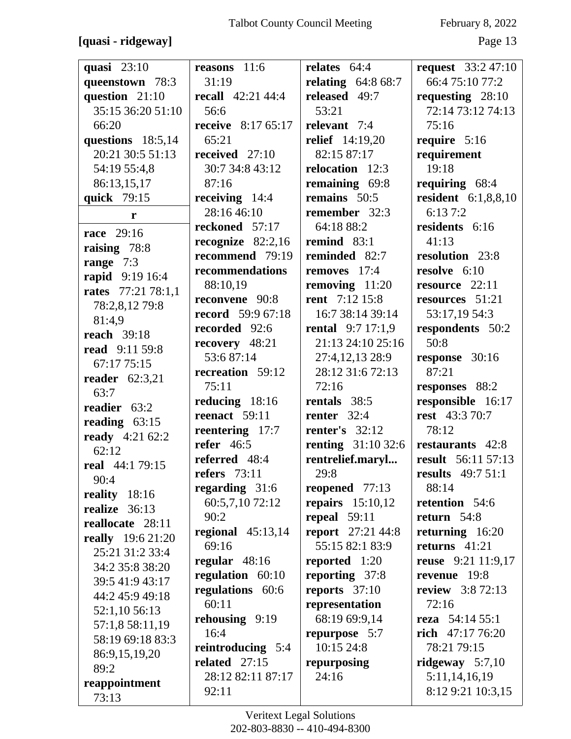## **[quasi - ridgeway]** Page 13

| quasi $23:10$            | reasons 11:6              | relates $64:4$             | request $33:247:10$        |
|--------------------------|---------------------------|----------------------------|----------------------------|
| queenstown 78:3          | 31:19                     | relating $64:868:7$        | 66:4 75:10 77:2            |
| question 21:10           | recall $42:21\,44:4$      | released 49:7              | requesting $28:10$         |
| 35:15 36:20 51:10        | 56:6                      | 53:21                      | 72:14 73:12 74:13          |
| 66:20                    | <b>receive</b> 8:17 65:17 | relevant 7:4               | 75:16                      |
| questions 18:5,14        | 65:21                     | <b>relief</b> 14:19,20     | require 5:16               |
| 20:21 30:5 51:13         | received $27:10$          | 82:15 87:17                | requirement                |
| 54:19 55:4,8             | 30:7 34:8 43:12           | relocation 12:3            | 19:18                      |
| 86:13,15,17              | 87:16                     | remaining 69:8             | requiring 68:4             |
| quick 79:15              | receiving $14:4$          | remains 50:5               | <b>resident</b> 6:1,8,8,10 |
| ${\bf r}$                | 28:16 46:10               | remember 32:3              | 6:137:2                    |
| <b>race</b> 29:16        | reckoned 57:17            | 64:18 88:2                 | residents 6:16             |
| raising 78:8             | recognize $82:2,16$       | remind 83:1                | 41:13                      |
| range $7:3$              | recommend 79:19           | reminded 82:7              | resolution 23:8            |
| rapid 9:19 16:4          | recommendations           | removes 17:4               | resolve 6:10               |
| rates 77:21 78:1,1       | 88:10,19                  | removing 11:20             | resource 22:11             |
| 78:2,8,12 79:8           | reconvene 90:8            | <b>rent</b> 7:12 15:8      | resources 51:21            |
| 81:4,9                   | <b>record</b> 59:9 67:18  | 16:7 38:14 39:14           | 53:17,19 54:3              |
| <b>reach</b> 39:18       | recorded 92:6             | <b>rental</b> $9:7 17:1,9$ | respondents 50:2           |
| <b>read</b> 9:11 59:8    | recovery 48:21            | 21:13 24:10 25:16          | 50:8                       |
| 67:17 75:15              | 53:687:14                 | 27:4,12,13 28:9            | response 30:16             |
| reader $62:3,21$         | recreation 59:12          | 28:12 31:6 72:13           | 87:21                      |
| 63:7                     | 75:11                     | 72:16                      | responses 88:2             |
| readier 63:2             | reducing 18:16            | rentals 38:5               | responsible 16:17          |
| reading $63:15$          | reenact 59:11             | renter $32:4$              | <b>rest</b> 43:3 70:7      |
| <b>ready</b> 4:21 62:2   | reentering 17:7           | renter's $32:12$           | 78:12                      |
| 62:12                    | refer $46:5$              | <b>renting</b> $31:1032:6$ | restaurants 42:8           |
| <b>real</b> 44:1 79:15   | referred 48:4             | rentrelief.maryl           | <b>result</b> 56:11 57:13  |
| 90:4                     | refers $73:11$            | 29:8                       | <b>results</b> 49:7 51:1   |
| reality 18:16            | regarding 31:6            | reopened 77:13             | 88:14                      |
| realize 36:13            | 60:5,7,10 72:12           | repairs $15:10,12$         | retention 54:6             |
| reallocate 28:11         | 90:2                      | repeal $59:11$             | return $54:8$              |
| <b>really</b> 19:6 21:20 | regional $45:13,14$       | <b>report</b> 27:21 44:8   | returning 16:20            |
| 25:21 31:2 33:4          | 69:16                     | 55:15 82:1 83:9            | returns $41:21$            |
| 34:2 35:8 38:20          | regular 48:16             | reported 1:20              | <b>reuse</b> 9:21 11:9,17  |
| 39:5 41:9 43:17          | regulation 60:10          | reporting 37:8             | revenue 19:8               |
| 44:2 45:9 49:18          | regulations 60:6          | reports $37:10$            | <b>review</b> 3:8 72:13    |
| 52:1,10 56:13            | 60:11                     | representation             | 72:16                      |
| 57:1,8 58:11,19          | rehousing 9:19            | 68:19 69:9,14              | reza $54:1455:1$           |
| 58:19 69:18 83:3         | 16:4                      | repurpose 5:7              | rich $47:1776:20$          |
| 86:9,15,19,20            | reintroducing 5:4         | 10:15 24:8                 | 78:21 79:15                |
| 89:2                     | related $27:15$           | repurposing                | ridgeway $5:7,10$          |
| reappointment            | 28:12 82:11 87:17         | 24:16                      | 5:11,14,16,19              |
| 73:13                    | 92:11                     |                            | 8:12 9:21 10:3,15          |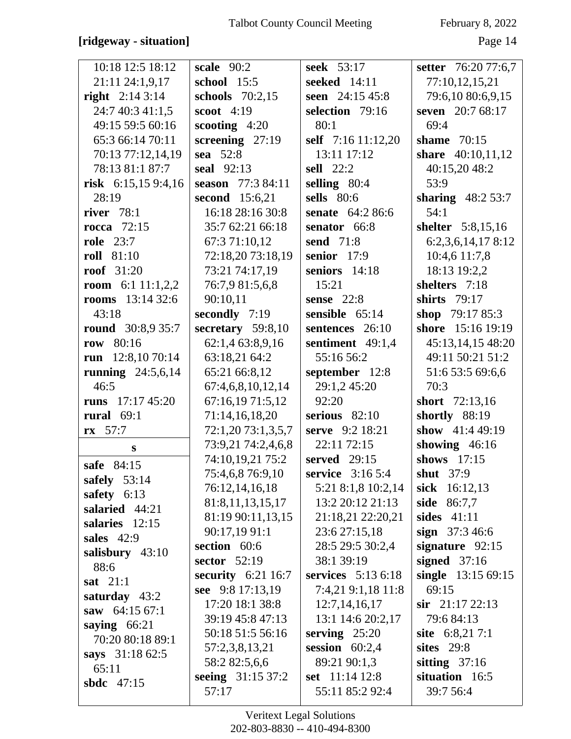### **[ridgeway - situation]** Page 14

| 10:18 12:5 18:12          | scale $90:2$         | seek 53:17         | setter 76:20 77:6,7 |
|---------------------------|----------------------|--------------------|---------------------|
| 21:11 24:1,9,17           | school 15:5          | seeked 14:11       | 77:10,12,15,21      |
| <b>right</b> $2:143:14$   | schools $70:2,15$    | seen 24:15 45:8    | 79:6,10 80:6,9,15   |
| 24:7 40:3 41:1,5          | scoot $4:19$         | selection 79:16    | seven 20:7 68:17    |
| 49:15 59:5 60:16          | scooting $4:20$      | 80:1               | 69:4                |
| 65:3 66:14 70:11          | screening $27:19$    | self 7:16 11:12,20 | shame $70:15$       |
| 70:13 77:12,14,19         | sea 52:8             | 13:11 17:12        | share 40:10,11,12   |
| 78:13 81:1 87:7           | seal $92:13$         | sell 22:2          | 40:15,20 48:2       |
| risk $6:15,159:4,16$      | season 77:3 84:11    | selling 80:4       | 53:9                |
| 28:19                     | second 15:6,21       | sells 80:6         | sharing $48:253:7$  |
| river $78:1$              | 16:18 28:16 30:8     | senate 64:2 86:6   | 54:1                |
| <b>rocca</b> 72:15        | 35:7 62:21 66:18     | senator 66:8       | shelter 5:8,15,16   |
| <b>role</b> 23:7          | 67:3 71:10,12        | send 71:8          | 6:2,3,6,14,178:12   |
| <b>roll</b> 81:10         | 72:18,20 73:18,19    | senior 17:9        | 10:4,6 11:7,8       |
| <b>roof</b> 31:20         | 73:21 74:17,19       | seniors 14:18      | 18:13 19:2,2        |
| room 6:1 $11:1,2,2$       | 76:7,9 81:5,6,8      | 15:21              | shelters 7:18       |
| <b>rooms</b> $13:143:2:6$ | 90:10,11             | sense $22:8$       | shirts 79:17        |
| 43:18                     | secondly 7:19        | sensible 65:14     | shop 79:17 85:3     |
| <b>round</b> 30:8,9 35:7  | secretary $59:8,10$  | sentences 26:10    | shore 15:16 19:19   |
| row 80:16                 | 62:1,4 63:8,9,16     | sentiment 49:1,4   | 45:13,14,15 48:20   |
| run $12:8,1070:14$        | 63:18,21 64:2        | 55:16 56:2         | 49:11 50:21 51:2    |
| running $24:5,6,14$       | 65:21 66:8,12        | september 12:8     | 51:6 53:5 69:6,6    |
| 46:5                      | 67:4,6,8,10,12,14    | 29:1,2 45:20       | 70:3                |
| runs $17:17\,45:20$       | 67:16,19 71:5,12     | 92:20              | short 72:13,16      |
| rural $69:1$              | 71:14,16,18,20       | serious $82:10$    | shortly 88:19       |
| $rx = 57:7$               | 72:1,20 73:1,3,5,7   | serve 9:2 18:21    | show 41:4 49:19     |
| S                         | 73:9,21 74:2,4,6,8   | 22:11 72:15        | showing $46:16$     |
| safe 84:15                | 74:10,19,21 75:2     | served 29:15       | shows 17:15         |
| safely $53:14$            | 75:4,6,8 76:9,10     | service 3:16 5:4   | <b>shut</b> 37:9    |
| safety 6:13               | 76:12,14,16,18       | 5:21 8:1,8 10:2,14 | sick 16:12,13       |
| salaried 44:21            | 81:8,11,13,15,17     | 13:2 20:12 21:13   | <b>side</b> 86:7,7  |
| salaries 12:15            | 81:19 90:11,13,15    | 21:18,21 22:20,21  | sides $41:11$       |
| sales $42:9$              | 90:17,19 91:1        | 23:6 27:15,18      | sign $37:346:6$     |
| salisbury $43:10$         | section 60:6         | 28:5 29:5 30:2,4   | signature $92:15$   |
| 88:6                      | sector 52:19         | 38:1 39:19         | signed $37:16$      |
| sat $21:1$                | security $6:21$ 16:7 | services 5:13 6:18 | single 13:15 69:15  |
| saturday $43:2$           | see 9:8 17:13,19     | 7:4,21 9:1,18 11:8 | 69:15               |
| saw $64:1567:1$           | 17:20 18:1 38:8      | 12:7,14,16,17      | $\sin$ 21:17 22:13  |
| saying $66:21$            | 39:19 45:8 47:13     | 13:1 14:6 20:2,17  | 79:6 84:13          |
| 70:20 80:18 89:1          | 50:18 51:5 56:16     | serving $25:20$    | site 6:8,217:1      |
| says 31:18 62:5           | 57:2,3,8,13,21       | session $60:2,4$   | sites 29:8          |
| 65:11                     | 58:2 82:5,6,6        | 89:21 90:1,3       | sitting $37:16$     |
| sbdc 47:15                | seeing 31:15 37:2    | set 11:14 12:8     | situation 16:5      |
|                           | 57:17                | 55:11 85:2 92:4    | 39:7 56:4           |
|                           |                      |                    |                     |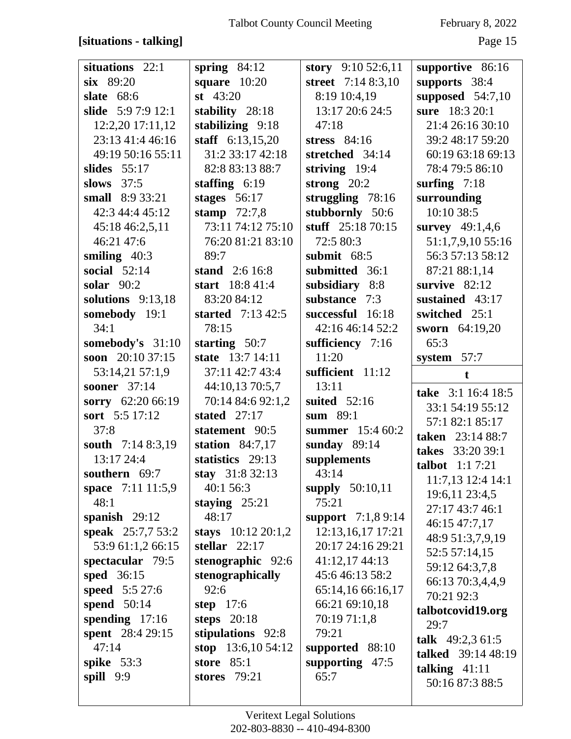### **[situations - talking]** Page 15

| situations 22:1                    | spring $84:12$               | story $9:1052:6,11$        | supportive 86:16          |
|------------------------------------|------------------------------|----------------------------|---------------------------|
| six 89:20                          | square $10:20$               | street 7:14 8:3,10         | supports 38:4             |
| <b>slate</b> 68:6                  | st $43:20$                   | 8:19 10:4,19               | supposed $54:7,10$        |
| slide $5:97:912:1$                 | stability 28:18              | 13:17 20:6 24:5            | sure 18:3 20:1            |
| 12:2,20 17:11,12                   | stabilizing 9:18             | 47:18                      | 21:4 26:16 30:10          |
| 23:13 41:4 46:16                   | staff $6:13,15,20$           | stress 84:16               | 39:2 48:17 59:20          |
| 49:19 50:16 55:11                  | 31:2 33:17 42:18             | stretched 34:14            | 60:19 63:18 69:13         |
| slides $55:17$                     | 82:8 83:13 88:7              | striving $19:4$            | 78:4 79:5 86:10           |
| slows $37:5$                       | staffing $6:19$              | strong $20:2$              | surfing $7:18$            |
| small 8:9 33:21                    | stages $56:17$               | struggling 78:16           | surrounding               |
| 42:3 44:4 45:12                    | stamp $72:7,8$               | stubbornly 50:6            | 10:10 38:5                |
| 45:18 46:2,5,11                    | 73:11 74:12 75:10            | stuff $25:1870:15$         | survey 49:1,4,6           |
| 46:21 47:6                         | 76:20 81:21 83:10            | 72:5 80:3                  | 51:1,7,9,10 55:16         |
| smiling $40:3$                     | 89:7                         | submit $68:5$              | 56:3 57:13 58:12          |
| social $52:14$                     | stand 2:6 16:8               | submitted 36:1             | 87:21 88:1,14             |
| solar $90:2$                       | start 18:8 41:4              | subsidiary 8:8             | survive $82:12$           |
| solutions $9:13,18$                | 83:20 84:12                  | substance 7:3              | sustained 43:17           |
| somebody 19:1                      | started $7:13\,42:5$         | successful 16:18           | switched 25:1             |
| 34:1                               | 78:15                        | 42:16 46:14 52:2           | sworn 64:19,20            |
| somebody's 31:10                   | starting $50:7$              | sufficiency 7:16           | 65:3                      |
| soon $20:1037:15$                  | state 13:7 14:11             | 11:20                      | system 57:7               |
| 53:14,21 57:1,9                    | 37:11 42:7 43:4              | sufficient 11:12           |                           |
| sooner 37:14                       | 44:10,13 70:5,7              | 13:11                      | $\mathbf t$               |
| sorry 62:20 66:19                  | 70:14 84:6 92:1,2            | suited $52:16$             | take 3:1 16:4 18:5        |
| sort 5:5 17:12                     | stated $27:17$               | sum 89:1                   | 33:1 54:19 55:12          |
| 37:8                               | statement 90:5               | summer 15:4 60:2           | 57:1 82:1 85:17           |
| south 7:14 8:3,19                  | station $84:7,17$            | sunday $89:14$             | taken 23:14 88:7          |
| 13:17 24:4                         | statistics 29:13             |                            | takes 33:20 39:1          |
|                                    |                              | supplements<br>43:14       | <b>talbot</b> $1:17:21$   |
| southern 69:7<br>space 7:11 11:5,9 | stay 31:8 32:13<br>40:1 56:3 |                            | 11:7,13 12:4 14:1         |
| 48:1                               |                              | supply $50:10,11$<br>75:21 | 19:6,11 23:4,5            |
|                                    | staying $25:21$<br>48:17     |                            | 27:17 43:7 46:1           |
| spanish $29:12$                    |                              | support $7:1,89:14$        | 46:15 47:7,17             |
| speak 25:7,7 53:2                  | stays $10:12\,20:1,2$        | 12:13,16,17 17:21          | 48:9 51:3,7,9,19          |
| 53:9 61:1,2 66:15                  | stellar $22:17$              | 20:17 24:16 29:21          | 52:5 57:14,15             |
| spectacular 79:5                   | stenographic 92:6            | 41:12,17 44:13             | 59:12 64:3,7,8            |
| sped 36:15                         | stenographically             | 45:6 46:13 58:2            | 66:13 70:3,4,4,9          |
| <b>speed</b> 5:5 27:6              | 92:6                         | 65:14,16 66:16,17          | 70:21 92:3                |
| spend $50:14$                      | step $17:6$                  | 66:21 69:10,18             | talbotcovid19.org         |
| spending $17:16$                   | steps $20:18$                | 70:19 71:1,8               | 29:7                      |
| spent 28:4 29:15                   | stipulations 92:8            | 79:21                      | talk $49:2,361:5$         |
| 47:14                              | stop $13:6,1054:12$          | supported 88:10            | <b>talked</b> 39:14 48:19 |
| spike $53:3$                       | store $85:1$                 | supporting $47:5$          | talking $41:11$           |
| spill 9:9                          | <b>stores</b> 79:21          | 65:7                       | 50:16 87:3 88:5           |
|                                    |                              |                            |                           |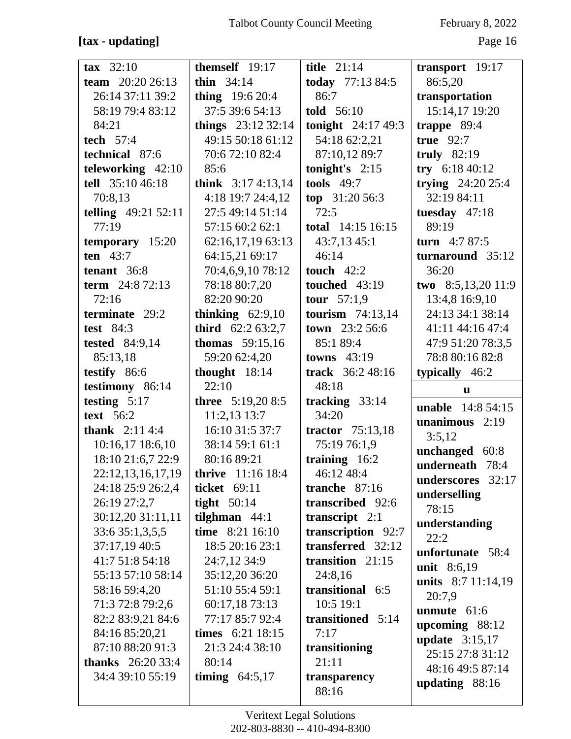### **[tax - updating]** Page 16

| $\textbf{tax} \quad 32:10$ | themself 19:17            | title $21:14$          | transport $19:17$                    |
|----------------------------|---------------------------|------------------------|--------------------------------------|
| team 20:20 26:13           | thin $34:14$              | today 77:13 84:5       | 86:5,20                              |
| 26:14 37:11 39:2           | <b>thing</b> $19:620:4$   | 86:7                   | transportation                       |
| 58:19 79:4 83:12           | 37:5 39:6 54:13           | told 56:10             | 15:14,17 19:20                       |
| 84:21                      | things 23:12 32:14        | tonight $24:17\,49:3$  | trappe $89:4$                        |
| tech $57:4$                | 49:15 50:18 61:12         | 54:18 62:2,21          | true $92:7$                          |
| technical 87:6             | 70:6 72:10 82:4           | 87:10,12 89:7          | truly $82:19$                        |
| teleworking 42:10          | 85:6                      | tonight's $2:15$       | try $6:1840:12$                      |
| tell 35:10 46:18           | think $3:174:13,14$       | tools $49:7$           | trying $24:2025:4$                   |
| 70:8,13                    | 4:18 19:7 24:4,12         | top 31:20 56:3         | 32:19 84:11                          |
| <b>telling</b> 49:21 52:11 | 27:5 49:14 51:14          | 72:5                   | tuesday $47:18$                      |
| 77:19                      | 57:15 60:2 62:1           | total 14:15 16:15      | 89:19                                |
| temporary 15:20            | 62:16,17,19 63:13         | 43:7,13 45:1           | turn $4:787:5$                       |
| ten $43:7$                 | 64:15,21 69:17            | 46:14                  | turnaround 35:12                     |
| tenant 36:8                | 70:4,6,9,10 78:12         | touch $42:2$           | 36:20                                |
| term 24:8 72:13            | 78:18 80:7,20             | touched 43:19          | two 8:5,13,20 11:9                   |
| 72:16                      | 82:20 90:20               | <b>tour</b> $57:1,9$   | 13:4,8 16:9,10                       |
| terminate 29:2             | thinking $62:9,10$        | tourism $74:13,14$     | 24:13 34:1 38:14                     |
| test $84:3$                | <b>third</b> $62:263:2,7$ | <b>town</b> $23:256:6$ | 41:11 44:16 47:4                     |
| <b>tested</b> 84:9,14      | thomas $59:15,16$         | 85:1 89:4              | 47:9 51:20 78:3,5                    |
| 85:13,18                   | 59:20 62:4,20             | towns $43:19$          | 78:8 80:16 82:8                      |
| testify 86:6               | thought $18:14$           | track 36:2 48:16       | typically 46:2                       |
|                            | 22:10                     | 48:18                  |                                      |
| testimony 86:14            |                           |                        | u                                    |
| testing $5:17$             | three 5:19,20 8:5         | tracking 33:14         |                                      |
| text $56:2$                | 11:2,13 13:7              | 34:20                  | <b>unable</b> 14:8 54:15             |
| <b>thank</b> $2:114:4$     | 16:10 31:5 37:7           | tractor 75:13,18       | unanimous $2:19$                     |
| 10:16,17 18:6,10           | 38:14 59:1 61:1           | 75:19 76:1,9           | 3:5,12                               |
| 18:10 21:6,7 22:9          | 80:16 89:21               | training 16:2          | unchanged 60:8                       |
| 22:12,13,16,17,19          | <b>thrive</b> 11:16 18:4  | 46:12 48:4             | underneath 78:4                      |
| 24:18 25:9 26:2,4          | ticket 69:11              | tranche $87:16$        | underscores 32:17                    |
| 26:19 27:2,7               | tight $50:14$             | transcribed 92:6       | underselling                         |
| 30:12,20 31:11,11          | tilghman $44:1$           | transcript $2:1$       | 78:15                                |
| 33:6 35:1,3,5,5            | time 8:21 16:10           | transcription 92:7     | understanding                        |
| 37:17,19 40:5              | 18:5 20:16 23:1           | transferred 32:12      | 22:2                                 |
| 41:7 51:8 54:18            | 24:7,12 34:9              | transition $21:15$     | unfortunate 58:4                     |
| 55:13 57:10 58:14          | 35:12,20 36:20            | 24:8,16                | unit 8:6,19                          |
| 58:16 59:4,20              | 51:10 55:4 59:1           | transitional 6:5       | units 8:7 11:14,19                   |
| 71:3 72:8 79:2,6           | 60:17,18 73:13            | 10:5 19:1              | 20:7,9                               |
| 82:2 83:9,21 84:6          | 77:17 85:7 92:4           | transitioned 5:14      | unmute $61:6$                        |
| 84:16 85:20,21             | times 6:21 18:15          | 7:17                   | upcoming 88:12                       |
| 87:10 88:20 91:3           | 21:3 24:4 38:10           | transitioning          | update $3:15,17$                     |
| <b>thanks</b> $26:2033:4$  | 80:14                     | 21:11                  | 25:15 27:8 31:12                     |
| 34:4 39:10 55:19           | timing $64:5,17$          | transparency<br>88:16  | 48:16 49:5 87:14<br>updating $88:16$ |